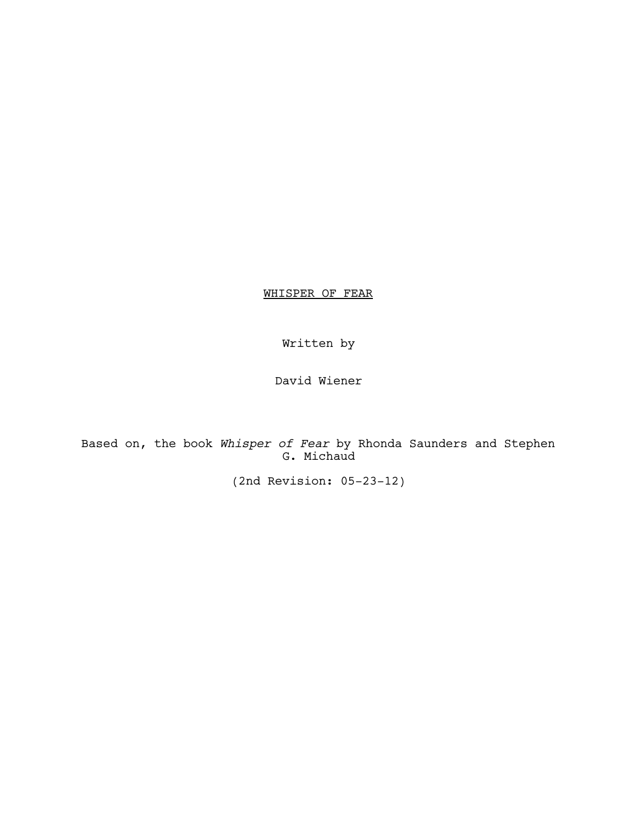WHISPER OF FEAR

Written by

David Wiener

Based on, the book *Whisper of Fear* by Rhonda Saunders and Stephen G. Michaud

(2nd Revision: 05-23-12)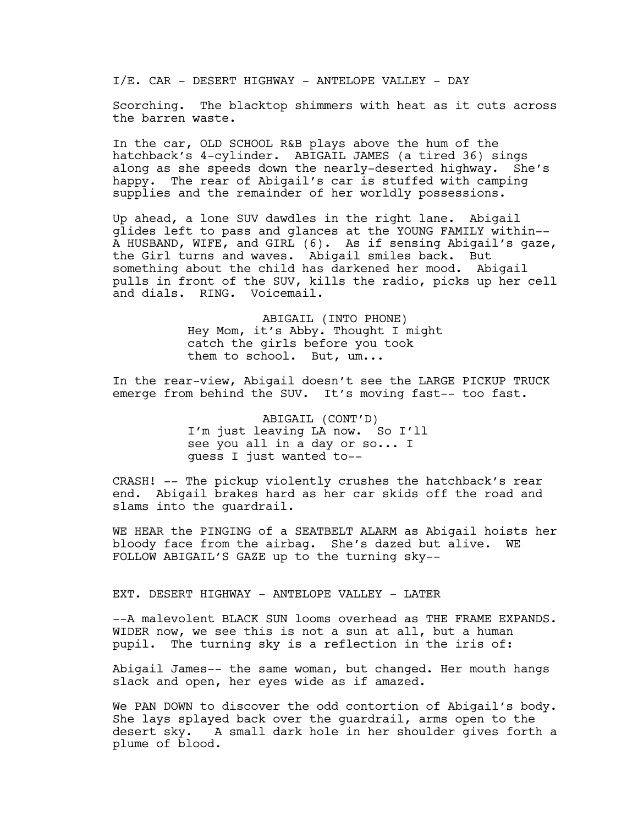I/E. CAR - DESERT HIGHWAY - ANTELOPE VALLEY - DAY

Scorching. The blacktop shimmers with heat as it cuts across the barren waste.

In the car, OLD SCHOOL R&B plays above the hum of the hatchback's 4-cylinder. ABIGAIL JAMES (a tired 36) sings along as she speeds down the nearly-deserted highway. She's happy. The rear of Abigail's car is stuffed with camping supplies and the remainder of her worldly possessions.

Up ahead, a lone SUV dawdles in the right lane. Abigail glides left to pass and glances at the YOUNG FAMILY within-- A HUSBAND, WIFE, and GIRL (6). As if sensing Abigail's gaze, the Girl turns and waves. Abigail smiles back. But something about the child has darkened her mood. Abigail pulls in front of the SUV, kills the radio, picks up her cell and dials. RING. Voicemail.

> ABIGAIL (INTO PHONE) Hey Mom, it's Abby. Thought I might catch the girls before you took them to school. But, um...

In the rear-view, Abigail doesn't see the LARGE PICKUP TRUCK emerge from behind the SUV. It's moving fast-- too fast.

> ABIGAIL (CONT'D) I'm just leaving LA now. So I'll see you all in a day or so... I guess I just wanted to--

CRASH! -- The pickup violently crushes the hatchback's rear end. Abigail brakes hard as her car skids off the road and slams into the guardrail.

WE HEAR the PINGING of a SEATBELT ALARM as Abigail hoists her bloody face from the airbag. She's dazed but alive. WE FOLLOW ABIGAIL'S GAZE up to the turning sky--

EXT. DESERT HIGHWAY - ANTELOPE VALLEY - LATER

--A malevolent BLACK SUN looms overhead as THE FRAME EXPANDS. WIDER now, we see this is not a sun at all, but a human pupil. The turning sky is a reflection in the iris of:

Abigail James-- the same woman, but changed. Her mouth hangs slack and open, her eyes wide as if amazed.

We PAN DOWN to discover the odd contortion of Abigail's body. She lays splayed back over the guardrail, arms open to the desert sky. A small dark hole in her shoulder gives forth a plume of blood.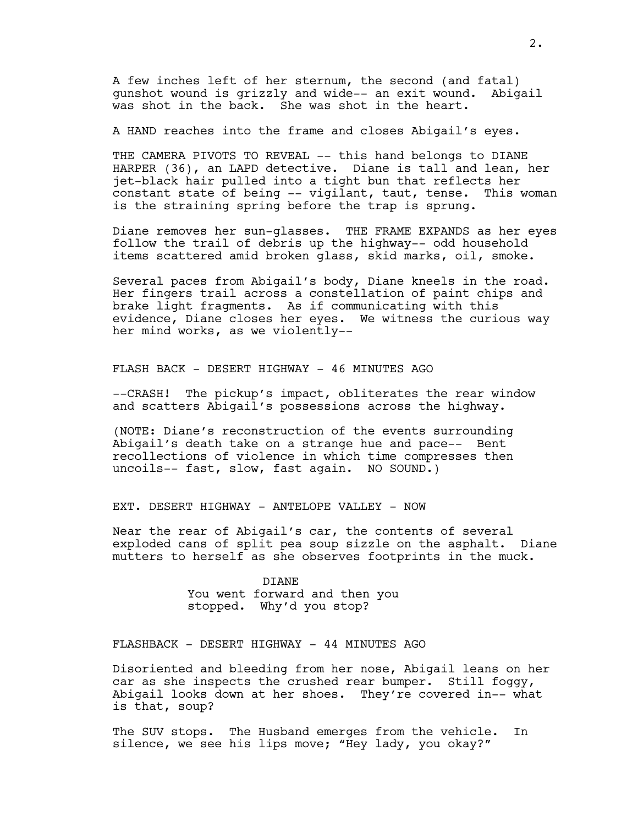A few inches left of her sternum, the second (and fatal) gunshot wound is grizzly and wide-- an exit wound. Abigail was shot in the back. She was shot in the heart.

A HAND reaches into the frame and closes Abigail's eyes.

THE CAMERA PIVOTS TO REVEAL -- this hand belongs to DIANE HARPER (36), an LAPD detective. Diane is tall and lean, her jet-black hair pulled into a tight bun that reflects her constant state of being -- vigilant, taut, tense. This woman is the straining spring before the trap is sprung.

Diane removes her sun-glasses. THE FRAME EXPANDS as her eyes follow the trail of debris up the highway-- odd household items scattered amid broken glass, skid marks, oil, smoke.

Several paces from Abigail's body, Diane kneels in the road. Her fingers trail across a constellation of paint chips and brake light fragments. As if communicating with this evidence, Diane closes her eyes. We witness the curious way her mind works, as we violently--

FLASH BACK - DESERT HIGHWAY - 46 MINUTES AGO

--CRASH! The pickup's impact, obliterates the rear window and scatters Abigail's possessions across the highway.

(NOTE: Diane's reconstruction of the events surrounding Abigail's death take on a strange hue and pace-- Bent recollections of violence in which time compresses then uncoils-- fast, slow, fast again. NO SOUND.)

# EXT. DESERT HIGHWAY - ANTELOPE VALLEY - NOW

Near the rear of Abigail's car, the contents of several exploded cans of split pea soup sizzle on the asphalt. Diane mutters to herself as she observes footprints in the muck.

> DIANE You went forward and then you stopped. Why'd you stop?

FLASHBACK - DESERT HIGHWAY - 44 MINUTES AGO

Disoriented and bleeding from her nose, Abigail leans on her car as she inspects the crushed rear bumper. Still foggy, Abigail looks down at her shoes. They're covered in-- what is that, soup?

The SUV stops. The Husband emerges from the vehicle. In silence, we see his lips move; "Hey lady, you okay?"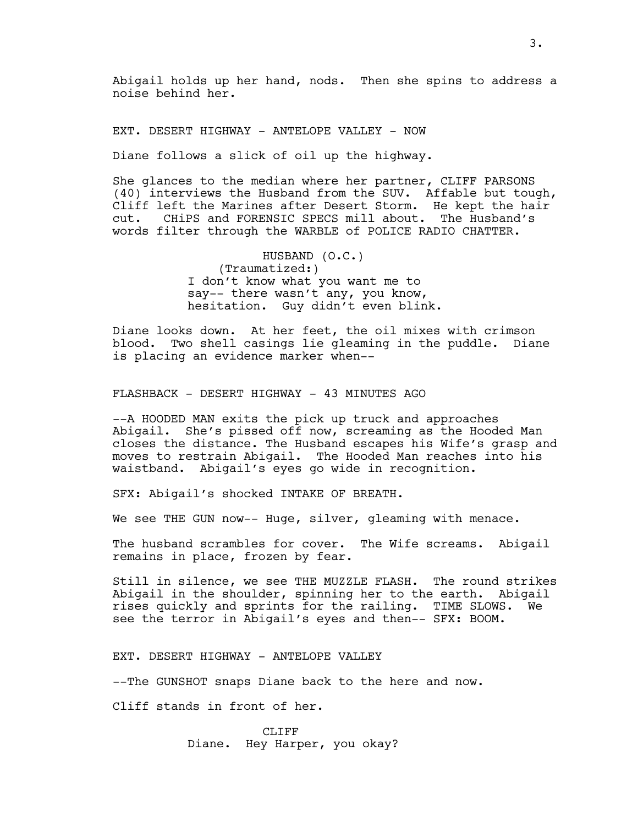Abigail holds up her hand, nods. Then she spins to address a noise behind her.

EXT. DESERT HIGHWAY - ANTELOPE VALLEY - NOW

Diane follows a slick of oil up the highway.

She glances to the median where her partner, CLIFF PARSONS (40) interviews the Husband from the SUV. Affable but tough, Cliff left the Marines after Desert Storm. He kept the hair cut. CHiPS and FORENSIC SPECS mill about. The Husband's words filter through the WARBLE of POLICE RADIO CHATTER.

> HUSBAND (O.C.) (Traumatized:) I don't know what you want me to say-- there wasn't any, you know, hesitation. Guy didn't even blink.

Diane looks down. At her feet, the oil mixes with crimson blood. Two shell casings lie gleaming in the puddle. Diane is placing an evidence marker when--

FLASHBACK - DESERT HIGHWAY - 43 MINUTES AGO

--A HOODED MAN exits the pick up truck and approaches Abigail. She's pissed off now, screaming as the Hooded Man closes the distance. The Husband escapes his Wife's grasp and moves to restrain Abigail. The Hooded Man reaches into his waistband. Abigail's eyes go wide in recognition.

SFX: Abigail's shocked INTAKE OF BREATH.

We see THE GUN now-- Huge, silver, gleaming with menace.

The husband scrambles for cover. The Wife screams. Abigail remains in place, frozen by fear.

Still in silence, we see THE MUZZLE FLASH. The round strikes Abigail in the shoulder, spinning her to the earth. Abigail rises quickly and sprints for the railing. TIME SLOWS. We see the terror in Abigail's eyes and then-- SFX: BOOM.

EXT. DESERT HIGHWAY - ANTELOPE VALLEY

--The GUNSHOT snaps Diane back to the here and now.

Cliff stands in front of her.

CLIFF Diane. Hey Harper, you okay?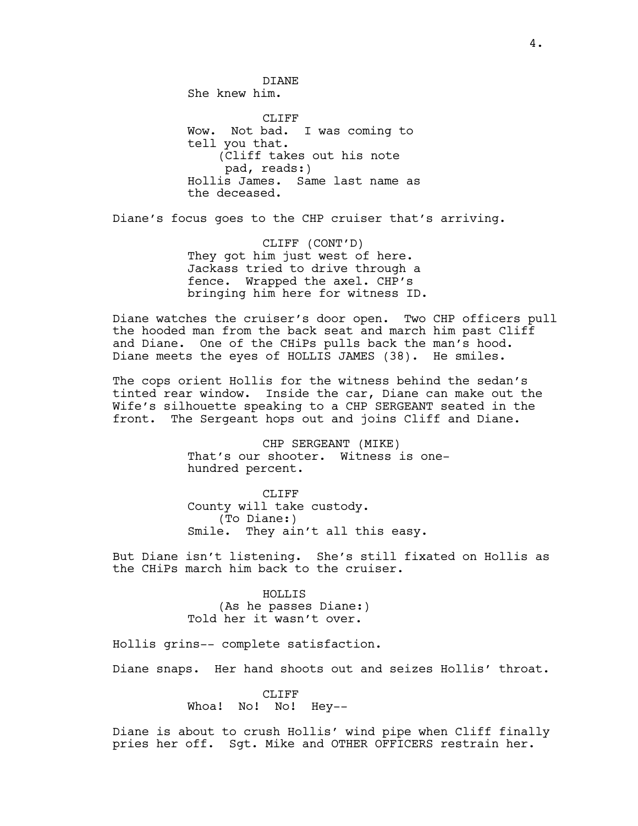DIANE She knew him. CLIFF Wow. Not bad. I was coming to tell you that. (Cliff takes out his note pad, reads:) Hollis James. Same last name as the deceased.

Diane's focus goes to the CHP cruiser that's arriving.

CLIFF (CONT'D) They got him just west of here. Jackass tried to drive through a fence. Wrapped the axel. CHP's bringing him here for witness ID.

Diane watches the cruiser's door open. Two CHP officers pull the hooded man from the back seat and march him past Cliff and Diane. One of the CHiPs pulls back the man's hood. Diane meets the eyes of HOLLIS JAMES (38). He smiles.

The cops orient Hollis for the witness behind the sedan's tinted rear window. Inside the car, Diane can make out the Wife's silhouette speaking to a CHP SERGEANT seated in the front. The Sergeant hops out and joins Cliff and Diane.

> CHP SERGEANT (MIKE) That's our shooter. Witness is onehundred percent.

CLIFF County will take custody. (To Diane:) Smile. They ain't all this easy.

But Diane isn't listening. She's still fixated on Hollis as the CHiPs march him back to the cruiser.

> HOLLIS (As he passes Diane:) Told her it wasn't over.

Hollis grins-- complete satisfaction.

Diane snaps. Her hand shoots out and seizes Hollis' throat.

CLIFF Whoa! No! No! Hey--

Diane is about to crush Hollis' wind pipe when Cliff finally pries her off. Sgt. Mike and OTHER OFFICERS restrain her.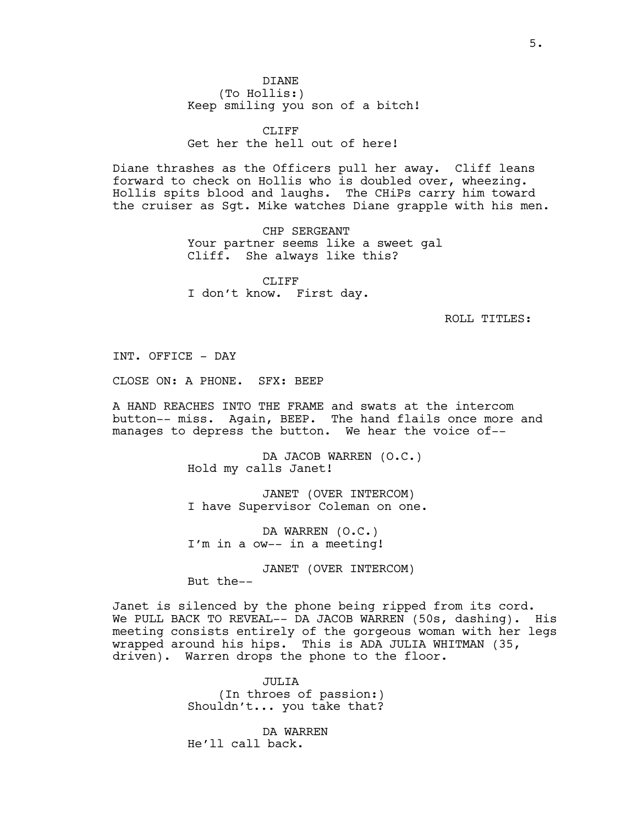DIANE (To Hollis:) Keep smiling you son of a bitch!

CLIFF<sub></sub> Get her the hell out of here!

Diane thrashes as the Officers pull her away. Cliff leans forward to check on Hollis who is doubled over, wheezing. Hollis spits blood and laughs. The CHiPs carry him toward the cruiser as Sgt. Mike watches Diane grapple with his men.

> CHP SERGEANT Your partner seems like a sweet gal Cliff. She always like this?

CLIFF I don't know. First day.

ROLL TITLES:

INT. OFFICE - DAY

CLOSE ON: A PHONE. SFX: BEEP

A HAND REACHES INTO THE FRAME and swats at the intercom button-- miss. Again, BEEP. The hand flails once more and manages to depress the button. We hear the voice of--

> DA JACOB WARREN (O.C.) Hold my calls Janet!

JANET (OVER INTERCOM) I have Supervisor Coleman on one.

DA WARREN (O.C.) I'm in a ow-- in a meeting!

JANET (OVER INTERCOM)

But the--

Janet is silenced by the phone being ripped from its cord. We PULL BACK TO REVEAL-- DA JACOB WARREN (50s, dashing). His meeting consists entirely of the gorgeous woman with her legs wrapped around his hips. This is ADA JULIA WHITMAN (35, driven). Warren drops the phone to the floor.

> JULIA (In throes of passion:) Shouldn't... you take that?

DA WARREN He'll call back.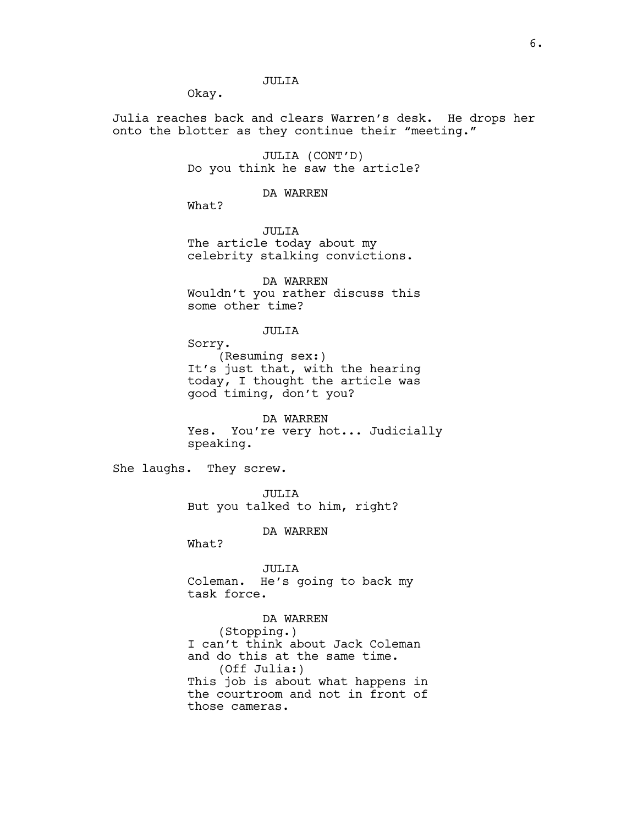# JULIA

Okay.

Julia reaches back and clears Warren's desk. He drops her onto the blotter as they continue their "meeting."

> JULIA (CONT'D) Do you think he saw the article?

> > DA WARREN

What?

JULIA The article today about my celebrity stalking convictions.

DA WARREN Wouldn't you rather discuss this some other time?

# JULIA

Sorry. (Resuming sex:) It's just that, with the hearing today, I thought the article was good timing, don't you?

DA WARREN Yes. You're very hot... Judicially speaking.

She laughs. They screw.

JULIA But you talked to him, right?

DA WARREN

What?

JULIA Coleman. He's going to back my task force.

DA WARREN (Stopping.) I can't think about Jack Coleman and do this at the same time. (Off Julia:) This job is about what happens in the courtroom and not in front of those cameras.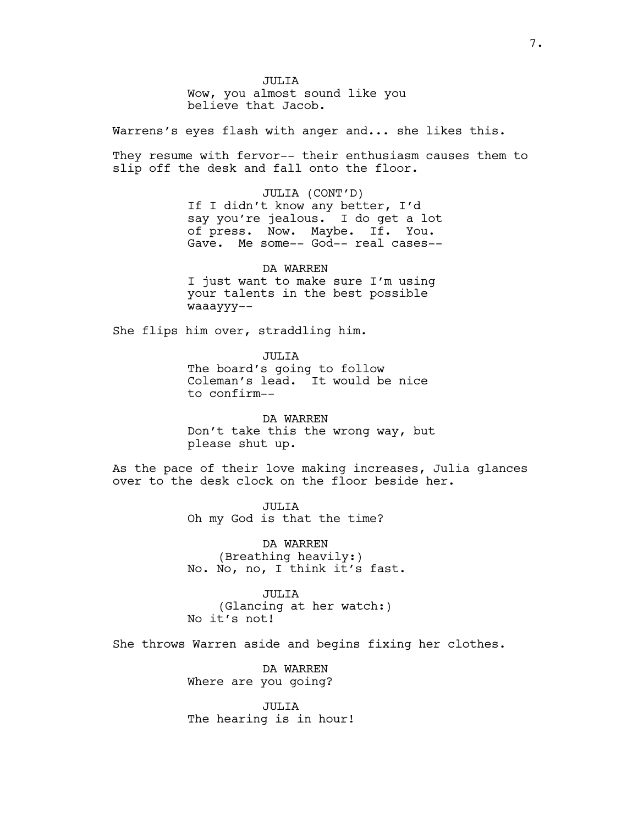JULIA Wow, you almost sound like you believe that Jacob.

Warrens's eyes flash with anger and... she likes this.

They resume with fervor-- their enthusiasm causes them to slip off the desk and fall onto the floor.

> JULIA (CONT'D) If I didn't know any better, I'd say you're jealous. I do get a lot of press. Now. Maybe. If. You. Gave. Me some-- God-- real cases--

DA WARREN I just want to make sure I'm using your talents in the best possible waaayyy--

She flips him over, straddling him.

JULIA The board's going to follow Coleman's lead. It would be nice to confirm--

DA WARREN Don't take this the wrong way, but please shut up.

As the pace of their love making increases, Julia glances over to the desk clock on the floor beside her.

> JULIA Oh my God is that the time?

DA WARREN (Breathing heavily:) No. No, no, I think it's fast.

JULIA (Glancing at her watch:) No it's not!

She throws Warren aside and begins fixing her clothes.

DA WARREN Where are you going?

JULIA The hearing is in hour!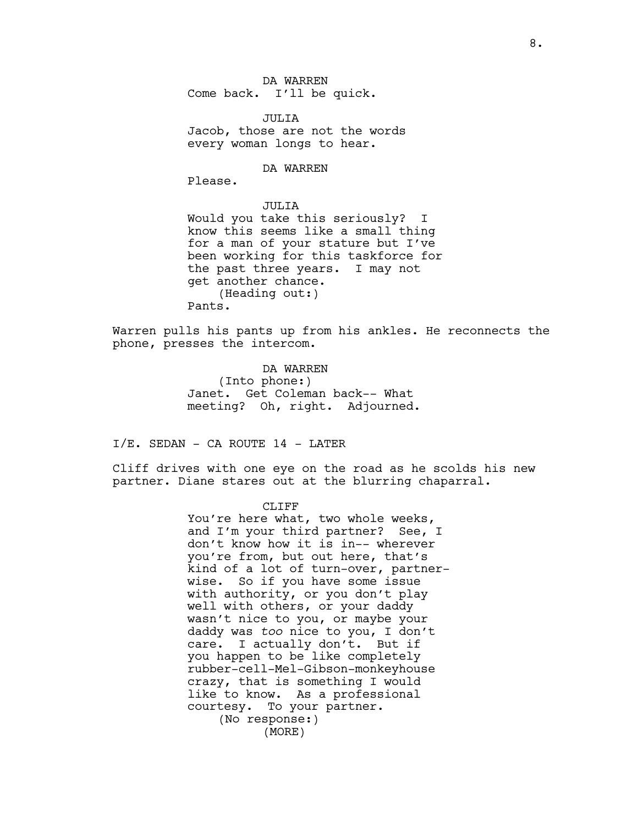DA WARREN Come back. I'll be quick.

JULIA Jacob, those are not the words every woman longs to hear.

# DA WARREN

Please.

JULIA Would you take this seriously? I know this seems like a small thing for a man of your stature but I've been working for this taskforce for the past three years. I may not get another chance. (Heading out:) Pants.

Warren pulls his pants up from his ankles. He reconnects the phone, presses the intercom.

> DA WARREN (Into phone:) Janet. Get Coleman back-- What meeting? Oh, right. Adjourned.

I/E. SEDAN - CA ROUTE 14 - LATER

Cliff drives with one eye on the road as he scolds his new partner. Diane stares out at the blurring chaparral.

> CLIFF You're here what, two whole weeks, and I'm your third partner? See, I don't know how it is in-- wherever you're from, but out here, that's kind of a lot of turn-over, partnerwise. So if you have some issue with authority, or you don't play well with others, or your daddy wasn't nice to you, or maybe your daddy was *too* nice to you, I don't care. I actually don't. But if you happen to be like completely rubber-cell-Mel-Gibson-monkeyhouse crazy, that is something I would like to know. As a professional courtesy. To your partner. (No response:) (MORE)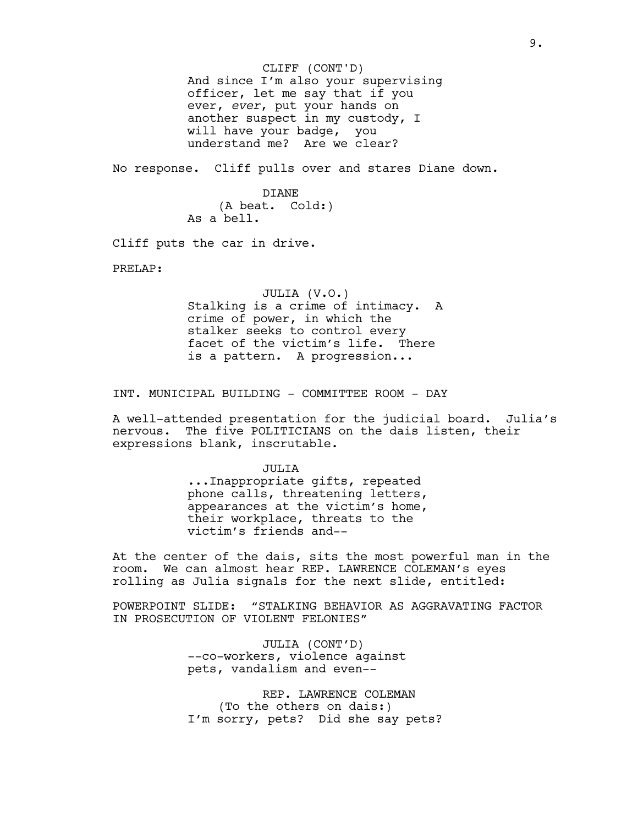And since I'm also your supervising officer, let me say that if you ever, *ever*, put your hands on another suspect in my custody, I will have your badge, you understand me? Are we clear? CLIFF (CONT'D)

No response. Cliff pulls over and stares Diane down.

DIANE (A beat. Cold:) As a bell.

Cliff puts the car in drive.

PRELAP:

JULIA (V.O.) Stalking is a crime of intimacy. A crime of power, in which the stalker seeks to control every facet of the victim's life. There is a pattern. A progression...

INT. MUNICIPAL BUILDING - COMMITTEE ROOM - DAY

A well-attended presentation for the judicial board. Julia's nervous. The five POLITICIANS on the dais listen, their expressions blank, inscrutable.

> JULIA ...Inappropriate gifts, repeated phone calls, threatening letters, appearances at the victim's home, their workplace, threats to the victim's friends and--

At the center of the dais, sits the most powerful man in the room. We can almost hear REP. LAWRENCE COLEMAN's eyes rolling as Julia signals for the next slide, entitled:

POWERPOINT SLIDE: "STALKING BEHAVIOR AS AGGRAVATING FACTOR IN PROSECUTION OF VIOLENT FELONIES"

> JULIA (CONT'D) --co-workers, violence against pets, vandalism and even--

REP. LAWRENCE COLEMAN (To the others on dais:) I'm sorry, pets? Did she say pets?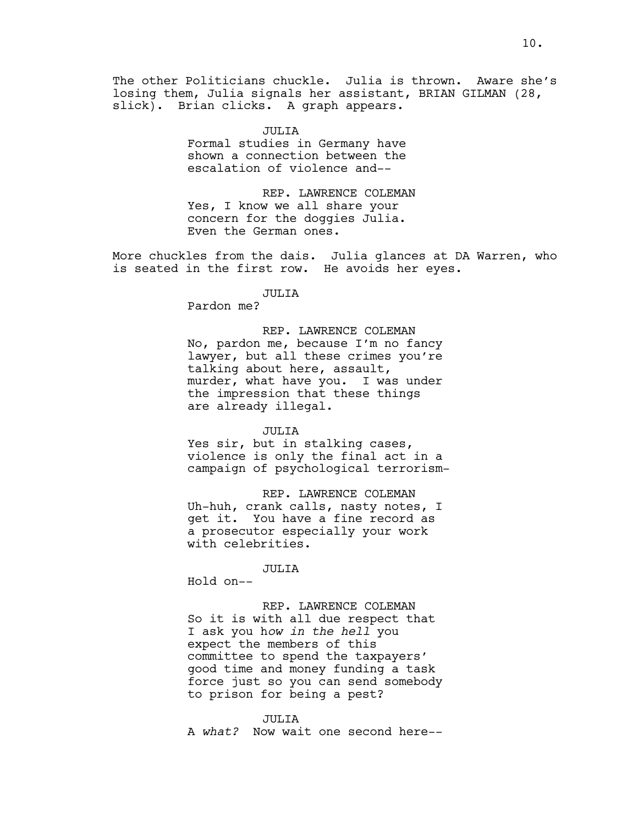The other Politicians chuckle. Julia is thrown. Aware she's losing them, Julia signals her assistant, BRIAN GILMAN (28, slick). Brian clicks. A graph appears.

> JULIA Formal studies in Germany have shown a connection between the escalation of violence and--

REP. LAWRENCE COLEMAN Yes, I know we all share your concern for the doggies Julia. Even the German ones.

More chuckles from the dais. Julia glances at DA Warren, who is seated in the first row. He avoids her eyes.

JULIA

Pardon me?

REP. LAWRENCE COLEMAN No, pardon me, because I'm no fancy lawyer, but all these crimes you're talking about here, assault, murder, what have you. I was under the impression that these things are already illegal.

JULIA

Yes sir, but in stalking cases, violence is only the final act in a campaign of psychological terrorism-

REP. LAWRENCE COLEMAN Uh-huh, crank calls, nasty notes, I get it. You have a fine record as a prosecutor especially your work with celebrities.

JULIA Hold on--

REP. LAWRENCE COLEMAN So it is with all due respect that I ask you h*ow in the hell* you expect the members of this committee to spend the taxpayers' good time and money funding a task force just so you can send somebody to prison for being a pest?

JULIA A *what?* Now wait one second here--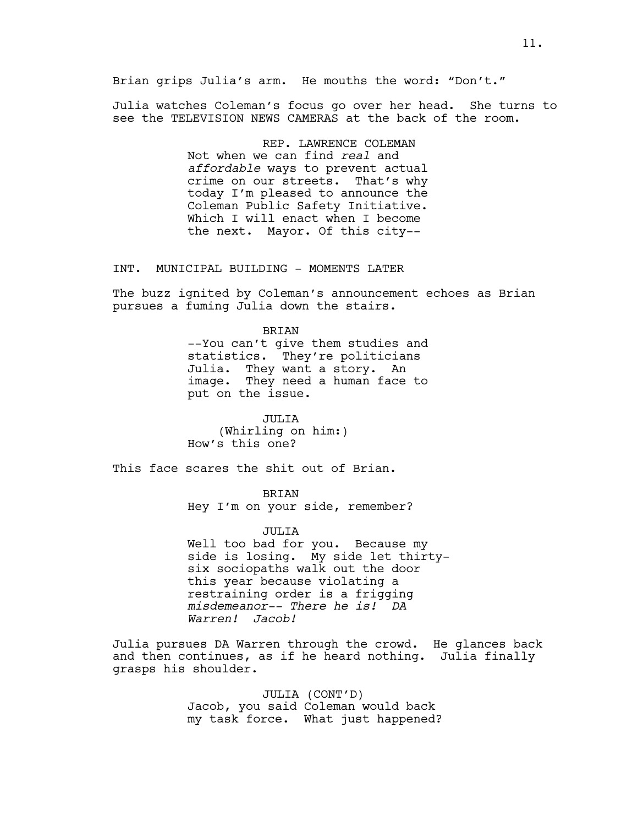Julia watches Coleman's focus go over her head. She turns to see the TELEVISION NEWS CAMERAS at the back of the room.

> REP. LAWRENCE COLEMAN Not when we can find *real* and *affordable* ways to prevent actual crime on our streets. That's why today I'm pleased to announce the Coleman Public Safety Initiative. Which I will enact when I become the next. Mayor. Of this city--

INT. MUNICIPAL BUILDING - MOMENTS LATER

The buzz ignited by Coleman's announcement echoes as Brian pursues a fuming Julia down the stairs.

> BRIAN --You can't give them studies and statistics. They're politicians Julia. They want a story. An image. They need a human face to put on the issue.

JULIA (Whirling on him:) How's this one?

This face scares the shit out of Brian.

BRIAN

Hey I'm on your side, remember?

JULIA

Well too bad for you. Because my side is losing. My side let thirtysix sociopaths walk out the door this year because violating a restraining order is a frigging *misdemeanor-- There he is! DA Warren! Jacob!*

Julia pursues DA Warren through the crowd. He glances back and then continues, as if he heard nothing. Julia finally grasps his shoulder.

> JULIA (CONT'D) Jacob, you said Coleman would back my task force. What just happened?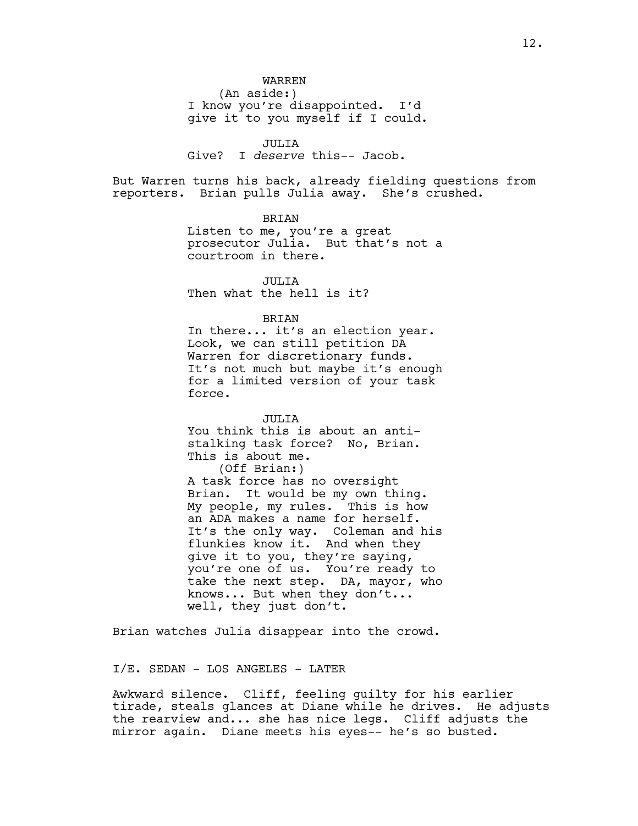JULIA

Give? I *deserve* this-- Jacob.

But Warren turns his back, already fielding questions from reporters. Brian pulls Julia away. She's crushed.

BRIAN

Listen to me, you're a great prosecutor Julia. But that's not a courtroom in there.

JULIA Then what the hell is it?

BRIAN

In there... it's an election year. Look, we can still petition DA Warren for discretionary funds. It's not much but maybe it's enough for a limited version of your task force.

JULIA You think this is about an antistalking task force? No, Brian. This is about me. (Off Brian:) A task force has no oversight Brian. It would be my own thing. My people, my rules. This is how an ADA makes a name for herself. It's the only way. Coleman and his flunkies know it. And when they give it to you, they're saying, you're one of us. You're ready to take the next step. DA, mayor, who knows... But when they don't... well, they just don't.

Brian watches Julia disappear into the crowd.

I/E. SEDAN - LOS ANGELES - LATER

Awkward silence. Cliff, feeling guilty for his earlier tirade, steals glances at Diane while he drives. He adjusts the rearview and... she has nice legs. Cliff adjusts the mirror again. Diane meets his eyes-- he's so busted.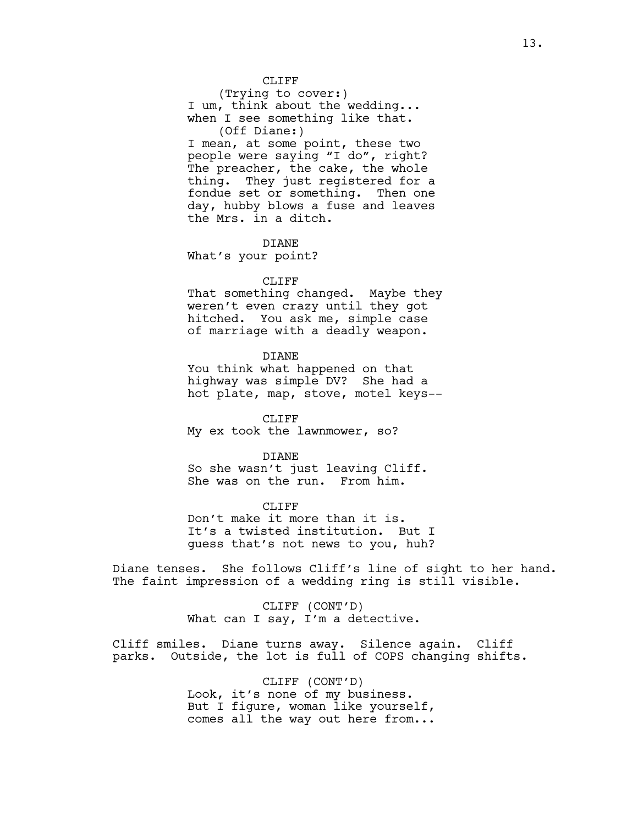CLIFF

(Trying to cover:) I um, think about the wedding... when I see something like that. (Off Diane:) I mean, at some point, these two people were saying "I do", right? The preacher, the cake, the whole thing. They just registered for a fondue set or something. Then one day, hubby blows a fuse and leaves the Mrs. in a ditch.

DIANE What's your point?

# CLIFF

That something changed. Maybe they weren't even crazy until they got hitched. You ask me, simple case of marriage with a deadly weapon.

DIANE

You think what happened on that highway was simple DV? She had a hot plate, map, stove, motel keys--

CLIFF My ex took the lawnmower, so?

DIANE So she wasn't just leaving Cliff. She was on the run. From him.

CLIFF Don't make it more than it is. It's a twisted institution. But I guess that's not news to you, huh?

Diane tenses. She follows Cliff's line of sight to her hand. The faint impression of a wedding ring is still visible.

> CLIFF (CONT'D) What can I say, I'm a detective.

Cliff smiles. Diane turns away. Silence again. Cliff parks. Outside, the lot is full of COPS changing shifts.

> CLIFF (CONT'D) Look, it's none of my business. But I figure, woman like yourself, comes all the way out here from...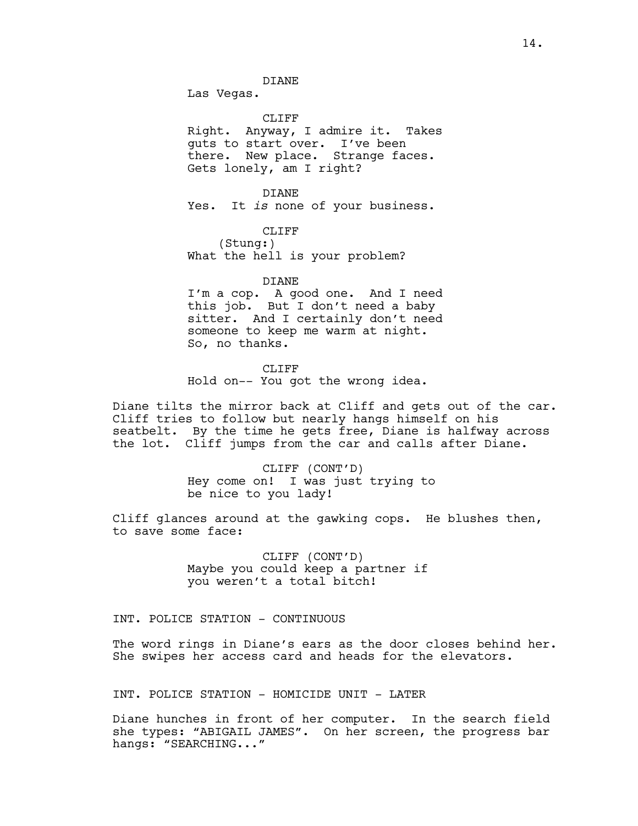Las Vegas.

CLIFF<sub></sub> Right. Anyway, I admire it. Takes guts to start over. I've been there. New place. Strange faces. Gets lonely, am I right?

DIANE Yes. It *is* none of your business.

> CLIFF (Stung:)

What the hell is your problem?

DIANE I'm a cop. A good one. And I need this job. But I don't need a baby sitter. And I certainly don't need someone to keep me warm at night. So, no thanks.

CLIFF Hold on-- You got the wrong idea.

Diane tilts the mirror back at Cliff and gets out of the car. Cliff tries to follow but nearly hangs himself on his seatbelt. By the time he gets free, Diane is halfway across the lot. Cliff jumps from the car and calls after Diane.

> CLIFF (CONT'D) Hey come on! I was just trying to be nice to you lady!

Cliff glances around at the gawking cops. He blushes then, to save some face:

> CLIFF (CONT'D) Maybe you could keep a partner if you weren't a total bitch!

INT. POLICE STATION - CONTINUOUS

The word rings in Diane's ears as the door closes behind her. She swipes her access card and heads for the elevators.

INT. POLICE STATION - HOMICIDE UNIT - LATER

Diane hunches in front of her computer. In the search field she types: "ABIGAIL JAMES". On her screen, the progress bar hangs: "SEARCHING..."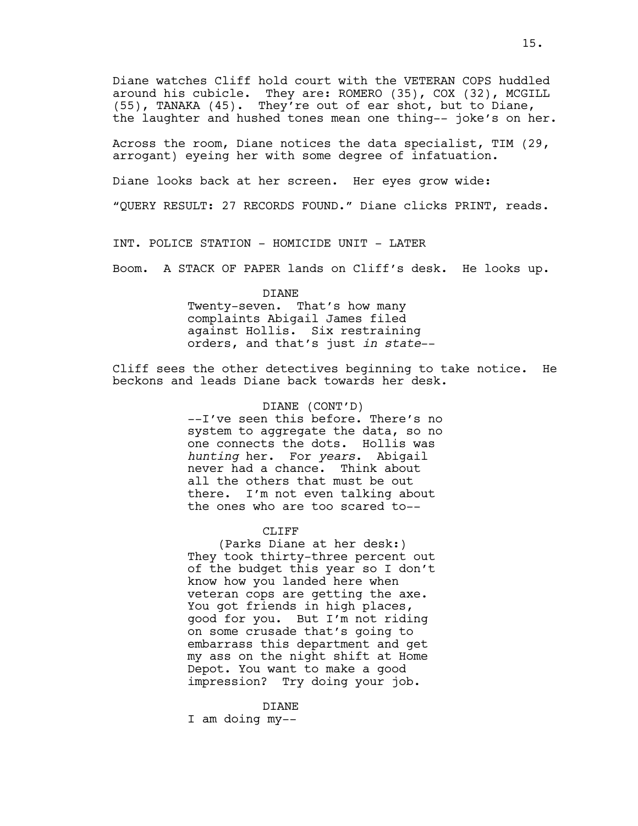Diane watches Cliff hold court with the VETERAN COPS huddled around his cubicle. They are: ROMERO (35), COX (32), MCGILL (55), TANAKA (45). They're out of ear shot, but to Diane, the laughter and hushed tones mean one thing-- joke's on her.

Across the room, Diane notices the data specialist, TIM (29, arrogant) eyeing her with some degree of infatuation.

Diane looks back at her screen. Her eyes grow wide:

"QUERY RESULT: 27 RECORDS FOUND." Diane clicks PRINT, reads.

INT. POLICE STATION - HOMICIDE UNIT - LATER

Boom. A STACK OF PAPER lands on Cliff's desk. He looks up.

# DIANE

Twenty-seven. That's how many complaints Abigail James filed against Hollis. Six restraining orders, and that's just *in state*--

Cliff sees the other detectives beginning to take notice. He beckons and leads Diane back towards her desk.

# DIANE (CONT'D)

--I've seen this before. There's no system to aggregate the data, so no one connects the dots. Hollis was *hunting* her. For *years*. Abigail never had a chance. Think about all the others that must be out there. I'm not even talking about the ones who are too scared to--

# CLIFF

(Parks Diane at her desk:) They took thirty-three percent out of the budget this year so I don't know how you landed here when veteran cops are getting the axe. You got friends in high places, good for you. But I'm not riding on some crusade that's going to embarrass this department and get my ass on the night shift at Home Depot. You want to make a good impression? Try doing your job.

#### DIANE

I am doing my--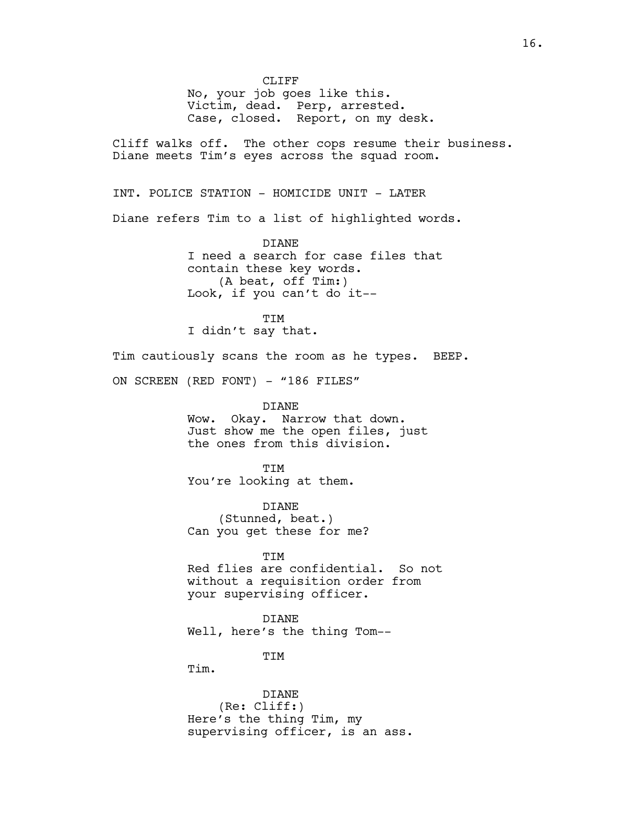CLIFF

No, your job goes like this. Victim, dead. Perp, arrested. Case, closed. Report, on my desk.

Cliff walks off. The other cops resume their business. Diane meets Tim's eyes across the squad room.

INT. POLICE STATION - HOMICIDE UNIT - LATER

Diane refers Tim to a list of highlighted words.

DIANE I need a search for case files that contain these key words. (A beat, off Tim:) Look, if you can't do it--

TIM I didn't say that.

Tim cautiously scans the room as he types. BEEP.

ON SCREEN (RED FONT) - "186 FILES"

DIANE Wow. Okay. Narrow that down. Just show me the open files, just the ones from this division.

**TTM** You're looking at them.

DIANE (Stunned, beat.) Can you get these for me?

TIM Red flies are confidential. So not without a requisition order from your supervising officer.

DIANE Well, here's the thing Tom--

**TTM** 

Tim.

DIANE (Re: Cliff:) Here's the thing Tim, my supervising officer, is an ass.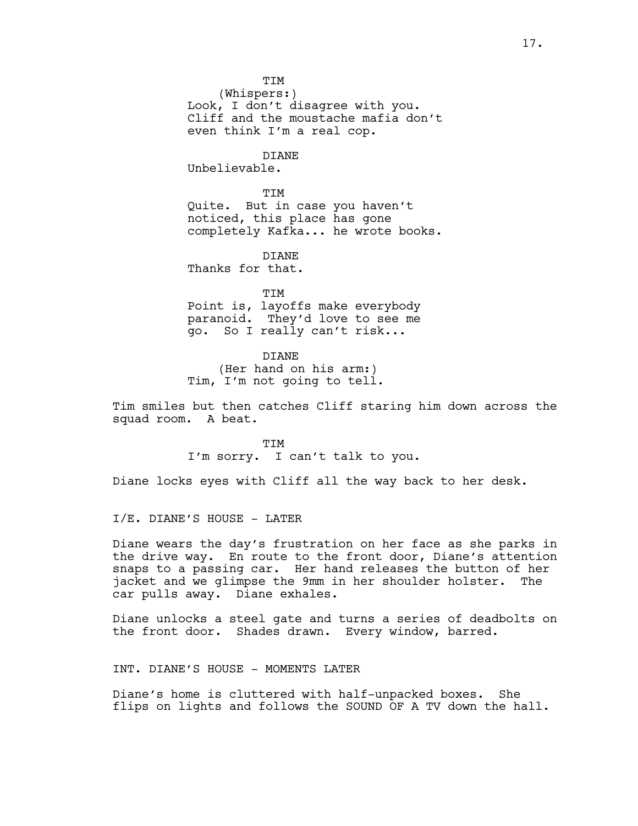**TTM** 

(Whispers:) Look, I don't disagree with you. Cliff and the moustache mafia don't even think I'm a real cop.

DIANE Unbelievable.

**TTM** Quite. But in case you haven't noticed, this place has gone completely Kafka... he wrote books.

**DIANE** Thanks for that.

**TTM** Point is, layoffs make everybody paranoid. They'd love to see me go. So I really can't risk...

DIANE (Her hand on his arm:) Tim, I'm not going to tell.

Tim smiles but then catches Cliff staring him down across the squad room. A beat.

> TIM I'm sorry. I can't talk to you.

Diane locks eyes with Cliff all the way back to her desk.

I/E. DIANE'S HOUSE - LATER

Diane wears the day's frustration on her face as she parks in the drive way. En route to the front door, Diane's attention snaps to a passing car. Her hand releases the button of her jacket and we glimpse the 9mm in her shoulder holster. The car pulls away. Diane exhales.

Diane unlocks a steel gate and turns a series of deadbolts on the front door. Shades drawn. Every window, barred.

INT. DIANE'S HOUSE - MOMENTS LATER

Diane's home is cluttered with half-unpacked boxes. She flips on lights and follows the SOUND OF A TV down the hall.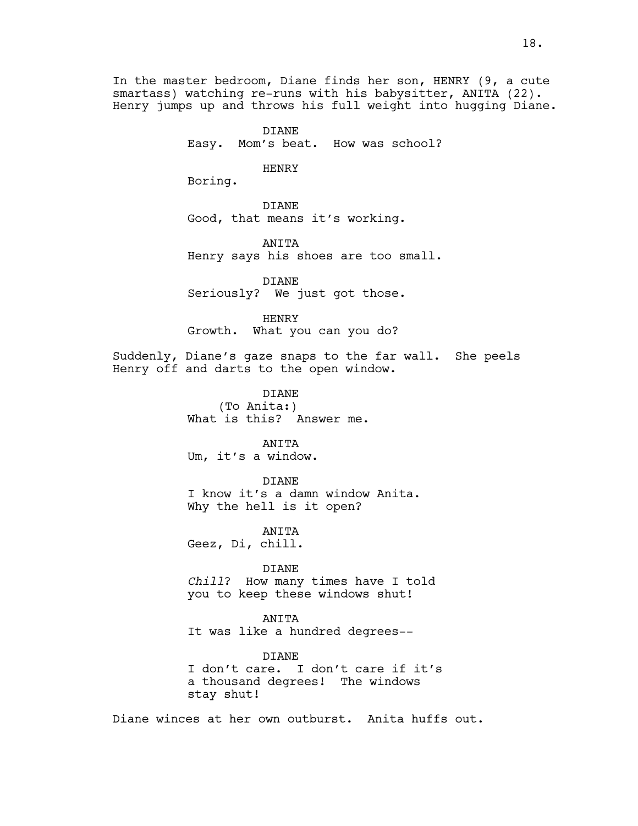In the master bedroom, Diane finds her son, HENRY (9, a cute smartass) watching re-runs with his babysitter, ANITA (22). Henry jumps up and throws his full weight into hugging Diane.

> DIANE Easy. Mom's beat. How was school?

> > HENRY

Boring.

DIANE Good, that means it's working.

ANITA Henry says his shoes are too small.

DIANE Seriously? We just got those.

HENRY Growth. What you can you do?

Suddenly, Diane's gaze snaps to the far wall. She peels Henry off and darts to the open window.

> DIANE (To Anita:) What is this? Answer me.

ANITA Um, it's a window.

DIANE I know it's a damn window Anita. Why the hell is it open?

ANITA Geez, Di, chill.

DIANE *Chill*? How many times have I told you to keep these windows shut!

ANITA It was like a hundred degrees--

DIANE I don't care. I don't care if it's a thousand degrees! The windows stay shut!

Diane winces at her own outburst. Anita huffs out.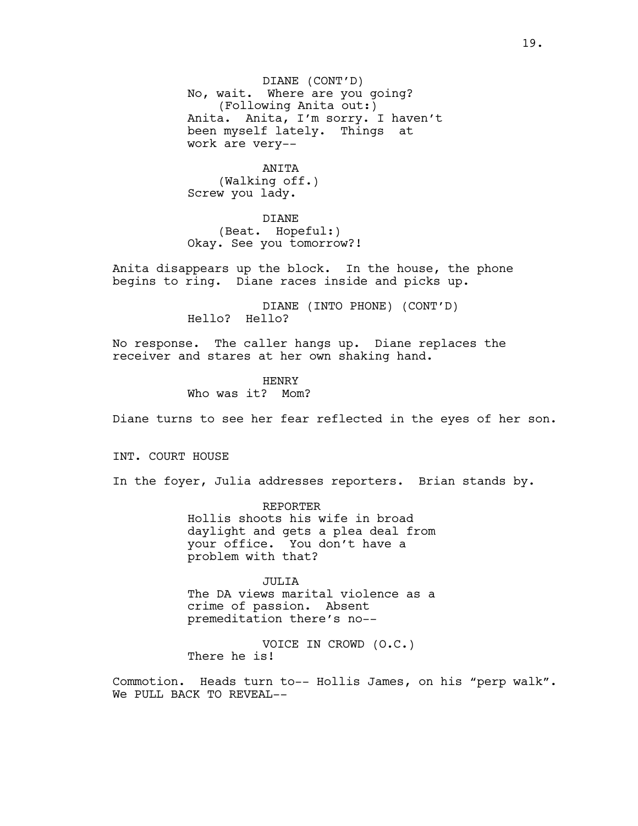DIANE (CONT'D) No, wait. Where are you going? (Following Anita out:) Anita. Anita, I'm sorry. I haven't been myself lately. Things at work are very--

> ANITA (Walking off.)

Screw you lady.

DIANE (Beat. Hopeful:) Okay. See you tomorrow?!

Anita disappears up the block. In the house, the phone begins to ring. Diane races inside and picks up.

> DIANE (INTO PHONE) (CONT'D) Hello? Hello?

No response. The caller hangs up. Diane replaces the receiver and stares at her own shaking hand.

> HENRY Who was it? Mom?

Diane turns to see her fear reflected in the eyes of her son.

INT. COURT HOUSE

In the foyer, Julia addresses reporters. Brian stands by.

REPORTER Hollis shoots his wife in broad daylight and gets a plea deal from your office. You don't have a problem with that?

JULIA The DA views marital violence as a crime of passion. Absent premeditation there's no--

VOICE IN CROWD (O.C.) There he is!

Commotion. Heads turn to-- Hollis James, on his "perp walk". We PULL BACK TO REVEAL--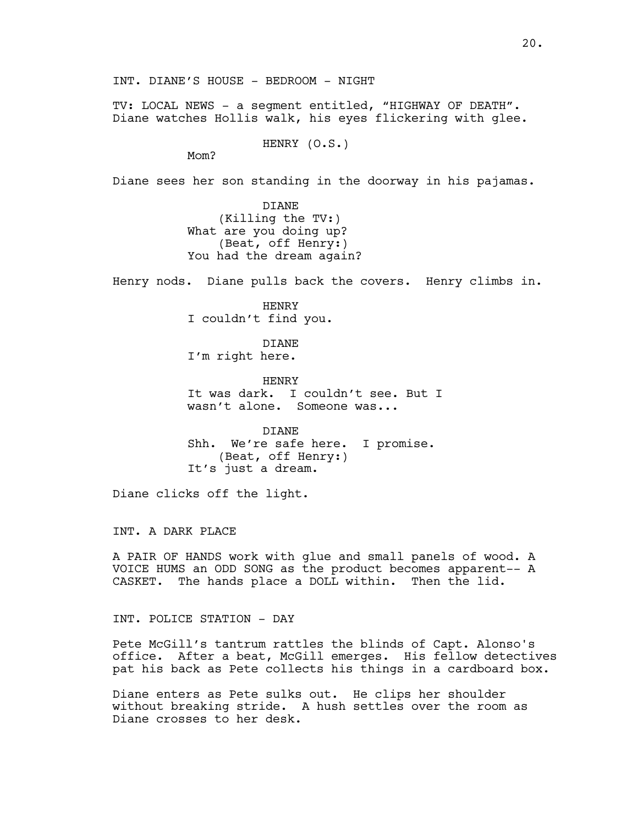TV: LOCAL NEWS - a segment entitled, "HIGHWAY OF DEATH". Diane watches Hollis walk, his eyes flickering with glee.

HENRY (O.S.)

Mom?

Diane sees her son standing in the doorway in his pajamas.

DIANE (Killing the TV:) What are you doing up? (Beat, off Henry:) You had the dream again?

Henry nods. Diane pulls back the covers. Henry climbs in.

HENRY I couldn't find you.

DIANE I'm right here.

HENRY It was dark. I couldn't see. But I wasn't alone. Someone was...

DIANE Shh. We're safe here. I promise. (Beat, off Henry:) It's just a dream.

Diane clicks off the light.

INT. A DARK PLACE

A PAIR OF HANDS work with glue and small panels of wood. A VOICE HUMS an ODD SONG as the product becomes apparent-- A CASKET. The hands place a DOLL within. Then the lid.

INT. POLICE STATION - DAY

Pete McGill's tantrum rattles the blinds of Capt. Alonso's office. After a beat, McGill emerges. His fellow detectives pat his back as Pete collects his things in a cardboard box.

Diane enters as Pete sulks out. He clips her shoulder without breaking stride. A hush settles over the room as Diane crosses to her desk.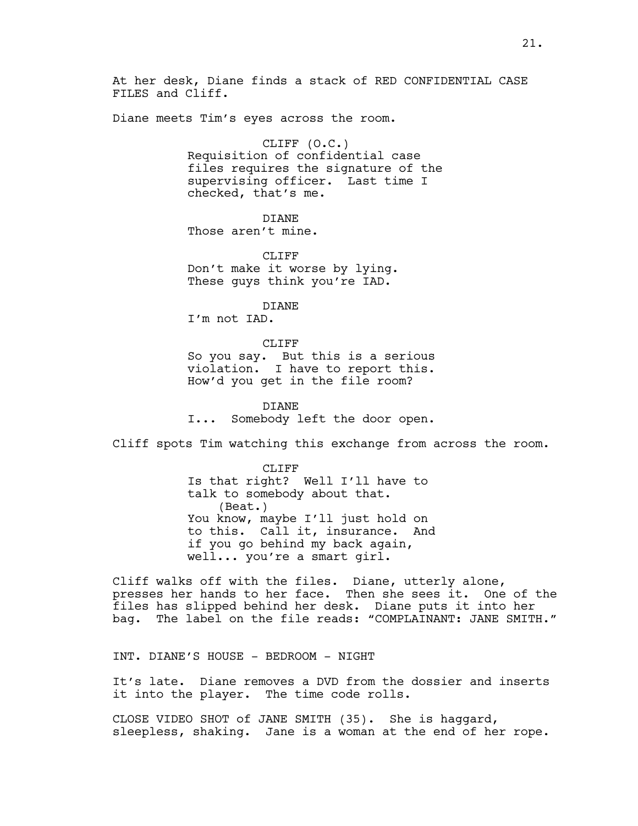At her desk, Diane finds a stack of RED CONFIDENTIAL CASE FILES and Cliff.

Diane meets Tim's eyes across the room.

CLIFF (O.C.) Requisition of confidential case files requires the signature of the supervising officer. Last time I checked, that's me.

DIANE

Those aren't mine.

CLIFF<sub></sub> Don't make it worse by lying. These guys think you're IAD.

DIANE

I'm not IAD.

# CLIFF

So you say. But this is a serious violation. I have to report this. How'd you get in the file room?

DIANE I... Somebody left the door open.

Cliff spots Tim watching this exchange from across the room.

CLIFF<sup></sup> Is that right? Well I'll have to talk to somebody about that. (Beat.) You know, maybe I'll just hold on to this. Call it, insurance. And if you go behind my back again, well... you're a smart girl.

Cliff walks off with the files. Diane, utterly alone, presses her hands to her face. Then she sees it. One of the files has slipped behind her desk. Diane puts it into her bag. The label on the file reads: "COMPLAINANT: JANE SMITH."

INT. DIANE'S HOUSE - BEDROOM - NIGHT

It's late. Diane removes a DVD from the dossier and inserts it into the player. The time code rolls.

CLOSE VIDEO SHOT of JANE SMITH (35). She is haggard, sleepless, shaking. Jane is a woman at the end of her rope.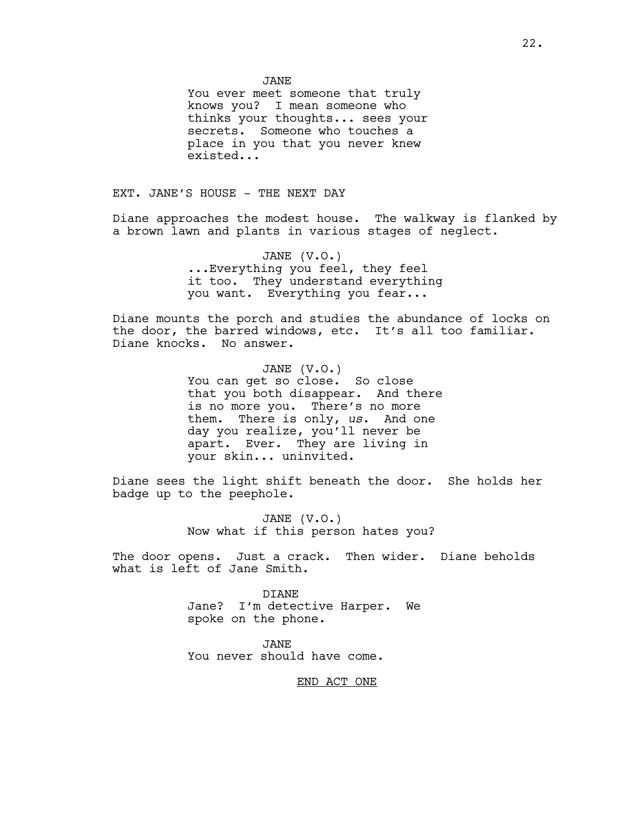JANE

You ever meet someone that truly knows you? I mean someone who thinks your thoughts... sees your secrets. Someone who touches a place in you that you never knew existed...

EXT. JANE'S HOUSE - THE NEXT DAY

Diane approaches the modest house. The walkway is flanked by a brown lawn and plants in various stages of neglect.

> JANE (V.O.) ...Everything you feel, they feel it too. They understand everything you want. Everything you fear...

Diane mounts the porch and studies the abundance of locks on the door, the barred windows, etc. It's all too familiar. Diane knocks. No answer.

> JANE (V.O.) You can get so close. So close that you both disappear. And there is no more you. There's no more them. There is only, *us*. And one day you realize, you'll never be apart. Ever. They are living in your skin... uninvited.

Diane sees the light shift beneath the door. She holds her badge up to the peephole.

> JANE (V.O.) Now what if this person hates you?

The door opens. Just a crack. Then wider. Diane beholds what is left of Jane Smith.

> DIANE Jane? I'm detective Harper. We spoke on the phone.

JANE You never should have come.

END ACT ONE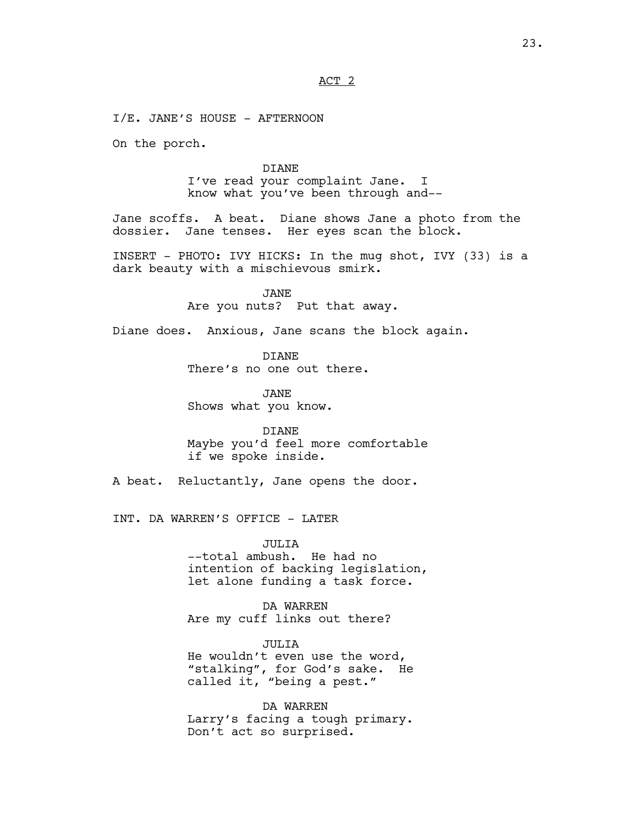ACT 2

I/E. JANE'S HOUSE - AFTERNOON

On the porch.

DIANE I've read your complaint Jane. I know what you've been through and--

Jane scoffs. A beat. Diane shows Jane a photo from the dossier. Jane tenses. Her eyes scan the block.

INSERT - PHOTO: IVY HICKS: In the mug shot, IVY (33) is a dark beauty with a mischievous smirk.

> JANE Are you nuts? Put that away.

Diane does. Anxious, Jane scans the block again.

DIANE There's no one out there.

JANE Shows what you know.

DIANE Maybe you'd feel more comfortable if we spoke inside.

A beat. Reluctantly, Jane opens the door.

INT. DA WARREN'S OFFICE - LATER

JULIA --total ambush. He had no intention of backing legislation, let alone funding a task force.

DA WARREN Are my cuff links out there?

JULIA He wouldn't even use the word, "stalking", for God's sake. He called it, "being a pest."

DA WARREN Larry's facing a tough primary. Don't act so surprised.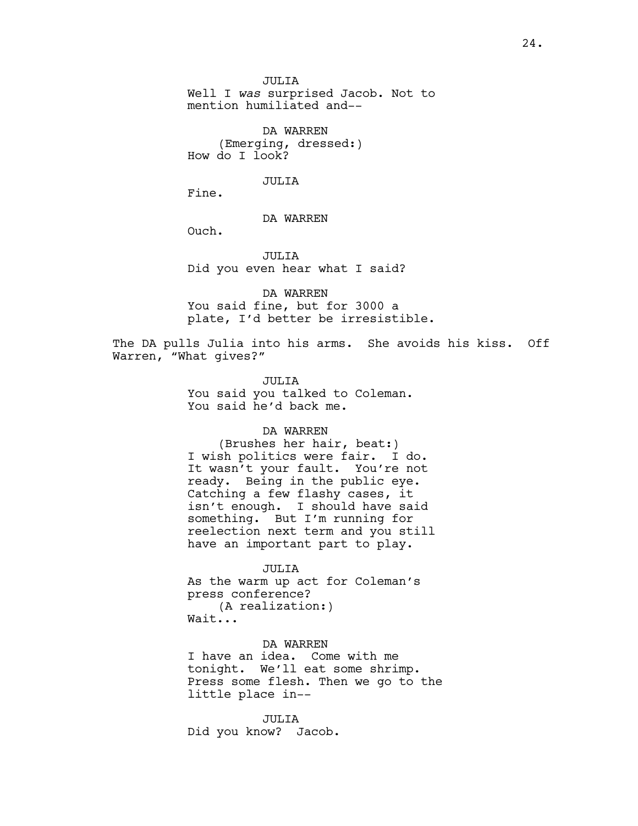JULIA Well I *was* surprised Jacob. Not to mention humiliated and--

DA WARREN (Emerging, dressed:) How do I look?

JULIA

Fine.

# DA WARREN

Ouch.

JULIA Did you even hear what I said?

DA WARREN You said fine, but for 3000 a plate, I'd better be irresistible.

The DA pulls Julia into his arms. She avoids his kiss. Off Warren, "What gives?"

> JULIA You said you talked to Coleman. You said he'd back me.

## DA WARREN

(Brushes her hair, beat:) I wish politics were fair. I do. It wasn't your fault. You're not ready. Being in the public eye. Catching a few flashy cases, it isn't enough. I should have said something. But I'm running for reelection next term and you still have an important part to play.

#### JULIA

As the warm up act for Coleman's press conference? (A realization:) Wait...

DA WARREN I have an idea. Come with me tonight. We'll eat some shrimp. Press some flesh. Then we go to the little place in--

JULIA Did you know? Jacob.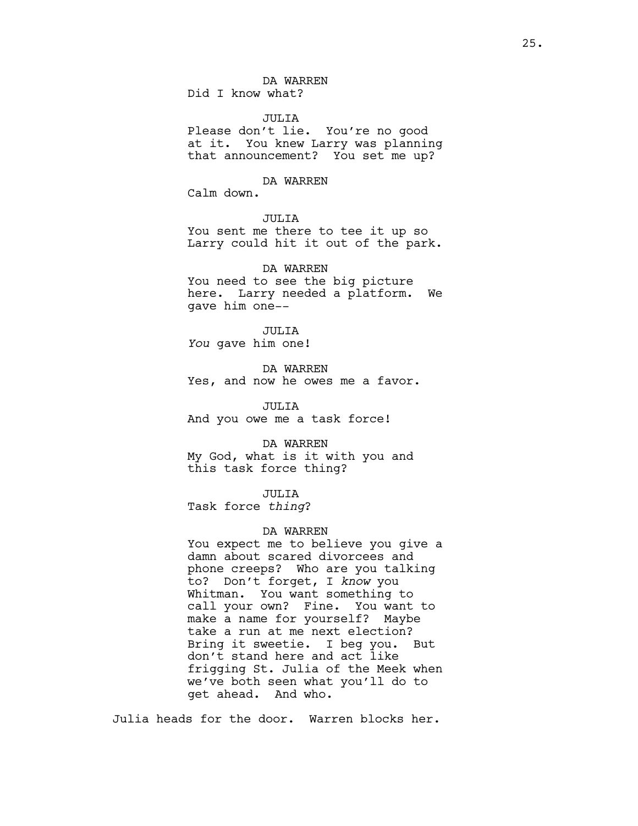DA WARREN Did I know what?

### JULIA

Please don't lie. You're no good at it. You knew Larry was planning that announcement? You set me up?

# DA WARREN

Calm down.

# JULIA

You sent me there to tee it up so Larry could hit it out of the park.

DA WARREN You need to see the big picture here. Larry needed a platform. We gave him one--

JULIA *You* gave him one!

DA WARREN Yes, and now he owes me a favor.

JULIA And you owe me a task force!

DA WARREN My God, what is it with you and this task force thing?

JULIA

Task force *thing*?

## DA WARREN

You expect me to believe you give a damn about scared divorcees and phone creeps? Who are you talking to? Don't forget, I *know* you Whitman. You want something to call your own? Fine. You want to make a name for yourself? Maybe take a run at me next election? Bring it sweetie. I beg you. But don't stand here and act like frigging St. Julia of the Meek when we've both seen what you'll do to get ahead. And who.

Julia heads for the door. Warren blocks her.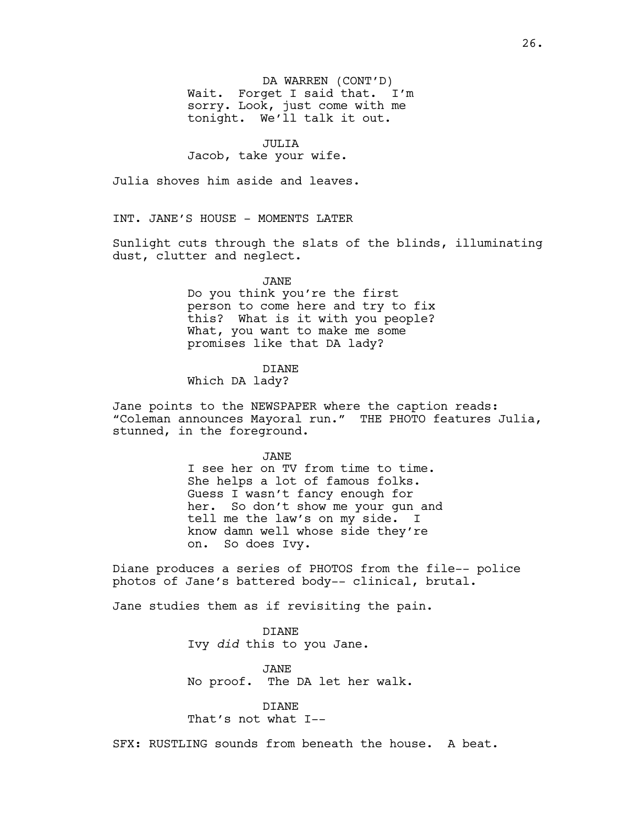DA WARREN (CONT'D) Wait. Forget I said that. I'm sorry. Look, just come with me tonight. We'll talk it out.

# JULIA

Jacob, take your wife.

Julia shoves him aside and leaves.

INT. JANE'S HOUSE - MOMENTS LATER

Sunlight cuts through the slats of the blinds, illuminating dust, clutter and neglect.

# JANE

Do you think you're the first person to come here and try to fix this? What is it with you people? What, you want to make me some promises like that DA lady?

# DIANE

Which DA lady?

Jane points to the NEWSPAPER where the caption reads: "Coleman announces Mayoral run." THE PHOTO features Julia, stunned, in the foreground.

JANE

I see her on TV from time to time. She helps a lot of famous folks. Guess I wasn't fancy enough for her. So don't show me your gun and tell me the law's on my side. I know damn well whose side they're on. So does Ivy.

Diane produces a series of PHOTOS from the file-- police photos of Jane's battered body-- clinical, brutal.

Jane studies them as if revisiting the pain.

DIANE Ivy *did* this to you Jane.

JANE No proof. The DA let her walk.

DIANE That's not what I--

SFX: RUSTLING sounds from beneath the house. A beat.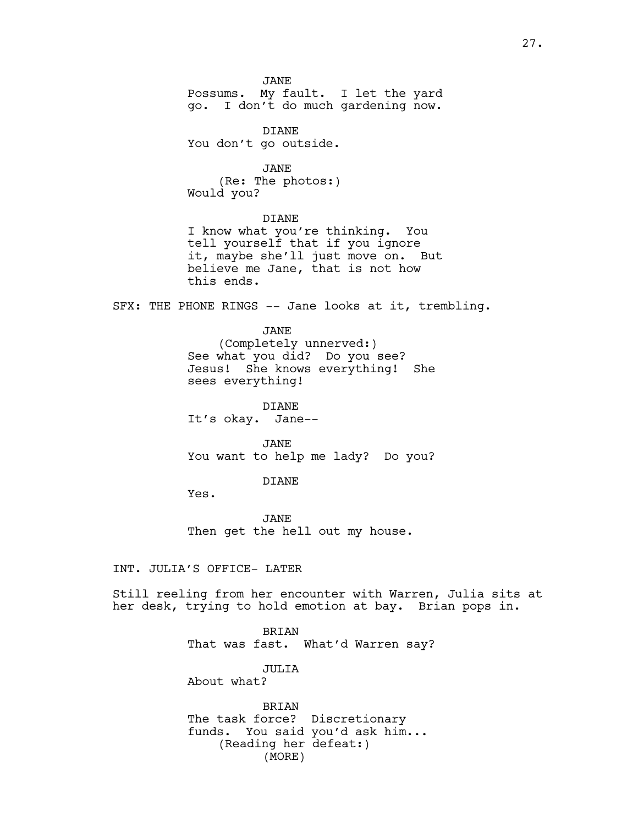JANE Possums. My fault. I let the yard go. I don't do much gardening now.

DIANE You don't go outside.

JANE (Re: The photos:) Would you?

DIANE

I know what you're thinking. You tell yourself that if you ignore it, maybe she'll just move on. But believe me Jane, that is not how this ends.

SFX: THE PHONE RINGS -- Jane looks at it, trembling.

JANE (Completely unnerved:) See what you did? Do you see? Jesus! She knows everything! She sees everything!

DIANE It's okay. Jane--

JANE You want to help me lady? Do you?

DIANE

Yes.

JANE Then get the hell out my house.

INT. JULIA'S OFFICE- LATER

Still reeling from her encounter with Warren, Julia sits at her desk, trying to hold emotion at bay. Brian pops in.

> BRIAN That was fast. What'd Warren say?

> > JULIA

About what?

BRIAN The task force? Discretionary funds. You said you'd ask him... (Reading her defeat:) (MORE)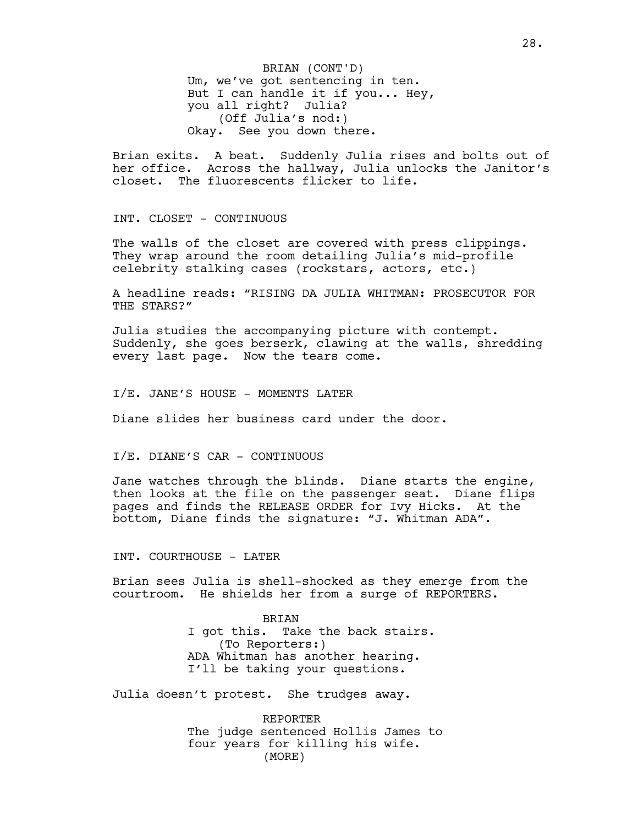Um, we've got sentencing in ten. But I can handle it if you... Hey, you all right? Julia? (Off Julia's nod:) Okay. See you down there. BRIAN (CONT'D)

Brian exits. A beat. Suddenly Julia rises and bolts out of her office. Across the hallway, Julia unlocks the Janitor's closet. The fluorescents flicker to life.

INT. CLOSET - CONTINUOUS

The walls of the closet are covered with press clippings. They wrap around the room detailing Julia's mid-profile celebrity stalking cases (rockstars, actors, etc.)

A headline reads: "RISING DA JULIA WHITMAN: PROSECUTOR FOR THE STARS?"

Julia studies the accompanying picture with contempt. Suddenly, she goes berserk, clawing at the walls, shredding every last page. Now the tears come.

I/E. JANE'S HOUSE - MOMENTS LATER

Diane slides her business card under the door.

I/E. DIANE'S CAR - CONTINUOUS

Jane watches through the blinds. Diane starts the engine, then looks at the file on the passenger seat. Diane flips pages and finds the RELEASE ORDER for Ivy Hicks. At the bottom, Diane finds the signature: "J. Whitman ADA".

INT. COURTHOUSE - LATER

Brian sees Julia is shell-shocked as they emerge from the courtroom. He shields her from a surge of REPORTERS.

> BRIAN I got this. Take the back stairs. (To Reporters:) ADA Whitman has another hearing. I'll be taking your questions.

Julia doesn't protest. She trudges away.

REPORTER The judge sentenced Hollis James to four years for killing his wife. (MORE)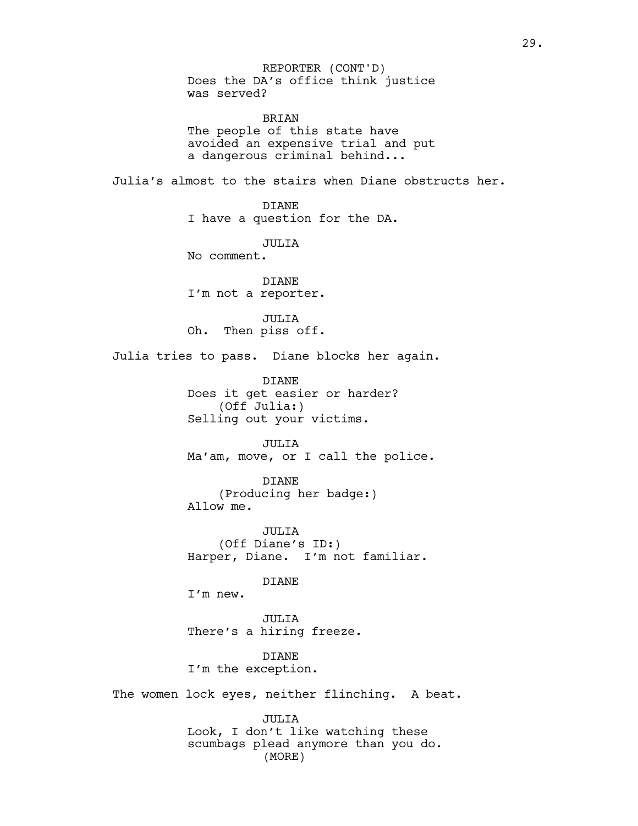Does the DA's office think justice was served? BRIAN REPORTER (CONT'D)

The people of this state have avoided an expensive trial and put a dangerous criminal behind...

Julia's almost to the stairs when Diane obstructs her.

DIANE I have a question for the DA.

JULIA No comment.

DIANE I'm not a reporter.

JULIA Oh. Then piss off.

Julia tries to pass. Diane blocks her again.

DIANE Does it get easier or harder? (Off Julia:) Selling out your victims.

JULIA Ma'am, move, or I call the police.

DIANE (Producing her badge:) Allow me.

JULIA (Off Diane's ID:) Harper, Diane. I'm not familiar.

DIANE

I'm new.

JULIA There's a hiring freeze.

DIANE I'm the exception.

The women lock eyes, neither flinching. A beat.

JULIA Look, I don't like watching these scumbags plead anymore than you do. (MORE)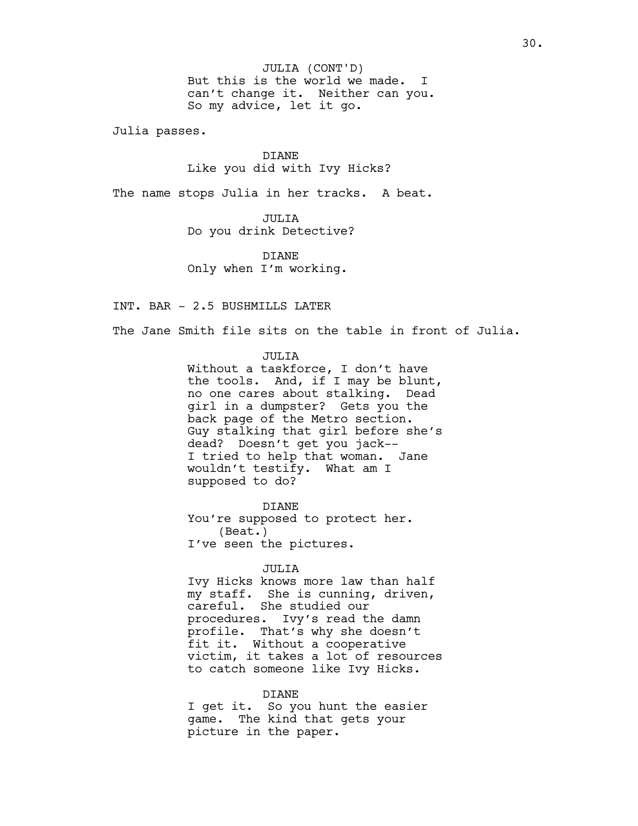But this is the world we made. I can't change it. Neither can you. So my advice, let it go. JULIA (CONT'D)

Julia passes.

# DIANE Like you did with Ivy Hicks?

The name stops Julia in her tracks. A beat.

JULIA Do you drink Detective?

DIANE Only when I'm working.

INT. BAR - 2.5 BUSHMILLS LATER

The Jane Smith file sits on the table in front of Julia.

# JULIA

Without a taskforce, I don't have the tools. And, if I may be blunt, no one cares about stalking. Dead girl in a dumpster? Gets you the back page of the Metro section. Guy stalking that girl before she's dead? Doesn't get you jack-- I tried to help that woman. Jane wouldn't testify. What am I supposed to do?

DIANE You're supposed to protect her. (Beat.) I've seen the pictures.

#### JULIA

Ivy Hicks knows more law than half my staff. She is cunning, driven, careful. She studied our procedures. Ivy's read the damn profile. That's why she doesn't fit it. Without a cooperative victim, it takes a lot of resources to catch someone like Ivy Hicks.

# DIANE

I get it. So you hunt the easier game. The kind that gets your picture in the paper.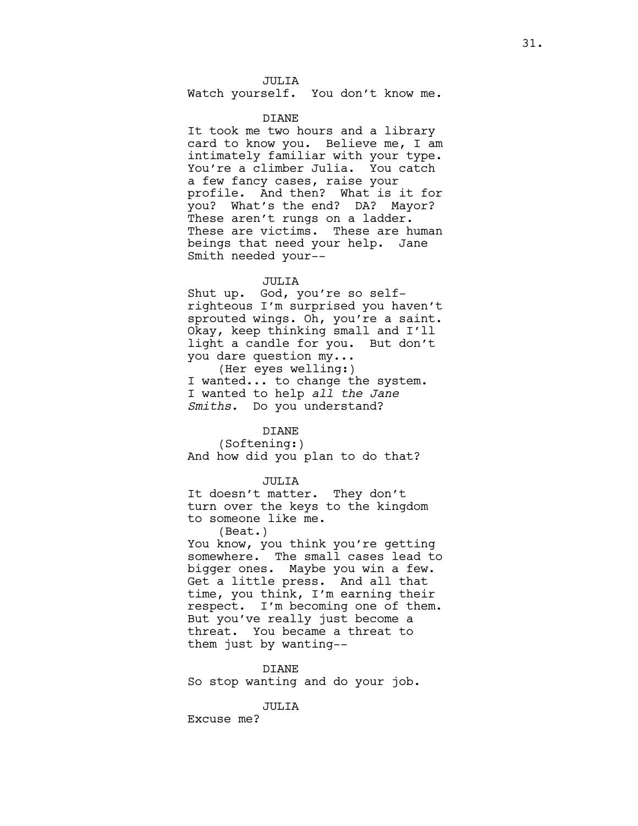JULIA

Watch yourself. You don't know me.

## DIANE

It took me two hours and a library card to know you. Believe me, I am intimately familiar with your type. You're a climber Julia. You catch a few fancy cases, raise your profile. And then? What is it for you? What's the end? DA? Mayor? These aren't rungs on a ladder. These are victims. These are human beings that need your help. Jane Smith needed your--

# JULIA

Shut up. God, you're so selfrighteous I'm surprised you haven't sprouted wings. Oh, you're a saint. Okay, keep thinking small and I'll light a candle for you. But don't you dare question my...

(Her eyes welling:) I wanted... to change the system. I wanted to help *all the Jane Smiths*. Do you understand?

# DIANE

(Softening:) And how did you plan to do that?

#### JULIA

It doesn't matter. They don't turn over the keys to the kingdom to someone like me.

(Beat.) You know, you think you're getting somewhere. The small cases lead to bigger ones. Maybe you win a few. Get a little press. And all that time, you think, I'm earning their respect. I'm becoming one of them. But you've really just become a threat. You became a threat to them just by wanting--

DIANE

So stop wanting and do your job.

JULIA

Excuse me?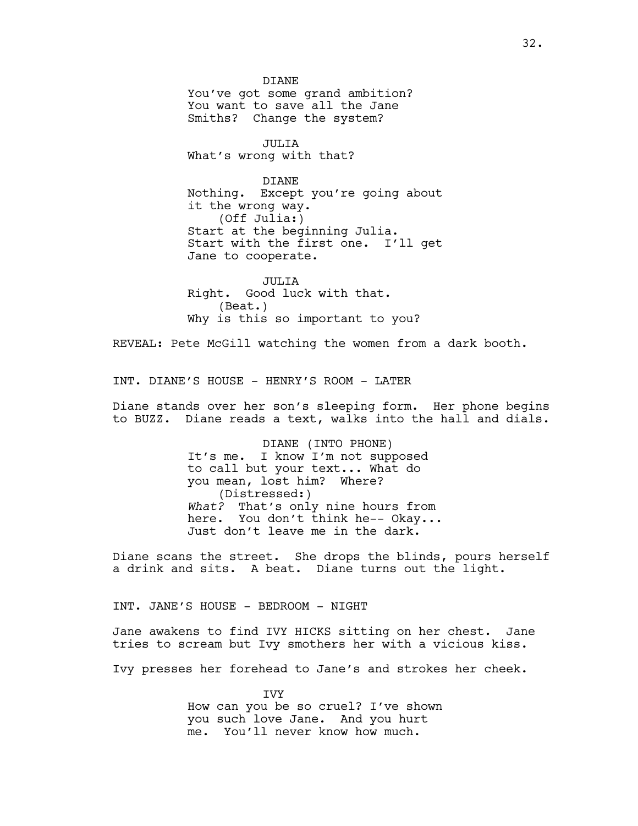DIANE You've got some grand ambition? You want to save all the Jane Smiths? Change the system?

JULIA What's wrong with that?

DIANE Nothing. Except you're going about it the wrong way. (Off Julia:) Start at the beginning Julia. Start with the first one. I'll get Jane to cooperate.

JULIA Right. Good luck with that. (Beat.) Why is this so important to you?

REVEAL: Pete McGill watching the women from a dark booth.

INT. DIANE'S HOUSE - HENRY'S ROOM - LATER

Diane stands over her son's sleeping form. Her phone begins to BUZZ. Diane reads a text, walks into the hall and dials.

> DIANE (INTO PHONE) It's me. I know I'm not supposed to call but your text... What do you mean, lost him? Where? (Distressed:) *What?* That's only nine hours from here. You don't think he-- Okay... Just don't leave me in the dark.

Diane scans the street. She drops the blinds, pours herself a drink and sits. A beat. Diane turns out the light.

INT. JANE'S HOUSE - BEDROOM - NIGHT

Jane awakens to find IVY HICKS sitting on her chest. Jane tries to scream but Ivy smothers her with a vicious kiss.

Ivy presses her forehead to Jane's and strokes her cheek.

IVY How can you be so cruel? I've shown you such love Jane. And you hurt me. You'll never know how much.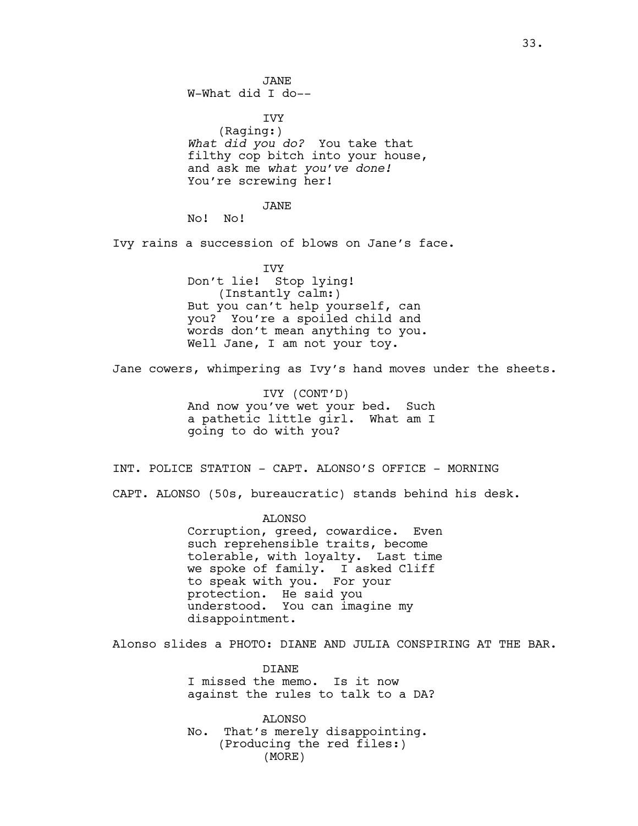JANE W-What did I do-- **TVY** (Raging:) *What did you do?* You take that filthy cop bitch into your house, and ask me *what you've done!* You're screwing her! JANE No! No! Ivy rains a succession of blows on Jane's face. IVY Don't lie! Stop lying! (Instantly calm:) But you can't help yourself, can you? You're a spoiled child and words don't mean anything to you. Well Jane, I am not your toy. Jane cowers, whimpering as Ivy's hand moves under the sheets. IVY (CONT'D) And now you've wet your bed. Such a pathetic little girl. What am I going to do with you? INT. POLICE STATION - CAPT. ALONSO'S OFFICE - MORNING CAPT. ALONSO (50s, bureaucratic) stands behind his desk. ALONSO Corruption, greed, cowardice. Even such reprehensible traits, become tolerable, with loyalty. Last time we spoke of family. I asked Cliff to speak with you. For your protection. He said you understood. You can imagine my disappointment. Alonso slides a PHOTO: DIANE AND JULIA CONSPIRING AT THE BAR. **DIANE** I missed the memo. Is it now against the rules to talk to a DA? ALONSO No. That's merely disappointing. (Producing the red files:)

(MORE)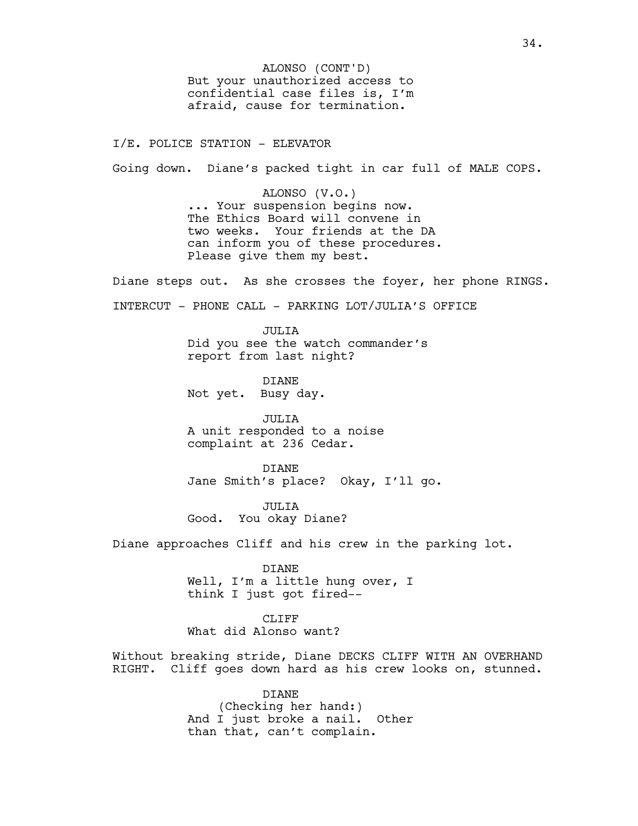But your unauthorized access to confidential case files is, I'm afraid, cause for termination. ALONSO (CONT'D)

I/E. POLICE STATION - ELEVATOR

Going down. Diane's packed tight in car full of MALE COPS.

ALONSO (V.O.) ... Your suspension begins now. The Ethics Board will convene in two weeks. Your friends at the DA can inform you of these procedures. Please give them my best.

Diane steps out. As she crosses the foyer, her phone RINGS.

INTERCUT - PHONE CALL - PARKING LOT/JULIA'S OFFICE

JULIA Did you see the watch commander's report from last night?

**DIANE** Not yet. Busy day.

JULIA A unit responded to a noise complaint at 236 Cedar.

DIANE Jane Smith's place? Okay, I'll go.

JULIA Good. You okay Diane?

Diane approaches Cliff and his crew in the parking lot.

DIANE Well, I'm a little hung over, I think I just got fired--

CLIFF What did Alonso want?

Without breaking stride, Diane DECKS CLIFF WITH AN OVERHAND RIGHT. Cliff goes down hard as his crew looks on, stunned.

> DIANE (Checking her hand:) And I just broke a nail. Other than that, can't complain.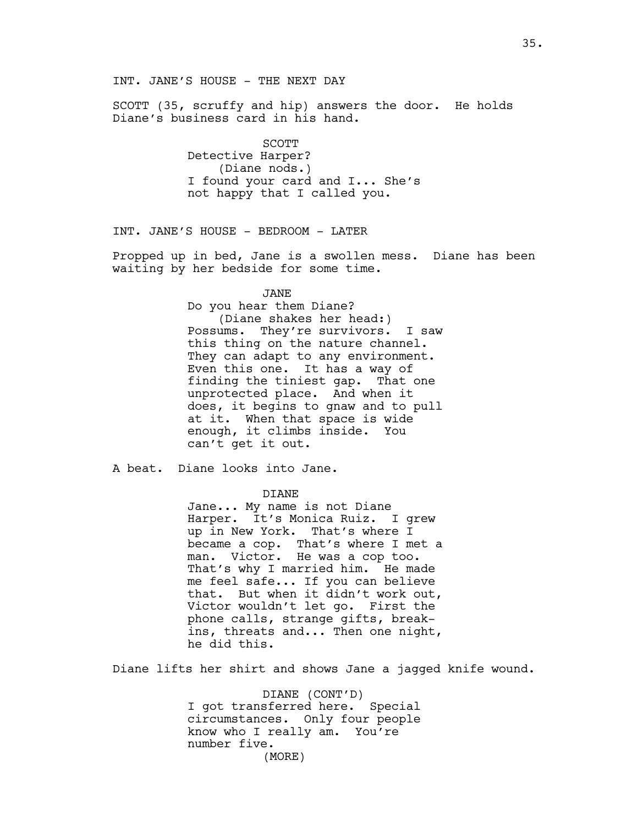SCOTT (35, scruffy and hip) answers the door. He holds Diane's business card in his hand.

> **SCOTT** Detective Harper? (Diane nods.) I found your card and I... She's not happy that I called you.

INT. JANE'S HOUSE - BEDROOM - LATER

Propped up in bed, Jane is a swollen mess. Diane has been waiting by her bedside for some time.

JANE

Do you hear them Diane? (Diane shakes her head:) Possums. They're survivors. I saw this thing on the nature channel. They can adapt to any environment. Even this one. It has a way of finding the tiniest gap. That one unprotected place. And when it does, it begins to gnaw and to pull at it. When that space is wide enough, it climbs inside. You can't get it out.

A beat. Diane looks into Jane.

# DIANE

Jane... My name is not Diane Harper. It's Monica Ruiz. I grew up in New York. That's where I became a cop. That's where I met a man. Victor. He was a cop too. That's why I married him. He made me feel safe... If you can believe that. But when it didn't work out, Victor wouldn't let go. First the phone calls, strange gifts, breakins, threats and... Then one night, he did this.

Diane lifts her shirt and shows Jane a jagged knife wound.

DIANE (CONT'D) I got transferred here. Special circumstances. Only four people know who I really am. You're number five. (MORE)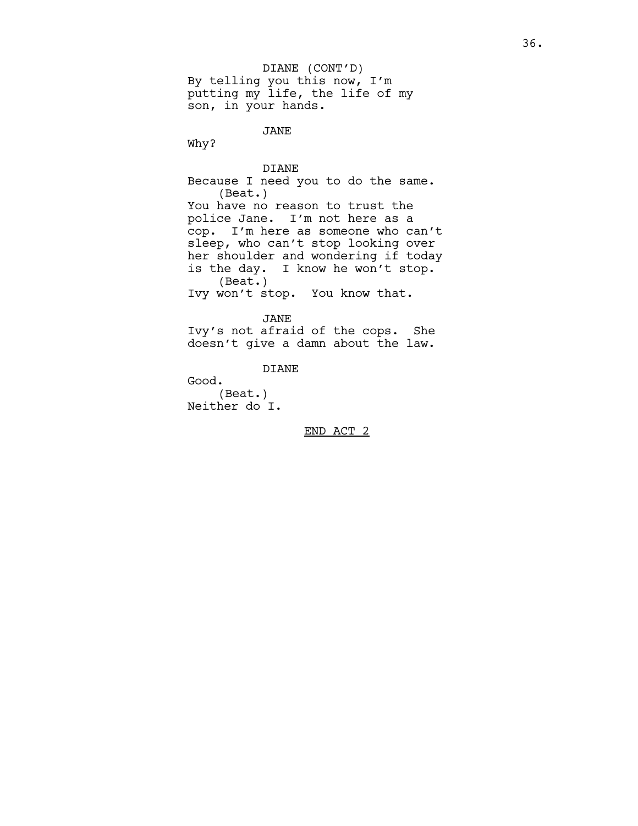By telling you this now, I'm putting my life, the life of my son, in your hands. DIANE (CONT'D)

JANE

Why?

DIANE Because I need you to do the same. (Beat.) You have no reason to trust the police Jane. I'm not here as a cop. I'm here as someone who can't sleep, who can't stop looking over her shoulder and wondering if today is the day. I know he won't stop. (Beat.) Ivy won't stop. You know that.

JANE Ivy's not afraid of the cops. She doesn't give a damn about the law.

DIANE

Good. (Beat.) Neither do I.

END ACT 2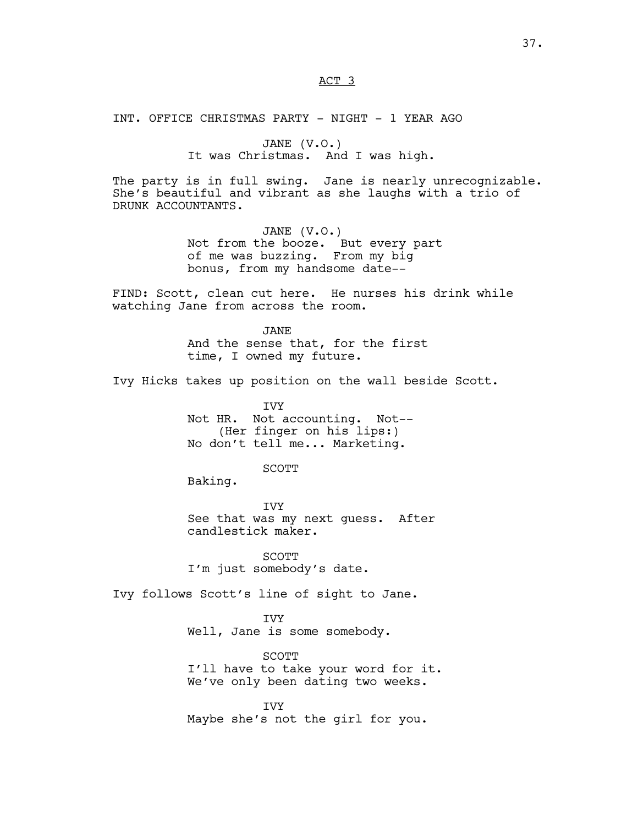# ACT 3

INT. OFFICE CHRISTMAS PARTY - NIGHT - 1 YEAR AGO

JANE (V.O.) It was Christmas. And I was high.

The party is in full swing. Jane is nearly unrecognizable. She's beautiful and vibrant as she laughs with a trio of DRUNK ACCOUNTANTS.

> JANE (V.O.) Not from the booze. But every part of me was buzzing. From my big bonus, from my handsome date--

FIND: Scott, clean cut here. He nurses his drink while watching Jane from across the room.

> JANE And the sense that, for the first time, I owned my future.

Ivy Hicks takes up position on the wall beside Scott.

IVY Not HR. Not accounting. Not-- (Her finger on his lips:) No don't tell me... Marketing.

SCOTT

Baking.

IVY See that was my next guess. After candlestick maker.

SCOTT I'm just somebody's date.

Ivy follows Scott's line of sight to Jane.

IVY Well, Jane is some somebody.

SCOTT I'll have to take your word for it. We've only been dating two weeks.

IVY Maybe she's not the girl for you.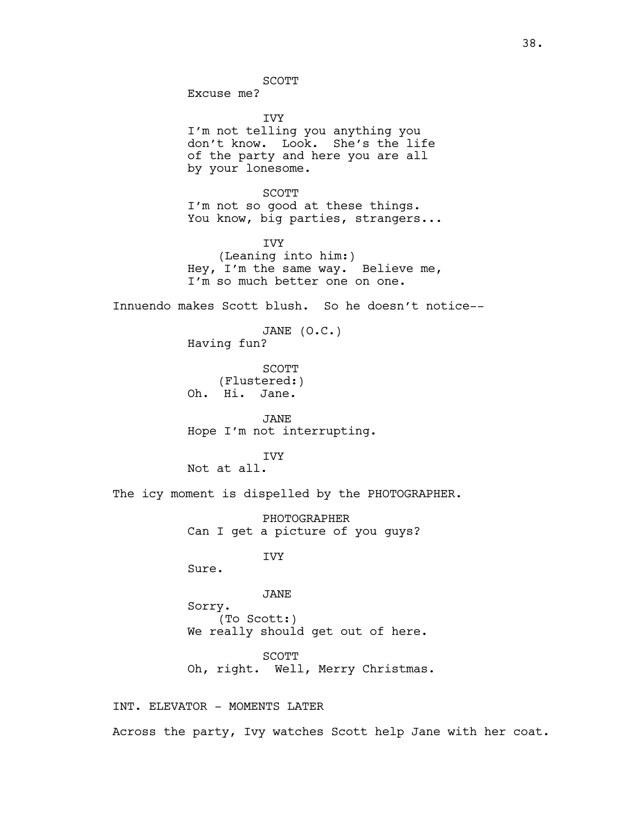SCOTT

Excuse me?

IVY I'm not telling you anything you don't know. Look. She's the life of the party and here you are all by your lonesome. SCOTT I'm not so good at these things. You know, big parties, strangers... IVY (Leaning into him:) Hey, I'm the same way. Believe me, I'm so much better one on one. Innuendo makes Scott blush. So he doesn't notice-- JANE (O.C.) Having fun? SCOTT (Flustered:) Oh. Hi. Jane. JANE Hope I'm not interrupting. IVY Not at all. The icy moment is dispelled by the PHOTOGRAPHER. PHOTOGRAPHER Can I get a picture of you guys? IVY Sure. JANE Sorry. (To Scott:) We really should get out of here. SCOTT Oh, right. Well, Merry Christmas. INT. ELEVATOR - MOMENTS LATER Across the party, Ivy watches Scott help Jane with her coat.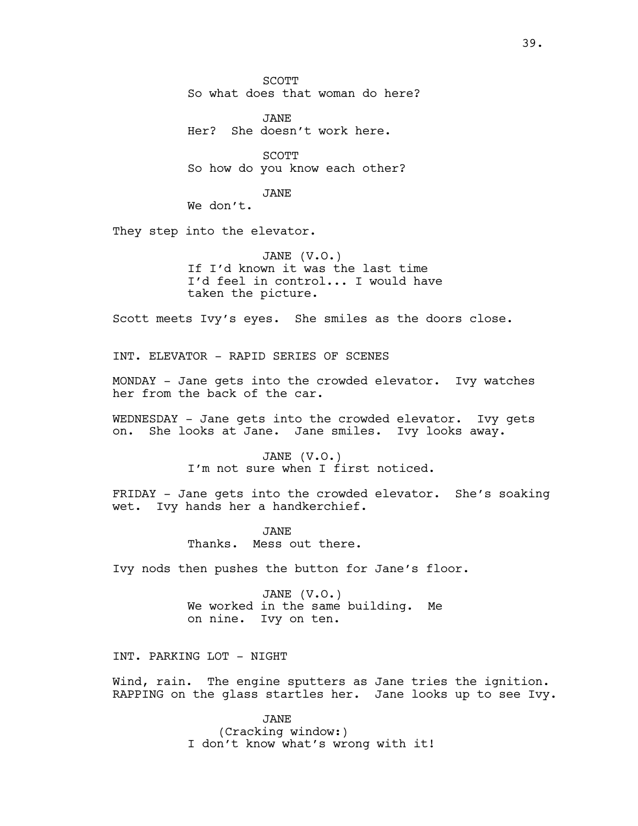SCOTT So what does that woman do here?

JANE Her? She doesn't work here.

SCOTT So how do you know each other?

JANE

We don't.

They step into the elevator.

JANE (V.O.) If I'd known it was the last time I'd feel in control... I would have taken the picture.

Scott meets Ivy's eyes. She smiles as the doors close.

INT. ELEVATOR - RAPID SERIES OF SCENES

MONDAY - Jane gets into the crowded elevator. Ivy watches her from the back of the car.

WEDNESDAY - Jane gets into the crowded elevator. Ivy gets on. She looks at Jane. Jane smiles. Ivy looks away.

> JANE (V.O.) I'm not sure when I first noticed.

FRIDAY - Jane gets into the crowded elevator. She's soaking wet. Ivy hands her a handkerchief.

> JANE Thanks. Mess out there.

Ivy nods then pushes the button for Jane's floor.

JANE (V.O.) We worked in the same building. Me on nine. Ivy on ten.

INT. PARKING LOT - NIGHT

Wind, rain. The engine sputters as Jane tries the ignition. RAPPING on the glass startles her. Jane looks up to see Ivy.

> JANE (Cracking window:) I don't know what's wrong with it!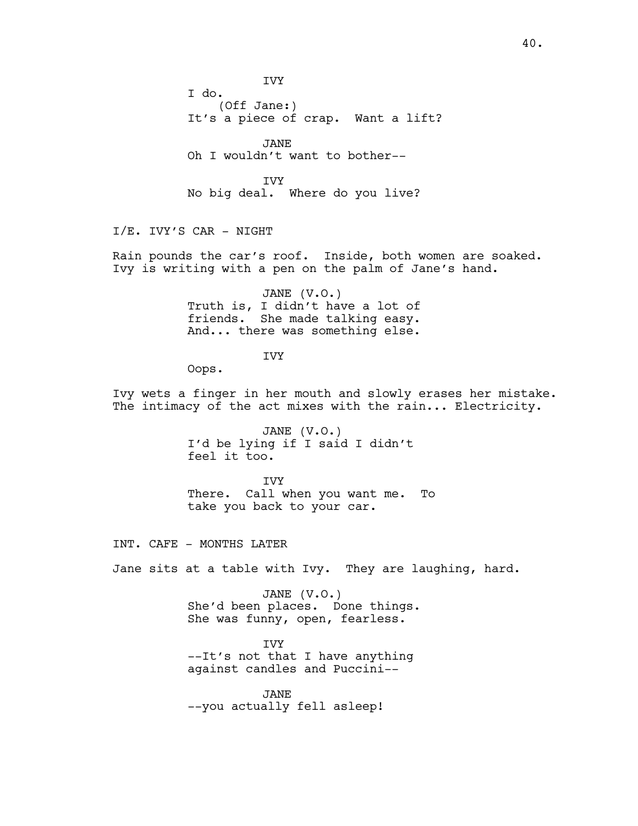IVY I do. (Off Jane:) It's a piece of crap. Want a lift? JANE Oh I wouldn't want to bother-- IVY No big deal. Where do you live? I/E. IVY'S CAR - NIGHT Rain pounds the car's roof. Inside, both women are soaked. Ivy is writing with a pen on the palm of Jane's hand. JANE (V.O.) Truth is, I didn't have a lot of friends. She made talking easy. And... there was something else. IVY Oops. Ivy wets a finger in her mouth and slowly erases her mistake. The intimacy of the act mixes with the rain... Electricity. JANE (V.O.) I'd be lying if I said I didn't feel it too. IVY There. Call when you want me. To take you back to your car. INT. CAFE - MONTHS LATER Jane sits at a table with Ivy. They are laughing, hard. JANE (V.O.) She'd been places. Done things. She was funny, open, fearless. IVY --It's not that I have anything against candles and Puccini-- JANE --you actually fell asleep!

40.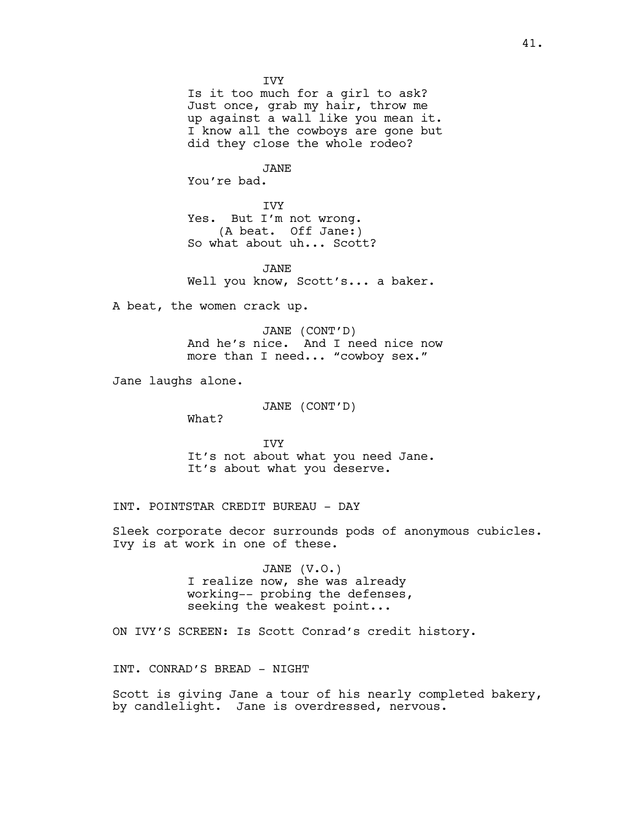IVY Is it too much for a girl to ask? Just once, grab my hair, throw me up against a wall like you mean it. I know all the cowboys are gone but did they close the whole rodeo?

JANE

You're bad.

IVY Yes. But I'm not wrong. (A beat. Off Jane:) So what about uh... Scott?

JANE Well you know, Scott's... a baker.

A beat, the women crack up.

JANE (CONT'D) And he's nice. And I need nice now more than I need... "cowboy sex."

Jane laughs alone.

JANE (CONT'D)

What?

IVY It's not about what you need Jane. It's about what you deserve.

INT. POINTSTAR CREDIT BUREAU - DAY

Sleek corporate decor surrounds pods of anonymous cubicles. Ivy is at work in one of these.

> JANE (V.O.) I realize now, she was already working-- probing the defenses, seeking the weakest point...

ON IVY'S SCREEN: Is Scott Conrad's credit history.

INT. CONRAD'S BREAD - NIGHT

Scott is giving Jane a tour of his nearly completed bakery, by candlelight. Jane is overdressed, nervous.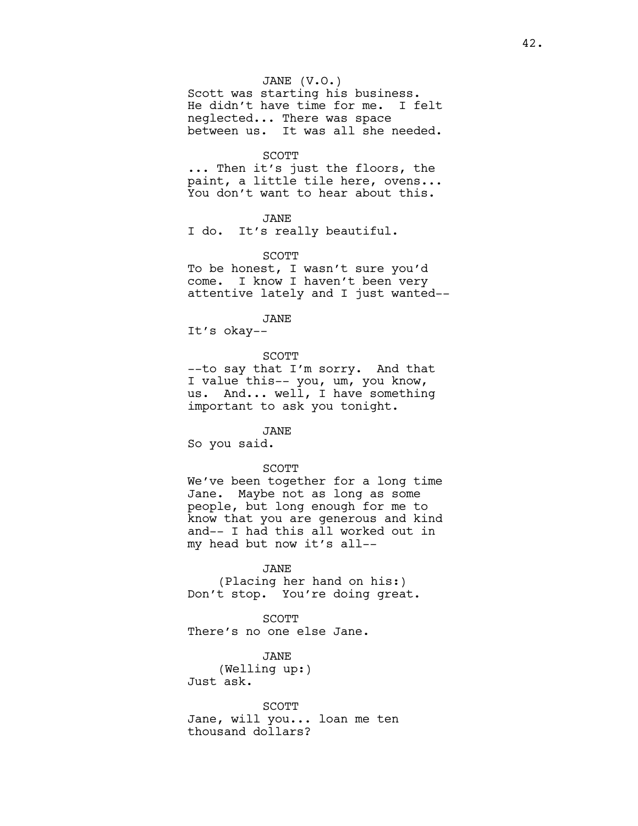# JANE (V.O.)

Scott was starting his business. He didn't have time for me. I felt neglected... There was space between us. It was all she needed.

# SCOTT

... Then it's just the floors, the paint, a little tile here, ovens... You don't want to hear about this.

# JANE

I do. It's really beautiful.

#### SCOTT

To be honest, I wasn't sure you'd come. I know I haven't been very attentive lately and I just wanted--

JANE

It's okay--

# SCOTT

--to say that I'm sorry. And that I value this-- you, um, you know, us. And... well, I have something important to ask you tonight.

JANE So you said.

# SCOTT

We've been together for a long time Jane. Maybe not as long as some people, but long enough for me to know that you are generous and kind and-- I had this all worked out in my head but now it's all--

#### JANE

(Placing her hand on his:) Don't stop. You're doing great.

SCOTT There's no one else Jane.

JANE (Welling up:) Just ask.

SCOTT Jane, will you... loan me ten thousand dollars?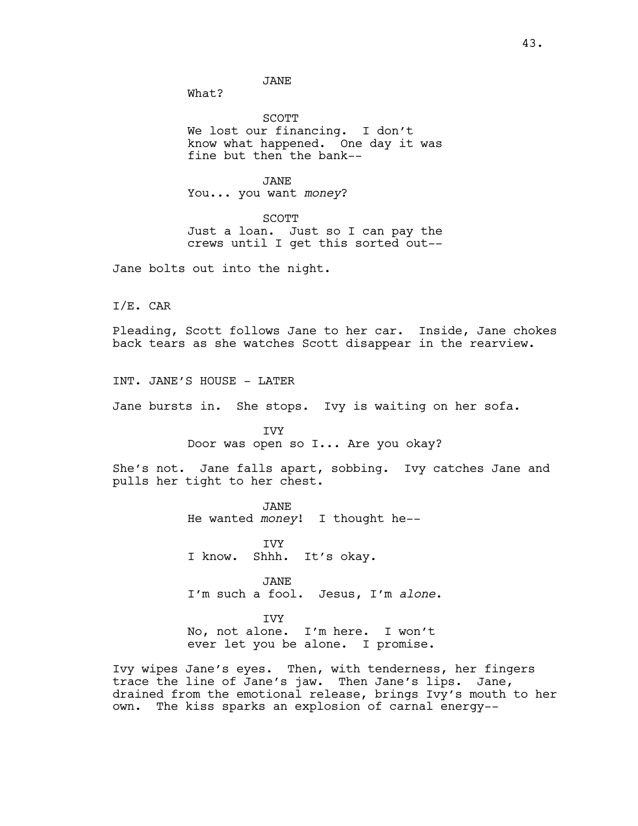JANE

What?

SCOTT We lost our financing. I don't know what happened. One day it was fine but then the bank--

JANE You... you want *money*?

SCOTT Just a loan. Just so I can pay the crews until I get this sorted out--

Jane bolts out into the night.

I/E. CAR

Pleading, Scott follows Jane to her car. Inside, Jane chokes back tears as she watches Scott disappear in the rearview.

INT. JANE'S HOUSE - LATER

Jane bursts in. She stops. Ivy is waiting on her sofa.

IVY Door was open so I... Are you okay?

She's not. Jane falls apart, sobbing. Ivy catches Jane and pulls her tight to her chest.

> JANE He wanted *money*! I thought he--

IVY I know. Shhh. It's okay.

JANE I'm such a fool. Jesus, I'm *alone*.

IVY No, not alone. I'm here. I won't ever let you be alone. I promise.

Ivy wipes Jane's eyes. Then, with tenderness, her fingers trace the line of Jane's jaw. Then Jane's lips. Jane, drained from the emotional release, brings Ivy's mouth to her own. The kiss sparks an explosion of carnal energy--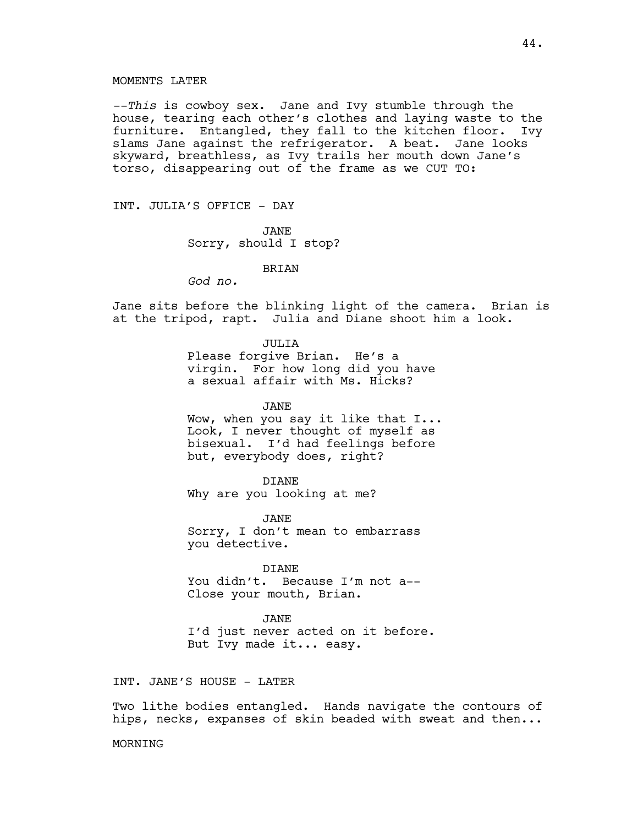*--This* is cowboy sex. Jane and Ivy stumble through the house, tearing each other's clothes and laying waste to the furniture. Entangled, they fall to the kitchen floor. Ivy slams Jane against the refrigerator. A beat. Jane looks skyward, breathless, as Ivy trails her mouth down Jane's torso, disappearing out of the frame as we CUT TO:

INT. JULIA'S OFFICE - DAY

JANE Sorry, should I stop?

### **BRTAN**

*God no.*

Jane sits before the blinking light of the camera. Brian is at the tripod, rapt. Julia and Diane shoot him a look.

JULIA

Please forgive Brian. He's a virgin. For how long did you have a sexual affair with Ms. Hicks?

JANE

Wow, when you say it like that I... Look, I never thought of myself as bisexual. I'd had feelings before but, everybody does, right?

DIANE Why are you looking at me?

JANE Sorry, I don't mean to embarrass you detective.

DIANE

You didn't. Because I'm not a-- Close your mouth, Brian.

JANE I'd just never acted on it before. But Ivy made it... easy.

INT. JANE'S HOUSE - LATER

Two lithe bodies entangled. Hands navigate the contours of hips, necks, expanses of skin beaded with sweat and then...

MORNING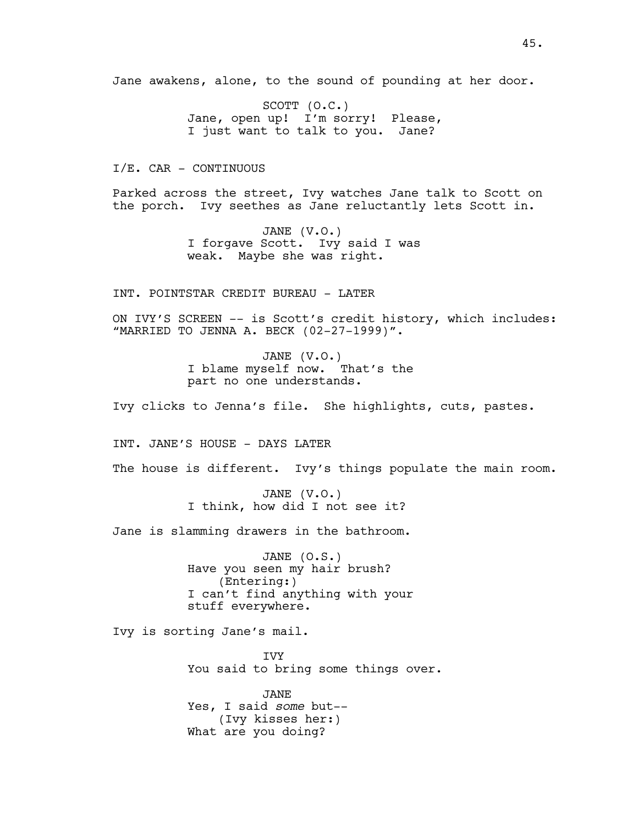Jane awakens, alone, to the sound of pounding at her door.

SCOTT (O.C.) Jane, open up! I'm sorry! Please, I just want to talk to you. Jane?

I/E. CAR - CONTINUOUS

Parked across the street, Ivy watches Jane talk to Scott on the porch. Ivy seethes as Jane reluctantly lets Scott in.

> JANE (V.O.) I forgave Scott. Ivy said I was weak. Maybe she was right.

INT. POINTSTAR CREDIT BUREAU - LATER

ON IVY'S SCREEN -- is Scott's credit history, which includes: "MARRIED TO JENNA A. BECK (02-27-1999)".

> JANE (V.O.) I blame myself now. That's the part no one understands.

Ivy clicks to Jenna's file. She highlights, cuts, pastes.

INT. JANE'S HOUSE - DAYS LATER

The house is different. Ivy's things populate the main room.

JANE (V.O.) I think, how did I not see it?

Jane is slamming drawers in the bathroom.

JANE (O.S.) Have you seen my hair brush? (Entering:) I can't find anything with your stuff everywhere.

Ivy is sorting Jane's mail.

IVY You said to bring some things over.

JANE Yes, I said *some* but-- (Ivy kisses her:) What are you doing?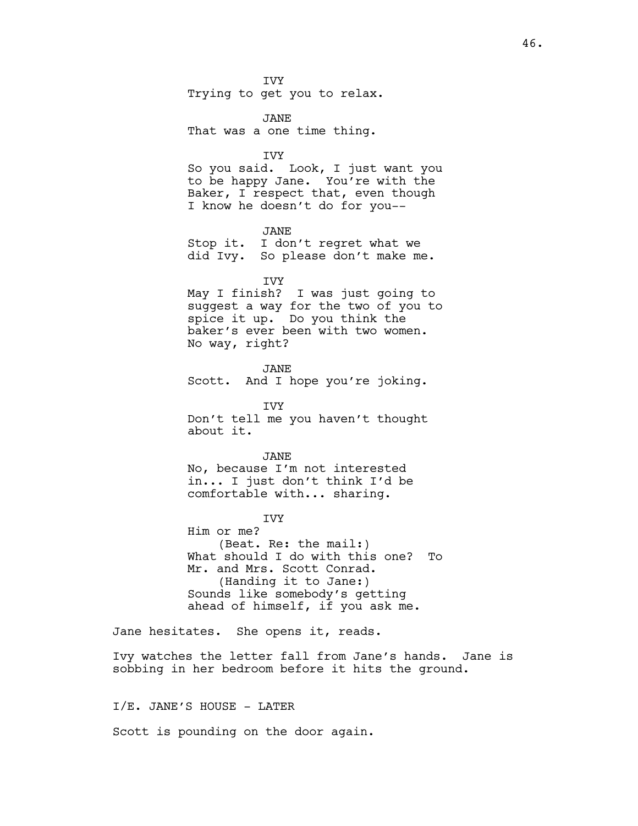**TVY** Trying to get you to relax.

JANE That was a one time thing.

IVY

So you said. Look, I just want you to be happy Jane. You're with the Baker, I respect that, even though I know he doesn't do for you--

JANE Stop it. I don't regret what we did Ivy. So please don't make me.

IVY

May I finish? I was just going to suggest a way for the two of you to spice it up. Do you think the baker's ever been with two women. No way, right?

JANE Scott. And I hope you're joking.

IVY Don't tell me you haven't thought about it.

JANE

No, because I'm not interested in... I just don't think I'd be comfortable with... sharing.

**TVY** Him or me? (Beat. Re: the mail:) What should I do with this one? To Mr. and Mrs. Scott Conrad. (Handing it to Jane:) Sounds like somebody's getting ahead of himself, if you ask me.

Jane hesitates. She opens it, reads.

Ivy watches the letter fall from Jane's hands. Jane is sobbing in her bedroom before it hits the ground.

I/E. JANE'S HOUSE - LATER

Scott is pounding on the door again.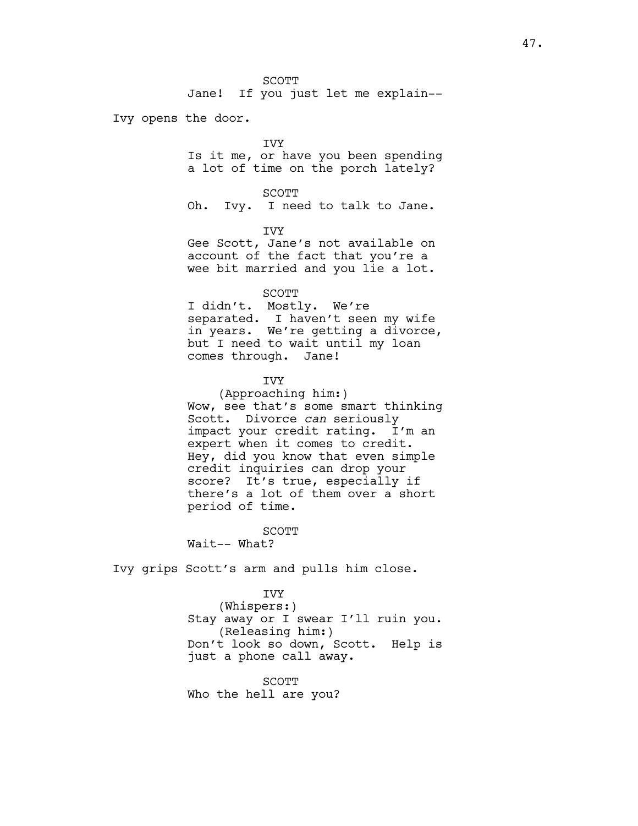Jane! If you just let me explain--

Ivy opens the door.

# IVY

Is it me, or have you been spending a lot of time on the porch lately?

#### SCOTT

Oh. Ivy. I need to talk to Jane.

#### IVY

Gee Scott, Jane's not available on account of the fact that you're a wee bit married and you lie a lot.

#### SCOTT

I didn't. Mostly. We're separated. I haven't seen my wife in years. We're getting a divorce, but I need to wait until my loan comes through. Jane!

# IVY

(Approaching him:) Wow, see that's some smart thinking Scott. Divorce *can* seriously impact your credit rating. I'm an expert when it comes to credit. Hey, did you know that even simple credit inquiries can drop your score? It's true, especially if there's a lot of them over a short period of time.

SCOTT

Wait-- What?

Ivy grips Scott's arm and pulls him close.

# IVY

(Whispers:) Stay away or I swear I'll ruin you. (Releasing him:) Don't look so down, Scott. Help is just a phone call away.

SCOTT Who the hell are you?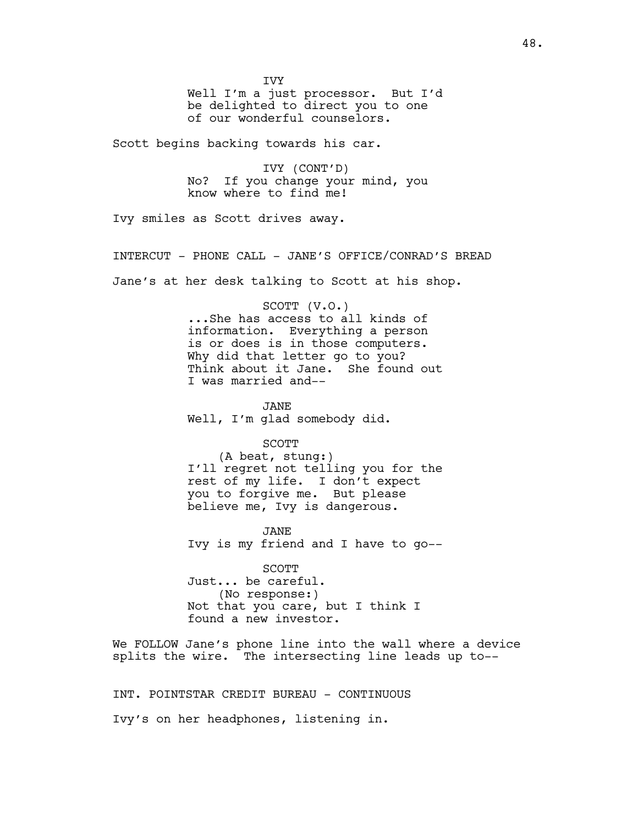**TVY** 

Well I'm a just processor. But I'd be delighted to direct you to one of our wonderful counselors.

Scott begins backing towards his car.

IVY (CONT'D) No? If you change your mind, you know where to find me!

Ivy smiles as Scott drives away.

INTERCUT - PHONE CALL - JANE'S OFFICE/CONRAD'S BREAD

Jane's at her desk talking to Scott at his shop.

SCOTT (V.O.) ...She has access to all kinds of information. Everything a person is or does is in those computers. Why did that letter go to you? Think about it Jane. She found out I was married and--

JANE Well, I'm glad somebody did.

SCOTT

(A beat, stung:) I'll regret not telling you for the rest of my life. I don't expect you to forgive me. But please believe me, Ivy is dangerous.

JANE Ivy is my friend and I have to go--

SCOTT Just... be careful. (No response:) Not that you care, but I think I found a new investor.

We FOLLOW Jane's phone line into the wall where a device splits the wire. The intersecting line leads up to--

INT. POINTSTAR CREDIT BUREAU - CONTINUOUS Ivy's on her headphones, listening in.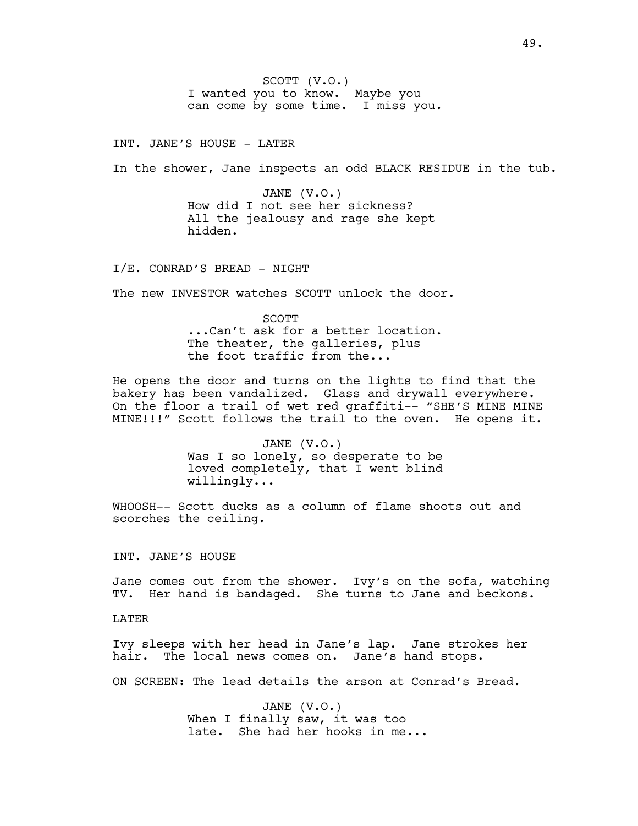SCOTT (V.O.) I wanted you to know. Maybe you can come by some time. I miss you.

INT. JANE'S HOUSE - LATER

In the shower, Jane inspects an odd BLACK RESIDUE in the tub.

JANE (V.O.) How did I not see her sickness? All the jealousy and rage she kept hidden.

I/E. CONRAD'S BREAD - NIGHT

The new INVESTOR watches SCOTT unlock the door.

**SCOTT** ...Can't ask for a better location. The theater, the galleries, plus the foot traffic from the...

He opens the door and turns on the lights to find that the bakery has been vandalized. Glass and drywall everywhere. On the floor a trail of wet red graffiti-- "SHE'S MINE MINE MINE!!!" Scott follows the trail to the oven. He opens it.

> JANE (V.O.) Was I so lonely, so desperate to be loved completely, that I went blind willingly...

WHOOSH-- Scott ducks as a column of flame shoots out and scorches the ceiling.

INT. JANE'S HOUSE

Jane comes out from the shower. Ivy's on the sofa, watching TV. Her hand is bandaged. She turns to Jane and beckons.

LATER

Ivy sleeps with her head in Jane's lap. Jane strokes her hair. The local news comes on. Jane's hand stops.

ON SCREEN: The lead details the arson at Conrad's Bread.

JANE (V.O.) When I finally saw, it was too late. She had her hooks in me...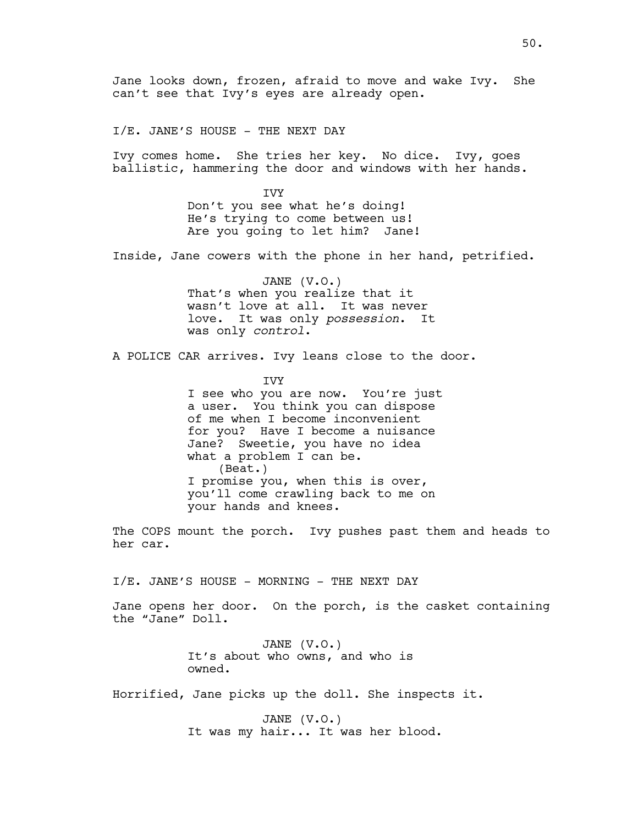Jane looks down, frozen, afraid to move and wake Ivy. She can't see that Ivy's eyes are already open.

I/E. JANE'S HOUSE - THE NEXT DAY

Ivy comes home. She tries her key. No dice. Ivy, goes ballistic, hammering the door and windows with her hands.

> **TVY** Don't you see what he's doing! He's trying to come between us! Are you going to let him? Jane!

Inside, Jane cowers with the phone in her hand, petrified.

JANE (V.O.) That's when you realize that it wasn't love at all. It was never love. It was only *possession*. It was only *control*.

A POLICE CAR arrives. Ivy leans close to the door.

**TVY** 

I see who you are now. You're just a user. You think you can dispose of me when I become inconvenient for you? Have I become a nuisance Jane? Sweetie, you have no idea what a problem I can be. (Beat.) I promise you, when this is over, you'll come crawling back to me on your hands and knees.

The COPS mount the porch. Ivy pushes past them and heads to her car.

I/E. JANE'S HOUSE - MORNING - THE NEXT DAY

Jane opens her door. On the porch, is the casket containing the "Jane" Doll.

> JANE (V.O.) It's about who owns, and who is owned.

Horrified, Jane picks up the doll. She inspects it.

JANE (V.O.) It was my hair... It was her blood.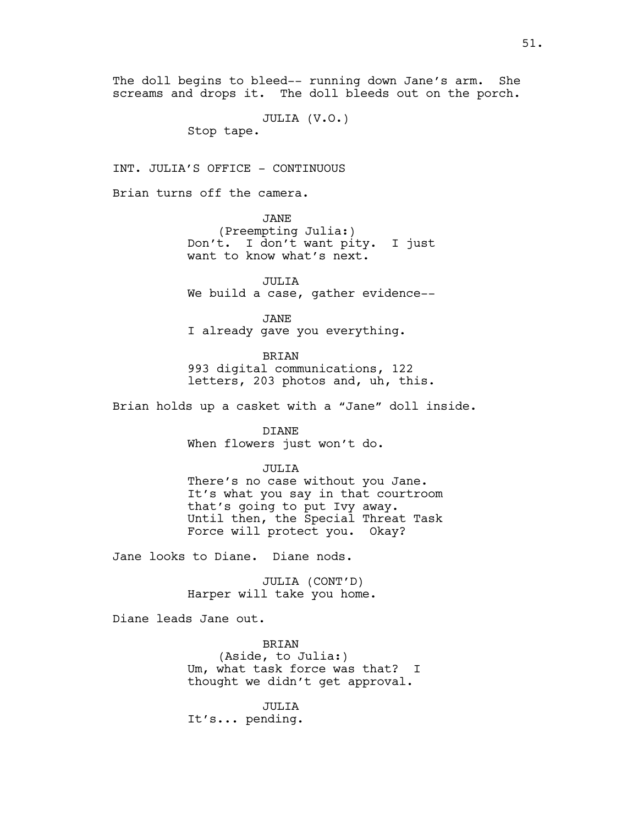The doll begins to bleed-- running down Jane's arm. She screams and drops it. The doll bleeds out on the porch.

JULIA (V.O.)

Stop tape.

INT. JULIA'S OFFICE - CONTINUOUS

Brian turns off the camera.

JANE

(Preempting Julia:) Don't. I don't want pity. I just want to know what's next.

JULIA We build a case, gather evidence--

JANE I already gave you everything.

BRIAN 993 digital communications, 122 letters, 203 photos and, uh, this.

Brian holds up a casket with a "Jane" doll inside.

DIANE When flowers just won't do.

JULIA

There's no case without you Jane. It's what you say in that courtroom that's going to put Ivy away. Until then, the Special Threat Task Force will protect you. Okay?

Jane looks to Diane. Diane nods.

JULIA (CONT'D) Harper will take you home.

Diane leads Jane out.

BRIAN (Aside, to Julia:) Um, what task force was that? I thought we didn't get approval.

JULIA It's... pending.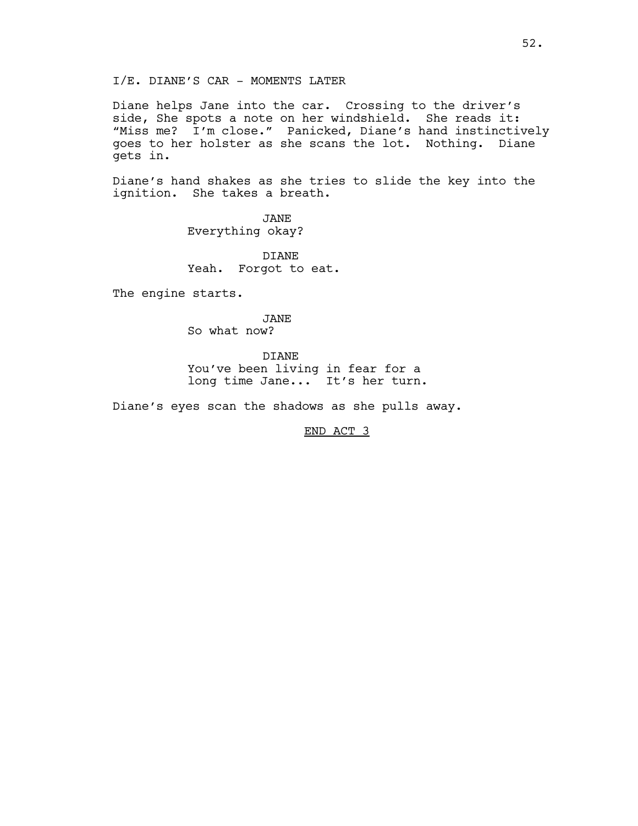I/E. DIANE'S CAR - MOMENTS LATER

Diane helps Jane into the car. Crossing to the driver's side, She spots a note on her windshield. She reads it: "Miss me? I'm close." Panicked, Diane's hand instinctively goes to her holster as she scans the lot. Nothing. Diane gets in.

Diane's hand shakes as she tries to slide the key into the ignition. She takes a breath.

> JANE Everything okay?

DIANE Yeah. Forgot to eat.

The engine starts.

JANE So what now?

DIANE You've been living in fear for a long time Jane... It's her turn.

Diane's eyes scan the shadows as she pulls away.

END ACT 3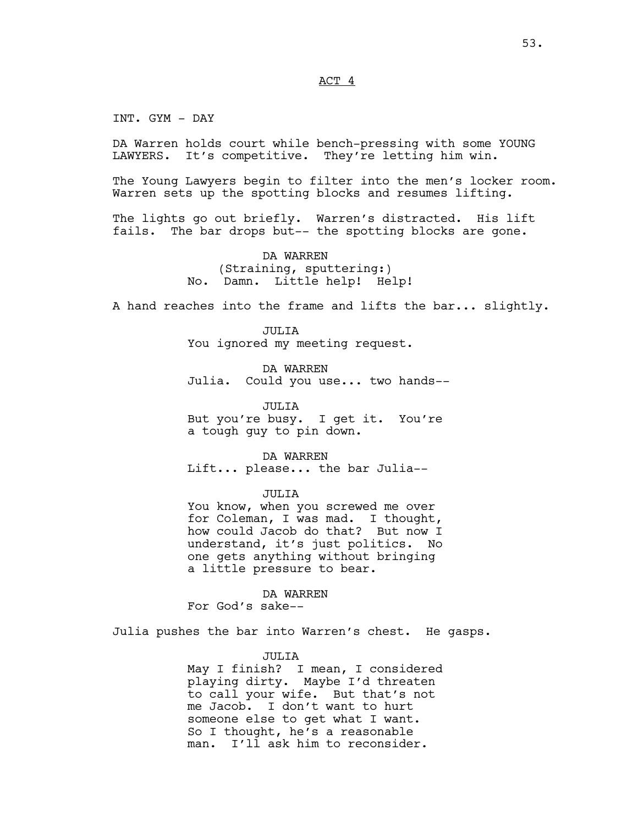# ACT 4

INT. GYM - DAY

DA Warren holds court while bench-pressing with some YOUNG LAWYERS. It's competitive. They're letting him win.

The Young Lawyers begin to filter into the men's locker room. Warren sets up the spotting blocks and resumes lifting.

The lights go out briefly. Warren's distracted. His lift fails. The bar drops but-- the spotting blocks are gone.

> DA WARREN (Straining, sputtering:) No. Damn. Little help! Help!

A hand reaches into the frame and lifts the bar... slightly.

JULIA You ignored my meeting request.

DA WARREN Julia. Could you use... two hands--

JULIA But you're busy. I get it. You're a tough guy to pin down.

DA WARREN Lift... please... the bar Julia--

JULIA

You know, when you screwed me over for Coleman, I was mad. I thought, how could Jacob do that? But now I understand, it's just politics. No one gets anything without bringing a little pressure to bear.

DA WARREN For God's sake--

Julia pushes the bar into Warren's chest. He gasps.

JULIA May I finish? I mean, I considered playing dirty. Maybe I'd threaten to call your wife. But that's not me Jacob. I don't want to hurt someone else to get what I want. So I thought, he's a reasonable

man. I'll ask him to reconsider.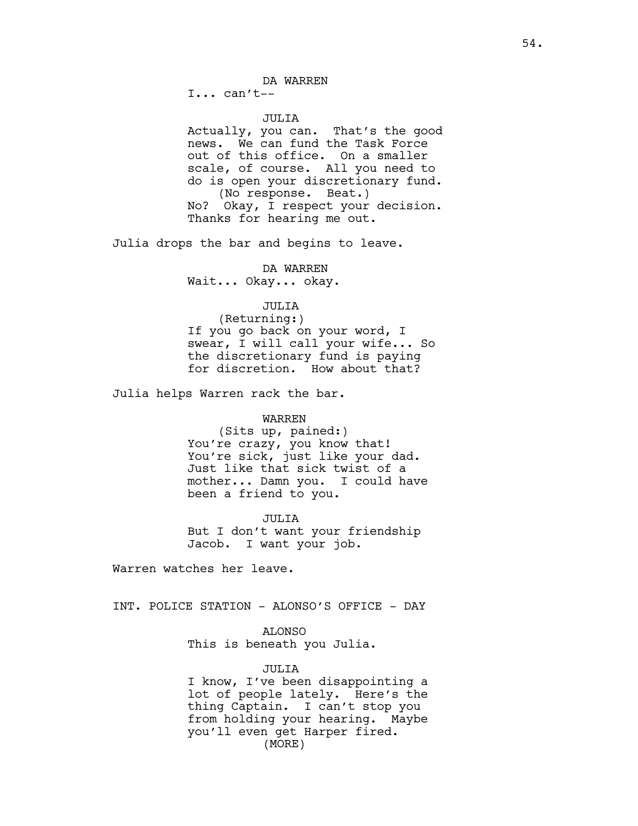DA WARREN

 $I... can't--$ 

#### JULIA

Actually, you can. That's the good news. We can fund the Task Force out of this office. On a smaller scale, of course. All you need to do is open your discretionary fund. (No response. Beat.) No? Okay, I respect your decision. Thanks for hearing me out.

Julia drops the bar and begins to leave.

DA WARREN Wait... Okay... okay.

# JULIA

(Returning:) If you go back on your word, I swear, I will call your wife... So the discretionary fund is paying for discretion. How about that?

Julia helps Warren rack the bar.

## WARREN

(Sits up, pained:) You're crazy, you know that! You're sick, just like your dad. Just like that sick twist of a mother... Damn you. I could have been a friend to you.

JULIA

But I don't want your friendship Jacob. I want your job.

Warren watches her leave.

INT. POLICE STATION - ALONSO'S OFFICE - DAY

# ALONSO

This is beneath you Julia.

#### JULIA

I know, I've been disappointing a lot of people lately. Here's the thing Captain. I can't stop you from holding your hearing. Maybe you'll even get Harper fired. (MORE)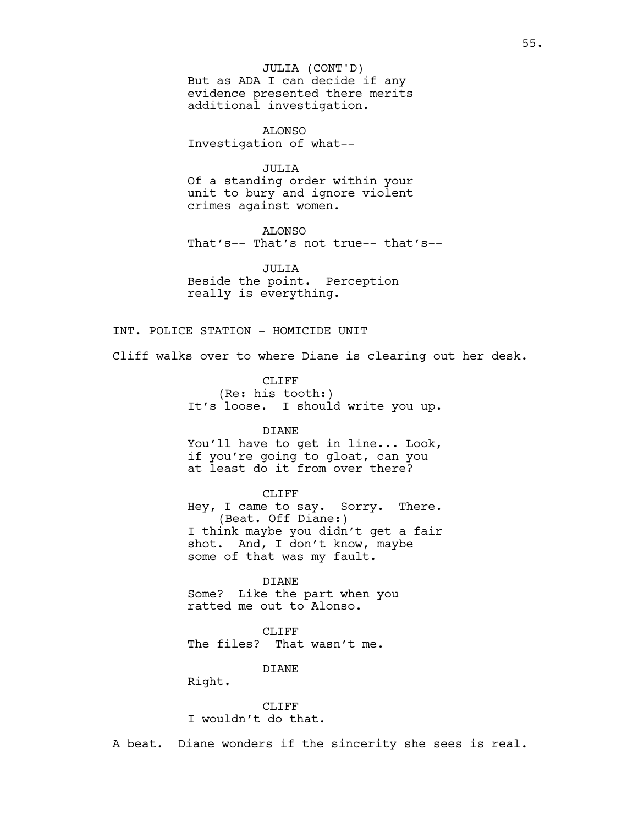But as ADA I can decide if any evidence presented there merits additional investigation. JULIA (CONT'D)

ALONSO Investigation of what--

JULIA

Of a standing order within your unit to bury and ignore violent crimes against women.

ALONSO That's-- That's not true-- that's--

JULIA Beside the point. Perception really is everything.

INT. POLICE STATION - HOMICIDE UNIT

Cliff walks over to where Diane is clearing out her desk.

CLIFF (Re: his tooth:) It's loose. I should write you up.

DIANE You'll have to get in line... Look, if you're going to gloat, can you at least do it from over there?

CLIFF Hey, I came to say. Sorry. There. (Beat. Off Diane:) I think maybe you didn't get a fair shot. And, I don't know, maybe some of that was my fault.

DIANE Some? Like the part when you ratted me out to Alonso.

CLIFF<sub></sub> The files? That wasn't me.

DIANE

Right.

CLIFF I wouldn't do that.

A beat. Diane wonders if the sincerity she sees is real.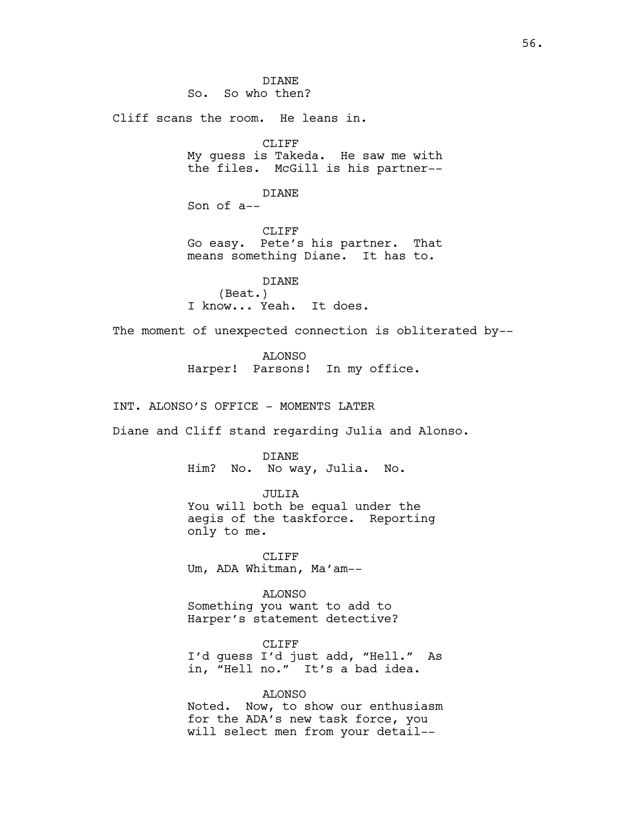DIANE So. So who then? Cliff scans the room. He leans in. CLIFF My guess is Takeda. He saw me with the files. McGill is his partner-- DIANE Son of a-- CLIFF Go easy. Pete's his partner. That means something Diane. It has to. DIANE (Beat.) I know... Yeah. It does. The moment of unexpected connection is obliterated by-- ALONSO Harper! Parsons! In my office. INT. ALONSO'S OFFICE - MOMENTS LATER Diane and Cliff stand regarding Julia and Alonso. DIANE Him? No. No way, Julia. No. JULIA You will both be equal under the aegis of the taskforce. Reporting only to me. CLIFF Um, ADA Whitman, Ma'am-- ALONSO Something you want to add to Harper's statement detective? CLIFF I'd guess I'd just add, "Hell." As in, "Hell no." It's a bad idea. ALONSO Noted. Now, to show our enthusiasm for the ADA's new task force, you will select men from your detail--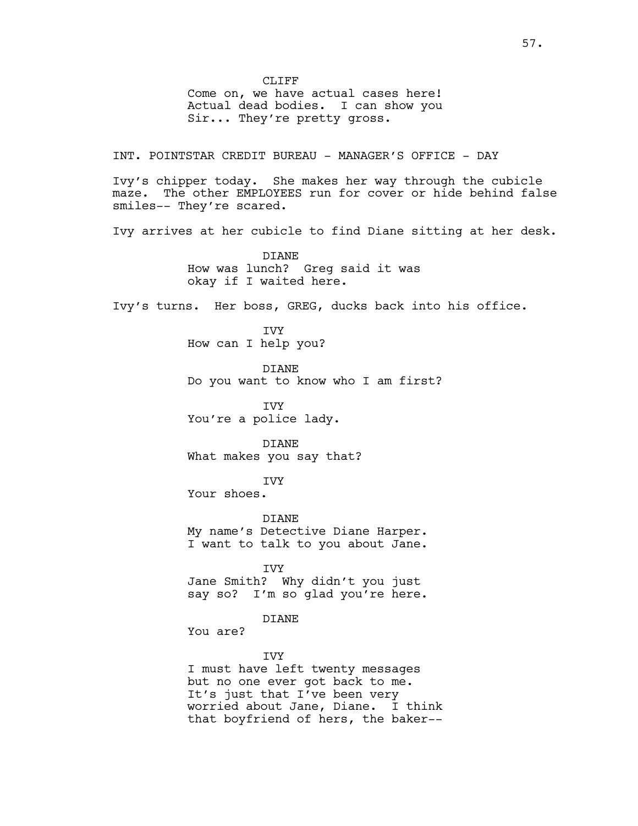CLIFF<sub></sub> Come on, we have actual cases here! Actual dead bodies. I can show you Sir... They're pretty gross.

INT. POINTSTAR CREDIT BUREAU - MANAGER'S OFFICE - DAY

Ivy's chipper today. She makes her way through the cubicle maze. The other EMPLOYEES run for cover or hide behind false smiles-- They're scared.

Ivy arrives at her cubicle to find Diane sitting at her desk.

DIANE How was lunch? Greg said it was okay if I waited here.

Ivy's turns. Her boss, GREG, ducks back into his office.

IVY How can I help you?

DIANE Do you want to know who I am first?

IVY You're a police lady.

DIANE What makes you say that?

IVY

Your shoes.

**DIANE** My name's Detective Diane Harper. I want to talk to you about Jane.

IVY

Jane Smith? Why didn't you just say so? I'm so glad you're here.

DIANE

You are?

IVY

I must have left twenty messages but no one ever got back to me. It's just that I've been very worried about Jane, Diane. I think that boyfriend of hers, the baker--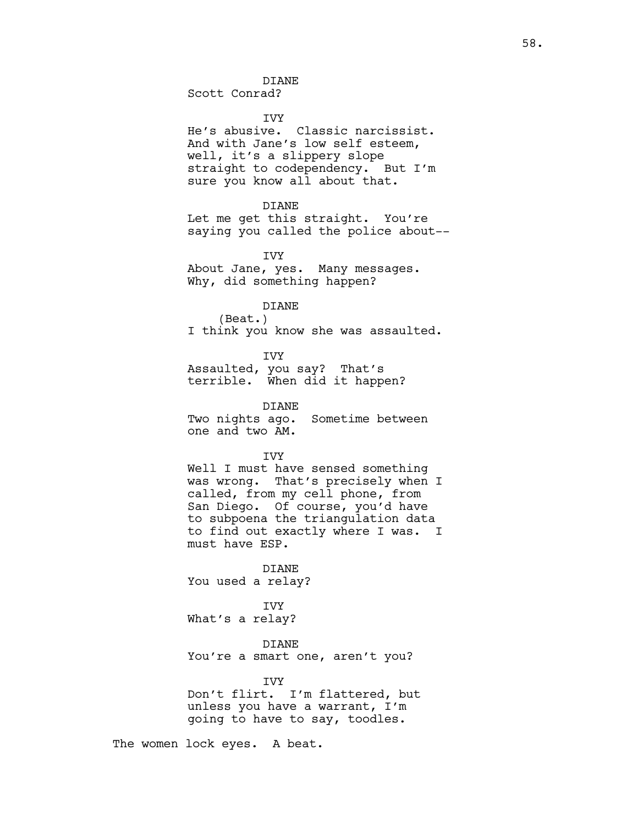Scott Conrad?

IVY

He's abusive. Classic narcissist. And with Jane's low self esteem, well, it's a slippery slope straight to codependency. But I'm sure you know all about that.

#### DIANE

Let me get this straight. You're saying you called the police about--

IVY

About Jane, yes. Many messages. Why, did something happen?

# DIANE

(Beat.) I think you know she was assaulted.

IVY

Assaulted, you say? That's terrible. When did it happen?

DIANE Two nights ago. Sometime between one and two AM.

**TVY** 

Well I must have sensed something was wrong. That's precisely when I called, from my cell phone, from San Diego. Of course, you'd have to subpoena the triangulation data to find out exactly where I was. I must have ESP.

DIANE You used a relay?

IVY What's a relay?

DIANE You're a smart one, aren't you?

IVY Don't flirt. I'm flattered, but unless you have a warrant, I'm going to have to say, toodles.

The women lock eyes. A beat.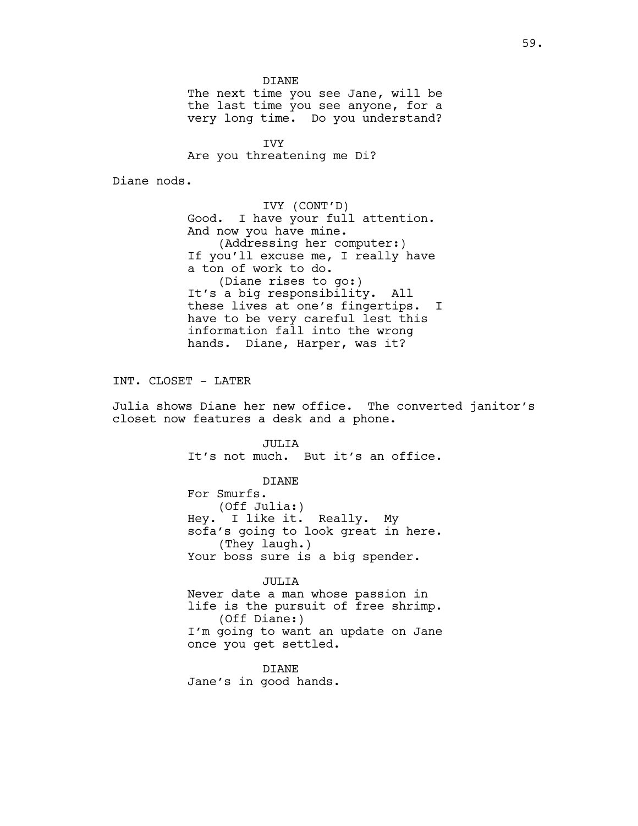DIANE The next time you see Jane, will be the last time you see anyone, for a very long time. Do you understand?

IVY Are you threatening me Di?

Diane nods.

IVY (CONT'D) Good. I have your full attention. And now you have mine. (Addressing her computer:) If you'll excuse me, I really have a ton of work to do. (Diane rises to go:) It's a big responsibility. All these lives at one's fingertips. I have to be very careful lest this information fall into the wrong hands. Diane, Harper, was it?

INT. CLOSET - LATER

Julia shows Diane her new office. The converted janitor's closet now features a desk and a phone.

> JULIA It's not much. But it's an office.

> > DIANE

For Smurfs. (Off Julia:) Hey. I like it. Really. My sofa's going to look great in here. (They laugh.) Your boss sure is a big spender.

JULIA

Never date a man whose passion in life is the pursuit of free shrimp. (Off Diane:) I'm going to want an update on Jane once you get settled.

DIANE Jane's in good hands.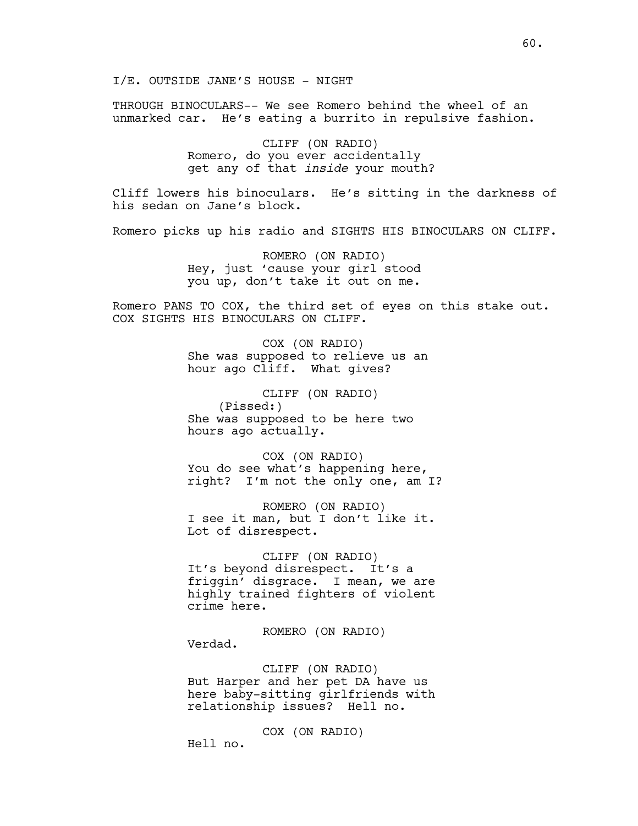I/E. OUTSIDE JANE'S HOUSE - NIGHT

THROUGH BINOCULARS-- We see Romero behind the wheel of an unmarked car. He's eating a burrito in repulsive fashion.

> CLIFF (ON RADIO) Romero, do you ever accidentally get any of that *inside* your mouth?

Cliff lowers his binoculars. He's sitting in the darkness of his sedan on Jane's block.

Romero picks up his radio and SIGHTS HIS BINOCULARS ON CLIFF.

ROMERO (ON RADIO) Hey, just 'cause your girl stood you up, don't take it out on me.

Romero PANS TO COX, the third set of eyes on this stake out. COX SIGHTS HIS BINOCULARS ON CLIFF.

> COX (ON RADIO) She was supposed to relieve us an hour ago Cliff. What gives?

CLIFF (ON RADIO) (Pissed:) She was supposed to be here two hours ago actually.

COX (ON RADIO) You do see what's happening here, right? I'm not the only one, am I?

ROMERO (ON RADIO) I see it man, but I don't like it. Lot of disrespect.

CLIFF (ON RADIO) It's beyond disrespect. It's a friggin' disgrace. I mean, we are highly trained fighters of violent crime here.

ROMERO (ON RADIO) Verdad.

CLIFF (ON RADIO) But Harper and her pet DA have us here baby-sitting girlfriends with relationship issues? Hell no.

COX (ON RADIO) Hell no.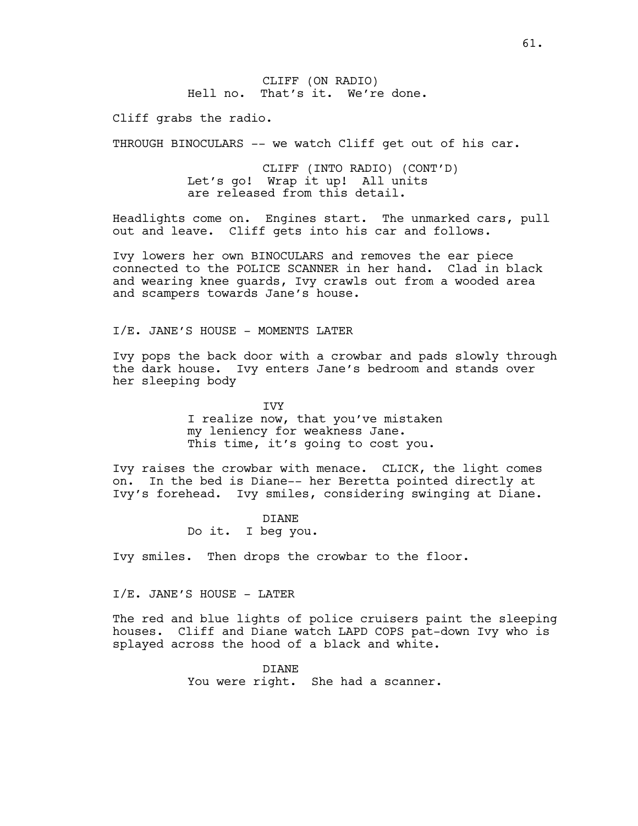CLIFF (ON RADIO) Hell no. That's it. We're done.

Cliff grabs the radio.

THROUGH BINOCULARS -- we watch Cliff get out of his car.

CLIFF (INTO RADIO) (CONT'D) Let's go! Wrap it up! All units are released from this detail.

Headlights come on. Engines start. The unmarked cars, pull out and leave. Cliff gets into his car and follows.

Ivy lowers her own BINOCULARS and removes the ear piece connected to the POLICE SCANNER in her hand. Clad in black and wearing knee guards, Ivy crawls out from a wooded area and scampers towards Jane's house.

I/E. JANE'S HOUSE - MOMENTS LATER

Ivy pops the back door with a crowbar and pads slowly through the dark house. Ivy enters Jane's bedroom and stands over her sleeping body

> IVY I realize now, that you've mistaken my leniency for weakness Jane. This time, it's going to cost you.

Ivy raises the crowbar with menace. CLICK, the light comes on. In the bed is Diane-- her Beretta pointed directly at Ivy's forehead. Ivy smiles, considering swinging at Diane.

> DIANE Do it. I beg you.

Ivy smiles. Then drops the crowbar to the floor.

### I/E. JANE'S HOUSE - LATER

The red and blue lights of police cruisers paint the sleeping houses. Cliff and Diane watch LAPD COPS pat-down Ivy who is splayed across the hood of a black and white.

> DIANE You were right. She had a scanner.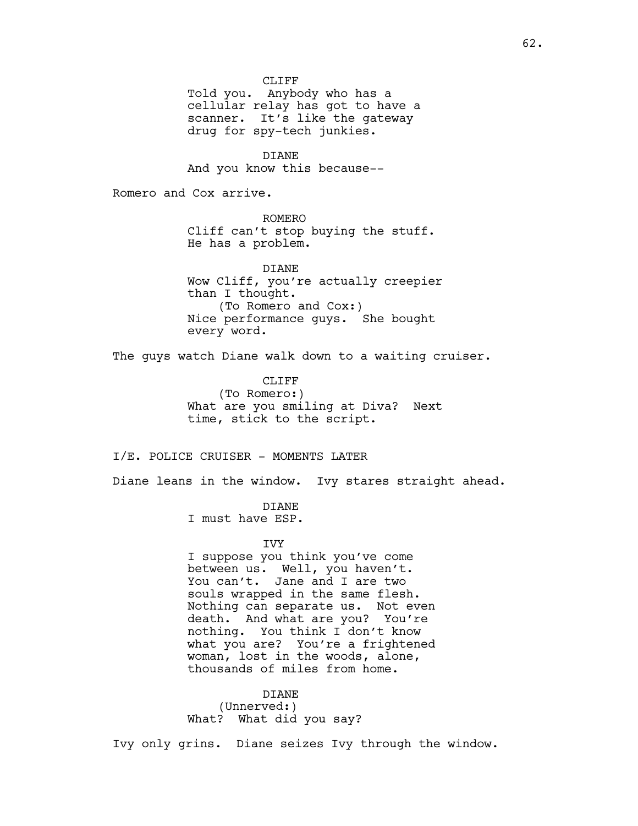CLIFF<sup></sup>

Told you. Anybody who has a cellular relay has got to have a scanner. It's like the gateway drug for spy-tech junkies.

DIANE And you know this because--

Romero and Cox arrive.

ROMERO Cliff can't stop buying the stuff. He has a problem.

DIANE Wow Cliff, you're actually creepier than I thought. (To Romero and Cox:) Nice performance guys. She bought every word.

The guys watch Diane walk down to a waiting cruiser.

CLIFF<sub></sub> (To Romero:) What are you smiling at Diva? Next time, stick to the script.

# I/E. POLICE CRUISER - MOMENTS LATER

Diane leans in the window. Ivy stares straight ahead.

# DIANE

I must have ESP.

# IVY

I suppose you think you've come between us. Well, you haven't. You can't. Jane and I are two souls wrapped in the same flesh. Nothing can separate us. Not even death. And what are you? You're nothing. You think I don't know what you are? You're a frightened woman, lost in the woods, alone, thousands of miles from home.

DIANE (Unnerved:) What? What did you say?

Ivy only grins. Diane seizes Ivy through the window.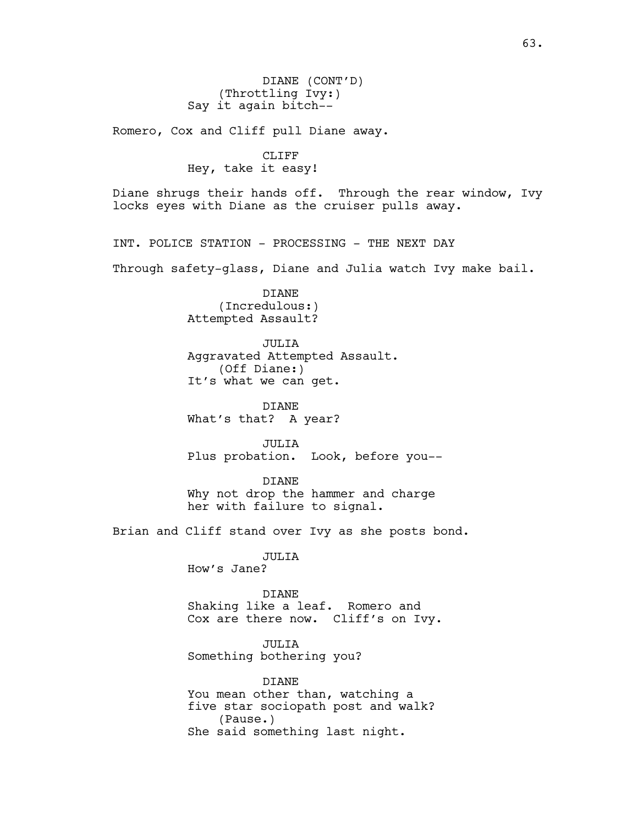DIANE (CONT'D) (Throttling Ivy:) Say it again bitch--

Romero, Cox and Cliff pull Diane away.

CLIFF Hey, take it easy!

Diane shrugs their hands off. Through the rear window, Ivy locks eyes with Diane as the cruiser pulls away.

INT. POLICE STATION - PROCESSING - THE NEXT DAY

Through safety-glass, Diane and Julia watch Ivy make bail.

DIANE (Incredulous:) Attempted Assault?

JULIA Aggravated Attempted Assault. (Off Diane:) It's what we can get.

DIANE What's that? A year?

JULIA Plus probation. Look, before you--

DIANE Why not drop the hammer and charge her with failure to signal.

Brian and Cliff stand over Ivy as she posts bond.

JULIA

How's Jane?

#### DIANE

Shaking like a leaf. Romero and Cox are there now. Cliff's on Ivy.

JULIA Something bothering you?

DIANE You mean other than, watching a five star sociopath post and walk? (Pause.) She said something last night.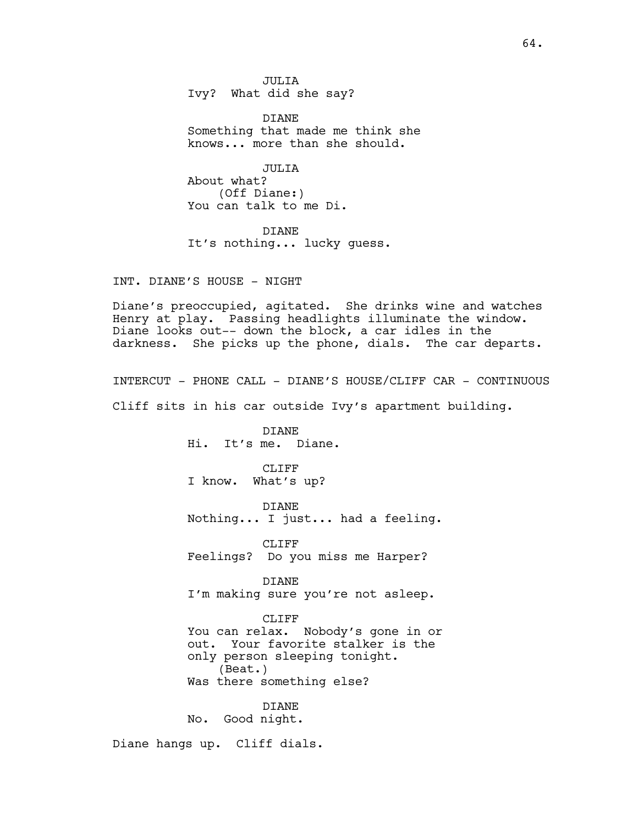JULIA Ivy? What did she say?

DIANE Something that made me think she knows... more than she should.

JULIA About what? (Off Diane:) You can talk to me Di.

DIANE It's nothing... lucky guess.

INT. DIANE'S HOUSE - NIGHT

Diane's preoccupied, agitated. She drinks wine and watches Henry at play. Passing headlights illuminate the window. Diane looks out-- down the block, a car idles in the darkness. She picks up the phone, dials. The car departs.

INTERCUT - PHONE CALL - DIANE'S HOUSE/CLIFF CAR - CONTINUOUS

Cliff sits in his car outside Ivy's apartment building.

DIANE Hi. It's me. Diane.

CLIFF<sub></sub> I know. What's up?

DIANE Nothing... I just... had a feeling.

CLIFF Feelings? Do you miss me Harper?

DIANE I'm making sure you're not asleep.

# CLIFF

You can relax. Nobody's gone in or out. Your favorite stalker is the only person sleeping tonight. (Beat.) Was there something else?

DIANE No. Good night.

Diane hangs up. Cliff dials.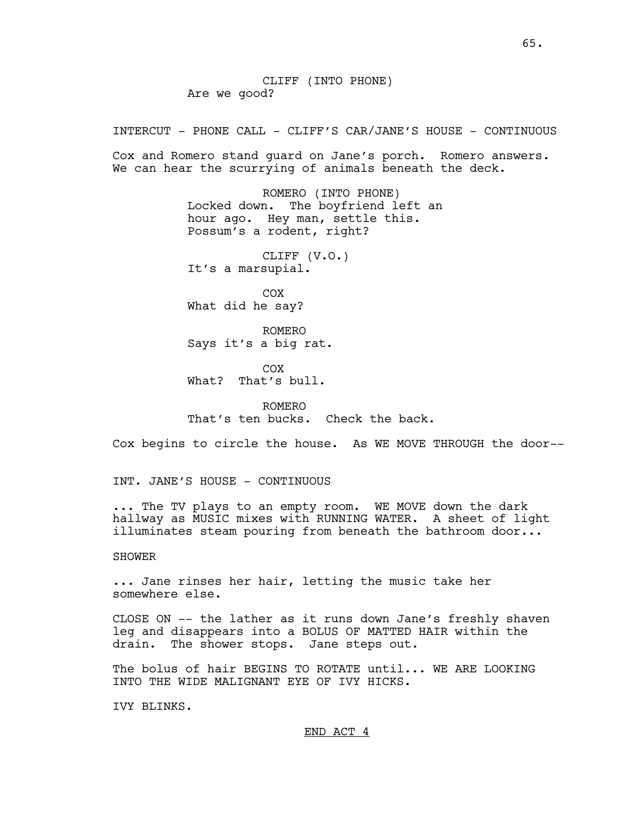CLIFF (INTO PHONE) Are we good?

INTERCUT - PHONE CALL - CLIFF'S CAR/JANE'S HOUSE - CONTINUOUS

Cox and Romero stand guard on Jane's porch. Romero answers. We can hear the scurrying of animals beneath the deck.

> ROMERO (INTO PHONE) Locked down. The boyfriend left an hour ago. Hey man, settle this. Possum's a rodent, right?

CLIFF (V.O.) It's a marsupial.

COX What did he say?

ROMERO Says it's a big rat.

COX What? That's bull.

ROMERO That's ten bucks. Check the back.

Cox begins to circle the house. As WE MOVE THROUGH the door--

INT. JANE'S HOUSE - CONTINUOUS

... The TV plays to an empty room. WE MOVE down the dark hallway as MUSIC mixes with RUNNING WATER. A sheet of light illuminates steam pouring from beneath the bathroom door...

# SHOWER

... Jane rinses her hair, letting the music take her somewhere else.

CLOSE ON -- the lather as it runs down Jane's freshly shaven leg and disappears into a BOLUS OF MATTED HAIR within the drain. The shower stops. Jane steps out.

The bolus of hair BEGINS TO ROTATE until... WE ARE LOOKING INTO THE WIDE MALIGNANT EYE OF IVY HICKS.

IVY BLINKS.

END ACT 4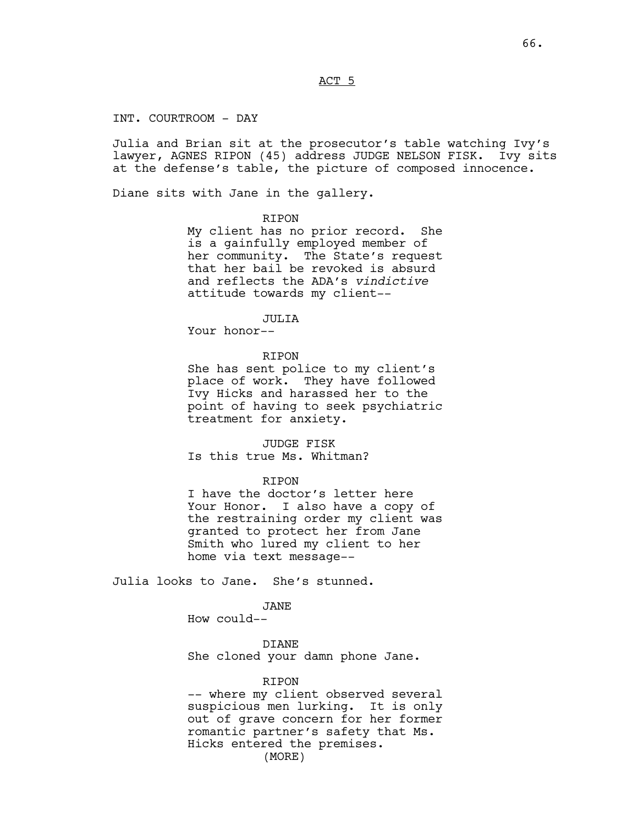ACT 5

INT. COURTROOM - DAY

Julia and Brian sit at the prosecutor's table watching Ivy's lawyer, AGNES RIPON (45) address JUDGE NELSON FISK. Ivy sits at the defense's table, the picture of composed innocence.

Diane sits with Jane in the gallery.

## RIPON

My client has no prior record. She is a gainfully employed member of her community. The State's request that her bail be revoked is absurd and reflects the ADA's *vindictive* attitude towards my client--

#### JULIA

Your honor--

# RIPON

She has sent police to my client's place of work. They have followed Ivy Hicks and harassed her to the point of having to seek psychiatric treatment for anxiety.

# JUDGE FISK

Is this true Ms. Whitman?

### RIPON

I have the doctor's letter here Your Honor. I also have a copy of the restraining order my client was granted to protect her from Jane Smith who lured my client to her home via text message--

Julia looks to Jane. She's stunned.

# JANE

How could--

DIANE She cloned your damn phone Jane.

# RIPON

-- where my client observed several suspicious men lurking. It is only out of grave concern for her former romantic partner's safety that Ms. Hicks entered the premises. (MORE)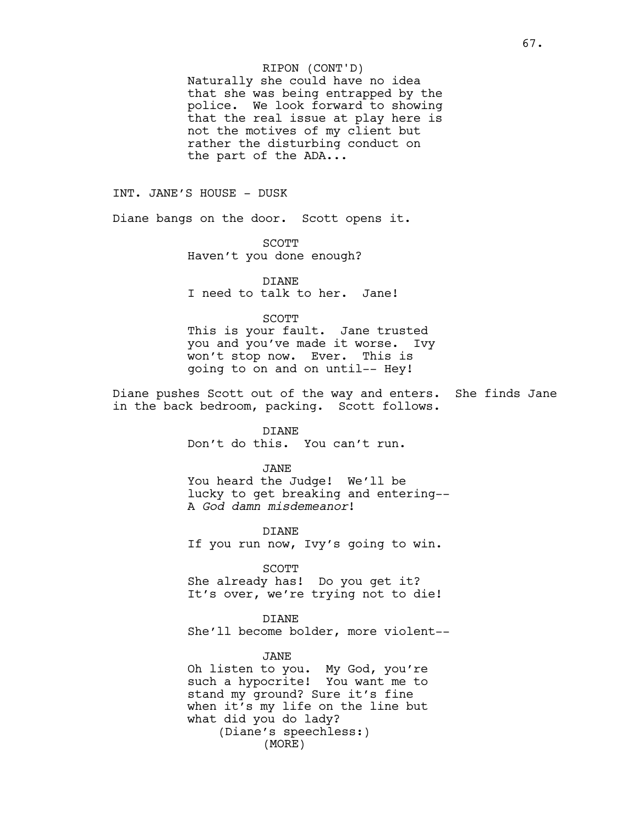# RIPON (CONT'D)

Naturally she could have no idea that she was being entrapped by the police. We look forward to showing that the real issue at play here is not the motives of my client but rather the disturbing conduct on the part of the ADA...

INT. JANE'S HOUSE - DUSK

Diane bangs on the door. Scott opens it.

SCOTT Haven't you done enough?

DIANE I need to talk to her. Jane!

SCOTT

This is your fault. Jane trusted you and you've made it worse. Ivy won't stop now. Ever. This is going to on and on until-- Hey!

Diane pushes Scott out of the way and enters. She finds Jane in the back bedroom, packing. Scott follows.

DIANE

Don't do this. You can't run.

JANE You heard the Judge! We'll be lucky to get breaking and entering-- A *God damn misdemeanor*!

DIANE If you run now, Ivy's going to win.

SCOTT She already has! Do you get it? It's over, we're trying not to die!

DIANE She'll become bolder, more violent--

JANE Oh listen to you. My God, you're such a hypocrite! You want me to stand my ground? Sure it's fine when it's my life on the line but what did you do lady? (Diane's speechless:) (MORE)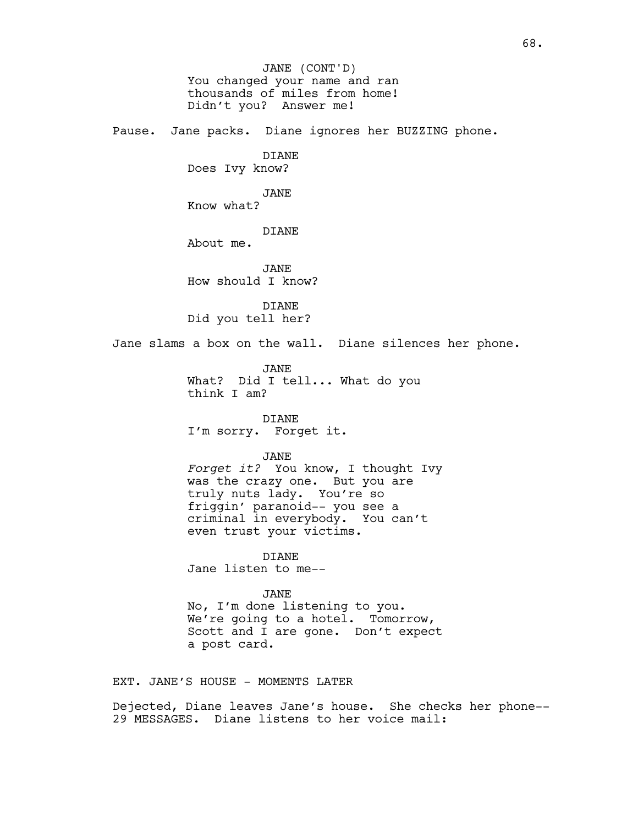You changed your name and ran thousands of miles from home! Didn't you? Answer me! Pause. Jane packs. Diane ignores her BUZZING phone. DIANE Does Ivy know? JANE Know what? DIANE About me. JANE How should I know? DIANE Did you tell her? Jane slams a box on the wall. Diane silences her phone. JANE What? Did I tell... What do you think I am? DIANE I'm sorry. Forget it. JANE *Forget it?* You know, I thought Ivy was the crazy one. But you are truly nuts lady. You're so friggin' paranoid-- you see a criminal in everybody. You can't even trust your victims. DIANE Jane listen to me-- JANE No, I'm done listening to you. We're going to a hotel. Tomorrow, Scott and I are gone. Don't expect a post card. EXT. JANE'S HOUSE - MOMENTS LATER JANE (CONT'D)

Dejected, Diane leaves Jane's house. She checks her phone-- 29 MESSAGES. Diane listens to her voice mail: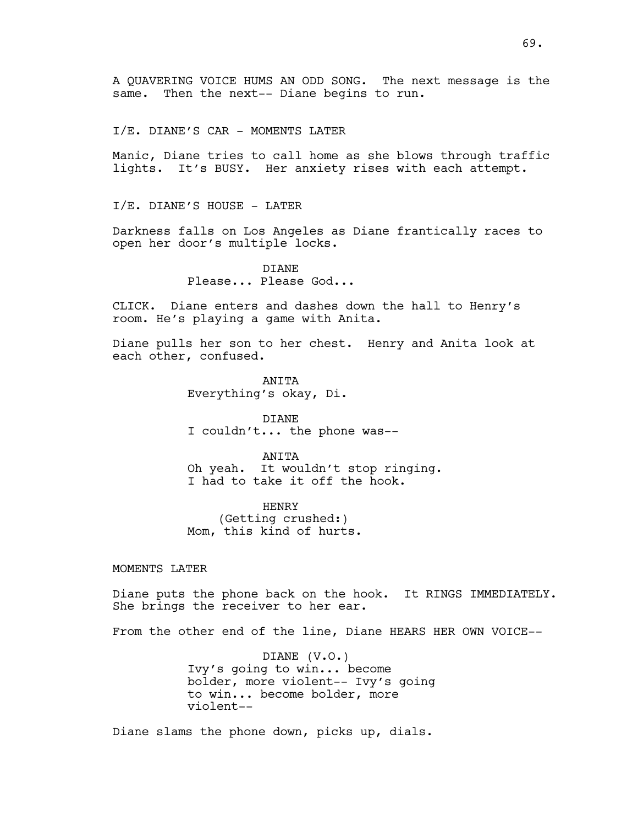A QUAVERING VOICE HUMS AN ODD SONG. The next message is the same. Then the next-- Diane begins to run.

I/E. DIANE'S CAR - MOMENTS LATER

Manic, Diane tries to call home as she blows through traffic lights. It's BUSY. Her anxiety rises with each attempt.

I/E. DIANE'S HOUSE - LATER

Darkness falls on Los Angeles as Diane frantically races to open her door's multiple locks.

> DIANE Please... Please God...

CLICK. Diane enters and dashes down the hall to Henry's room. He's playing a game with Anita.

Diane pulls her son to her chest. Henry and Anita look at each other, confused.

> **ANTTA** Everything's okay, Di.

DIANE I couldn't... the phone was--

ANITA Oh yeah. It wouldn't stop ringing. I had to take it off the hook.

HENRY (Getting crushed:) Mom, this kind of hurts.

MOMENTS LATER

Diane puts the phone back on the hook. It RINGS IMMEDIATELY. She brings the receiver to her ear.

From the other end of the line, Diane HEARS HER OWN VOICE--

DIANE (V.O.) Ivy's going to win... become bolder, more violent-- Ivy's going to win... become bolder, more violent--

Diane slams the phone down, picks up, dials.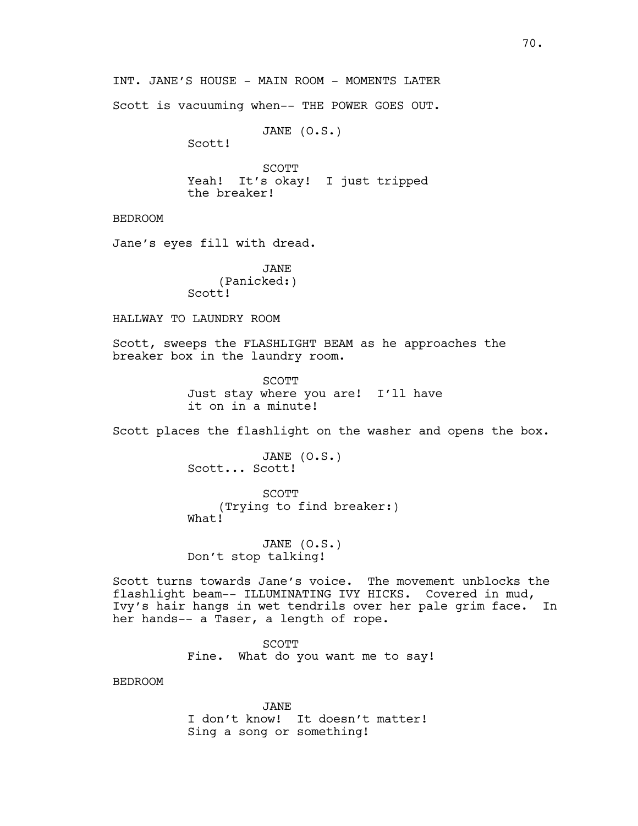INT. JANE'S HOUSE - MAIN ROOM - MOMENTS LATER

Scott is vacuuming when-- THE POWER GOES OUT.

JANE (O.S.)

Scott!

SCOTT Yeah! It's okay! I just tripped the breaker!

BEDROOM

Jane's eyes fill with dread.

JANE (Panicked:) Scott!

HALLWAY TO LAUNDRY ROOM

Scott, sweeps the FLASHLIGHT BEAM as he approaches the breaker box in the laundry room.

> SCOTT Just stay where you are! I'll have it on in a minute!

Scott places the flashlight on the washer and opens the box.

JANE (O.S.) Scott... Scott!

**SCOTT** (Trying to find breaker:) What!

JANE (O.S.) Don't stop talking!

Scott turns towards Jane's voice. The movement unblocks the flashlight beam-- ILLUMINATING IVY HICKS. Covered in mud, Ivy's hair hangs in wet tendrils over her pale grim face. In her hands-- a Taser, a length of rope.

> SCOTT Fine. What do you want me to say!

BEDROOM

JANE I don't know! It doesn't matter! Sing a song or something!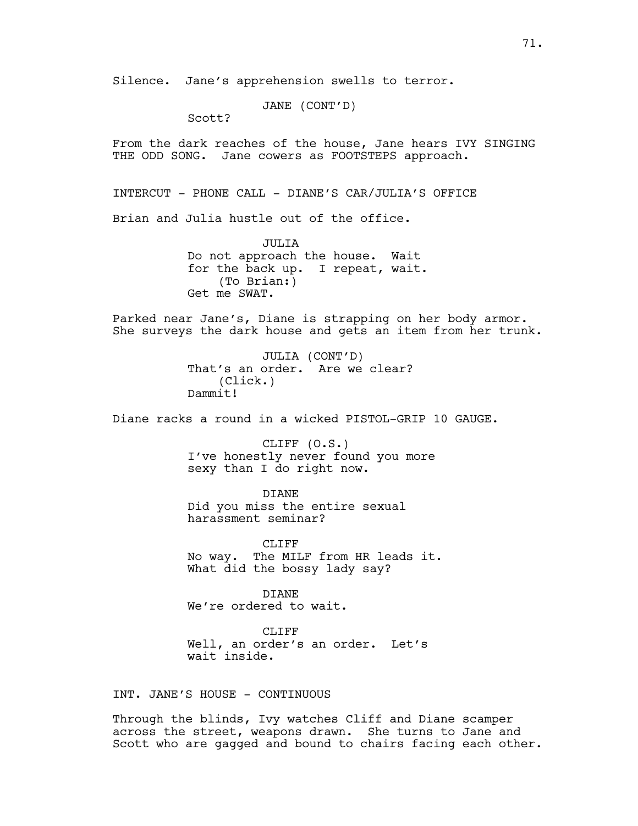Silence. Jane's apprehension swells to terror.

JANE (CONT'D)

Scott?

From the dark reaches of the house, Jane hears IVY SINGING THE ODD SONG. Jane cowers as FOOTSTEPS approach.

INTERCUT - PHONE CALL - DIANE'S CAR/JULIA'S OFFICE

Brian and Julia hustle out of the office.

JULIA Do not approach the house. Wait for the back up. I repeat, wait. (To Brian:) Get me SWAT.

Parked near Jane's, Diane is strapping on her body armor. She surveys the dark house and gets an item from her trunk.

> JULIA (CONT'D) That's an order. Are we clear? (Click.) Dammit!

Diane racks a round in a wicked PISTOL-GRIP 10 GAUGE.

CLIFF (O.S.) I've honestly never found you more sexy than I do right now.

DIANE Did you miss the entire sexual harassment seminar?

CLIFF<sub></sub> No way. The MILF from HR leads it. What did the bossy lady say?

DIANE We're ordered to wait.

CLIFF Well, an order's an order. Let's wait inside.

INT. JANE'S HOUSE - CONTINUOUS

Through the blinds, Ivy watches Cliff and Diane scamper across the street, weapons drawn. She turns to Jane and Scott who are gagged and bound to chairs facing each other.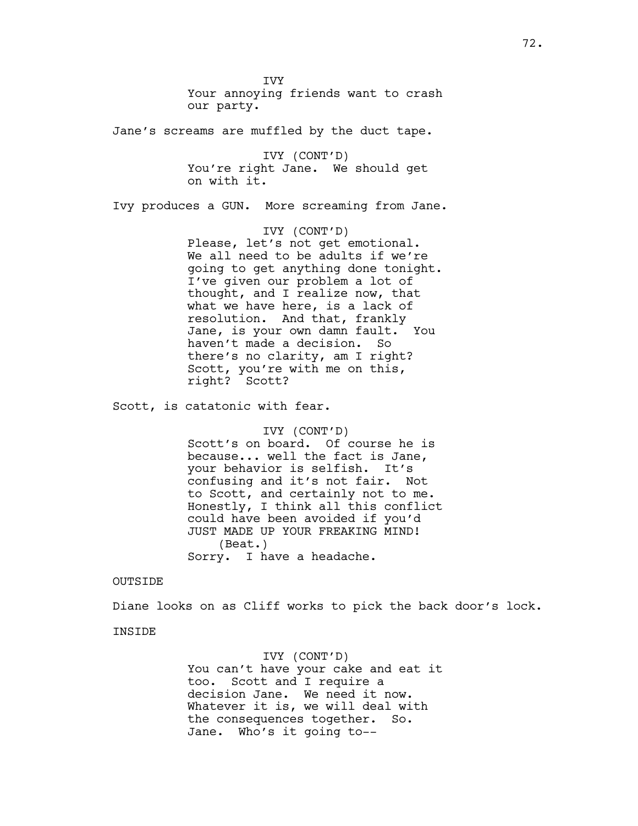**TVY** Your annoying friends want to crash our party.

Jane's screams are muffled by the duct tape.

IVY (CONT'D) You're right Jane. We should get on with it.

Ivy produces a GUN. More screaming from Jane.

IVY (CONT'D) Please, let's not get emotional. We all need to be adults if we're going to get anything done tonight. I've given our problem a lot of thought, and I realize now, that what we have here, is a lack of resolution. And that, frankly Jane, is your own damn fault. You haven't made a decision. So there's no clarity, am I right? Scott, you're with me on this, right? Scott?

Scott, is catatonic with fear.

IVY (CONT'D) Scott's on board. Of course he is because... well the fact is Jane, your behavior is selfish. It's confusing and it's not fair. Not to Scott, and certainly not to me. Honestly, I think all this conflict could have been avoided if you'd JUST MADE UP YOUR FREAKING MIND! (Beat.) Sorry. I have a headache.

#### OUTSIDE

Diane looks on as Cliff works to pick the back door's lock.

## **TNSTDE**

IVY (CONT'D) You can't have your cake and eat it too. Scott and I require a decision Jane. We need it now. Whatever it is, we will deal with the consequences together. So. Jane. Who's it going to--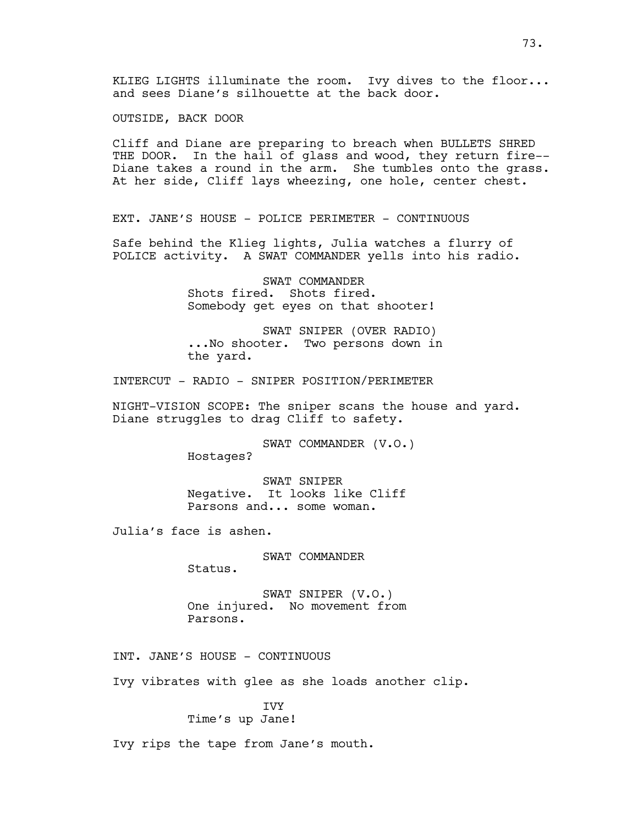OUTSIDE, BACK DOOR

Cliff and Diane are preparing to breach when BULLETS SHRED THE DOOR. In the hail of glass and wood, they return fire--Diane takes a round in the arm. She tumbles onto the grass. At her side, Cliff lays wheezing, one hole, center chest.

EXT. JANE'S HOUSE - POLICE PERIMETER - CONTINUOUS

Safe behind the Klieg lights, Julia watches a flurry of POLICE activity. A SWAT COMMANDER yells into his radio.

> SWAT COMMANDER Shots fired. Shots fired. Somebody get eyes on that shooter!

SWAT SNIPER (OVER RADIO) ...No shooter. Two persons down in the yard.

INTERCUT - RADIO - SNIPER POSITION/PERIMETER

NIGHT-VISION SCOPE: The sniper scans the house and yard. Diane struggles to drag Cliff to safety.

> SWAT COMMANDER (V.O.) Hostages?

SWAT SNIPER Negative. It looks like Cliff Parsons and... some woman.

Julia's face is ashen.

SWAT COMMANDER

Status.

SWAT SNIPER (V.O.) One injured. No movement from Parsons.

INT. JANE'S HOUSE - CONTINUOUS

Ivy vibrates with glee as she loads another clip.

# IVY

Time's up Jane!

Ivy rips the tape from Jane's mouth.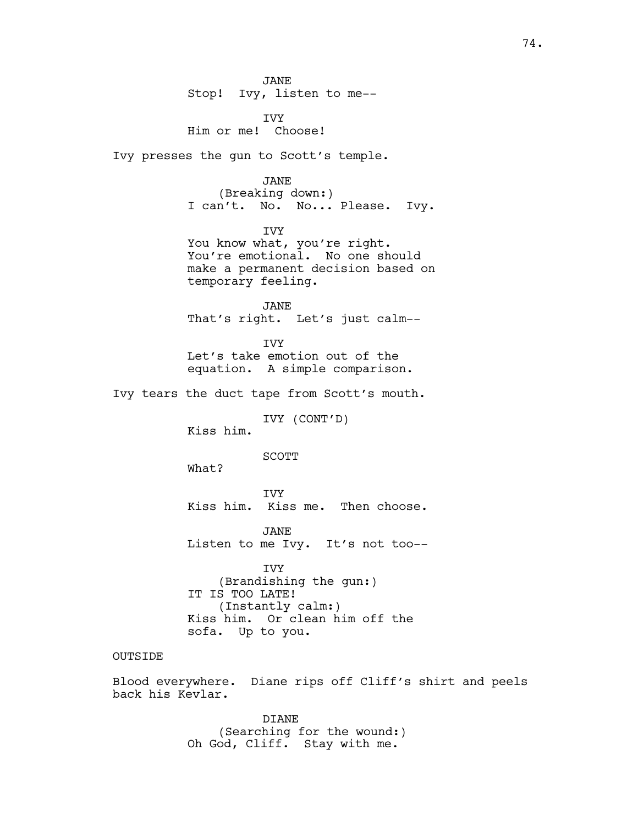JANE Stop! Ivy, listen to me--

IVY Him or me! Choose!

Ivy presses the gun to Scott's temple.

#### JANE

(Breaking down:) I can't. No. No... Please. Ivy.

IVY You know what, you're right. You're emotional. No one should make a permanent decision based on temporary feeling.

JANE That's right. Let's just calm--

IVY Let's take emotion out of the equation. A simple comparison.

Ivy tears the duct tape from Scott's mouth.

IVY (CONT'D)

Kiss him.

SCOTT

What?

IVY Kiss him. Kiss me. Then choose.

JANE Listen to me Ivy. It's not too--

IVY (Brandishing the gun:) IT IS TOO LATE! (Instantly calm:) Kiss him. Or clean him off the sofa. Up to you.

## OUTSIDE

Blood everywhere. Diane rips off Cliff's shirt and peels back his Kevlar.

> DIANE (Searching for the wound:) Oh God, Cliff. Stay with me.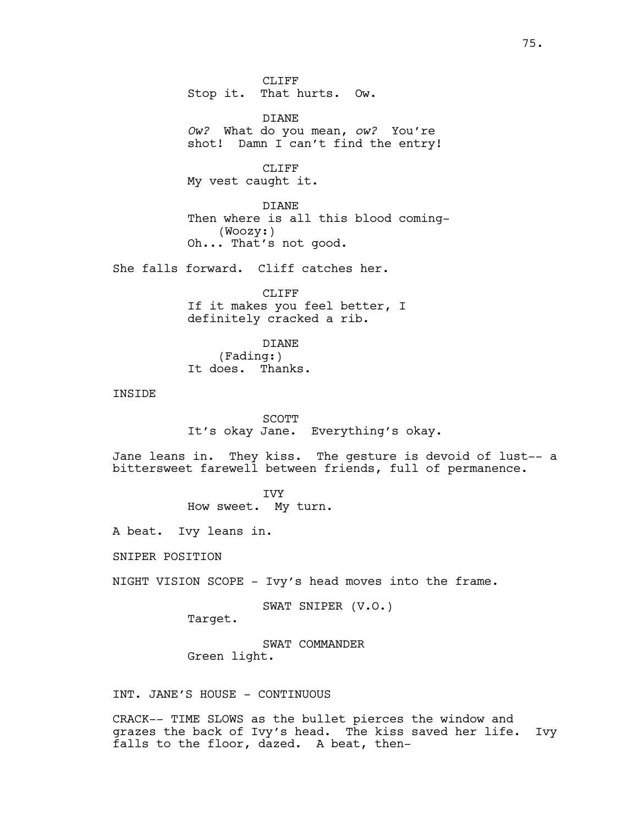CLIFF Stop it. That hurts. Ow.

DIANE *Ow?* What do you mean, *ow?* You're shot! Damn I can't find the entry!

CLIFF My vest caught it.

DIANE Then where is all this blood coming- (Woozy:) Oh... That's not good.

She falls forward. Cliff catches her.

CLIFF If it makes you feel better, I definitely cracked a rib.

DIANE (Fading:) It does. Thanks.

INSIDE

SCOTT It's okay Jane. Everything's okay.

Jane leans in. They kiss. The gesture is devoid of lust-- a bittersweet farewell between friends, full of permanence.

> IVY How sweet. My turn.

A beat. Ivy leans in.

SNIPER POSITION

NIGHT VISION SCOPE - Ivy's head moves into the frame.

SWAT SNIPER (V.O.)

Target.

SWAT COMMANDER Green light.

INT. JANE'S HOUSE - CONTINUOUS

CRACK-- TIME SLOWS as the bullet pierces the window and grazes the back of Ivy's head. The kiss saved her life. Ivy falls to the floor, dazed. A beat, then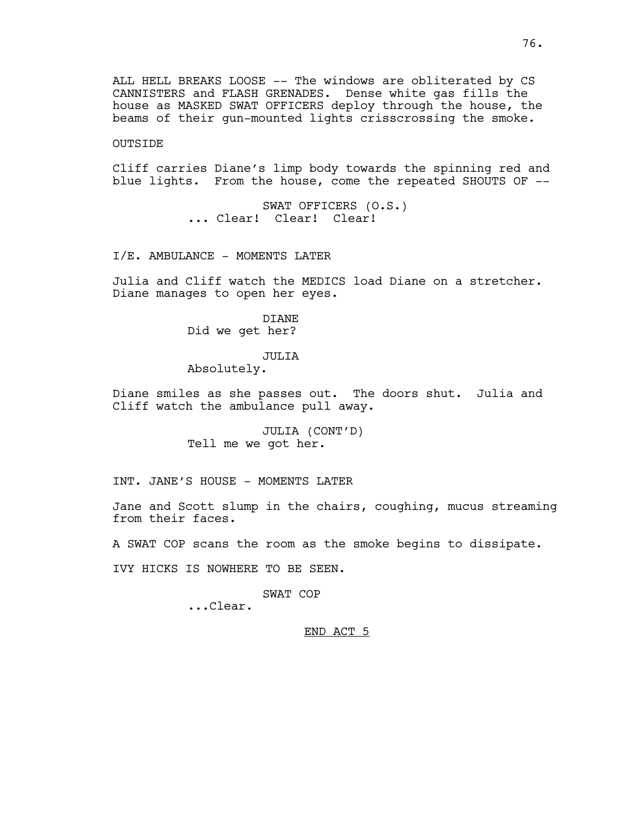ALL HELL BREAKS LOOSE -- The windows are obliterated by CS CANNISTERS and FLASH GRENADES. Dense white gas fills the house as MASKED SWAT OFFICERS deploy through the house, the beams of their gun-mounted lights crisscrossing the smoke.

## OUTSIDE

Cliff carries Diane's limp body towards the spinning red and blue lights. From the house, come the repeated SHOUTS OF --

> SWAT OFFICERS (O.S.) ... Clear! Clear! Clear!

I/E. AMBULANCE - MOMENTS LATER

Julia and Cliff watch the MEDICS load Diane on a stretcher. Diane manages to open her eyes.

> DIANE Did we get her?

#### JULIA

Absolutely.

Diane smiles as she passes out. The doors shut. Julia and Cliff watch the ambulance pull away.

> JULIA (CONT'D) Tell me we got her.

INT. JANE'S HOUSE - MOMENTS LATER

Jane and Scott slump in the chairs, coughing, mucus streaming from their faces.

A SWAT COP scans the room as the smoke begins to dissipate.

IVY HICKS IS NOWHERE TO BE SEEN.

## SWAT COP

...Clear.

#### END ACT 5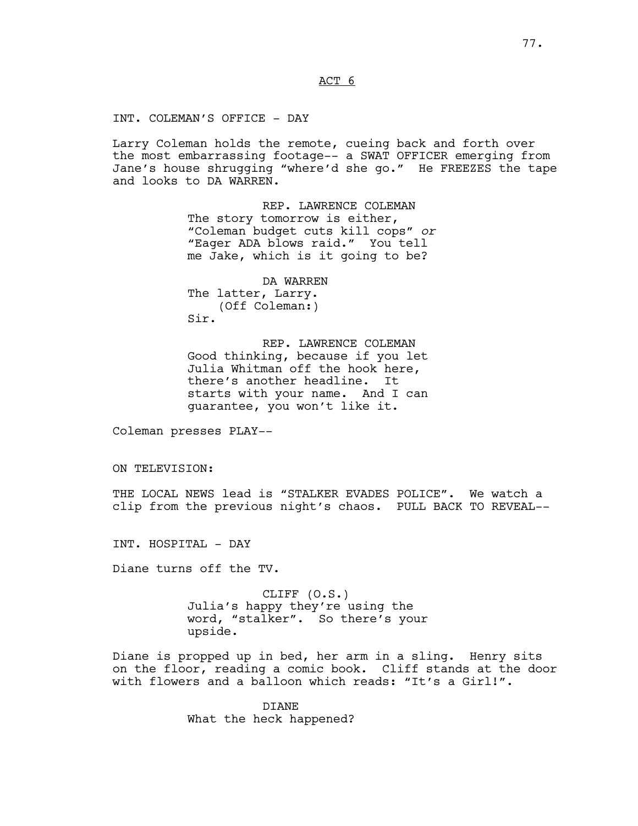ACT 6

INT. COLEMAN'S OFFICE - DAY

Larry Coleman holds the remote, cueing back and forth over the most embarrassing footage-- a SWAT OFFICER emerging from Jane's house shrugging "where'd she go." He FREEZES the tape and looks to DA WARREN.

> REP. LAWRENCE COLEMAN The story tomorrow is either, "Coleman budget cuts kill cops" *or* "Eager ADA blows raid." You tell me Jake, which is it going to be?

DA WARREN The latter, Larry. (Off Coleman:) Sir.

REP. LAWRENCE COLEMAN Good thinking, because if you let Julia Whitman off the hook here, there's another headline. It starts with your name. And I can guarantee, you won't like it.

Coleman presses PLAY--

ON TELEVISION:

THE LOCAL NEWS lead is "STALKER EVADES POLICE". We watch a clip from the previous night's chaos. PULL BACK TO REVEAL--

INT. HOSPITAL - DAY

Diane turns off the TV.

CLIFF (O.S.) Julia's happy they're using the word, "stalker". So there's your upside.

Diane is propped up in bed, her arm in a sling. Henry sits on the floor, reading a comic book. Cliff stands at the door with flowers and a balloon which reads: "It's a Girl!".

> DIANE What the heck happened?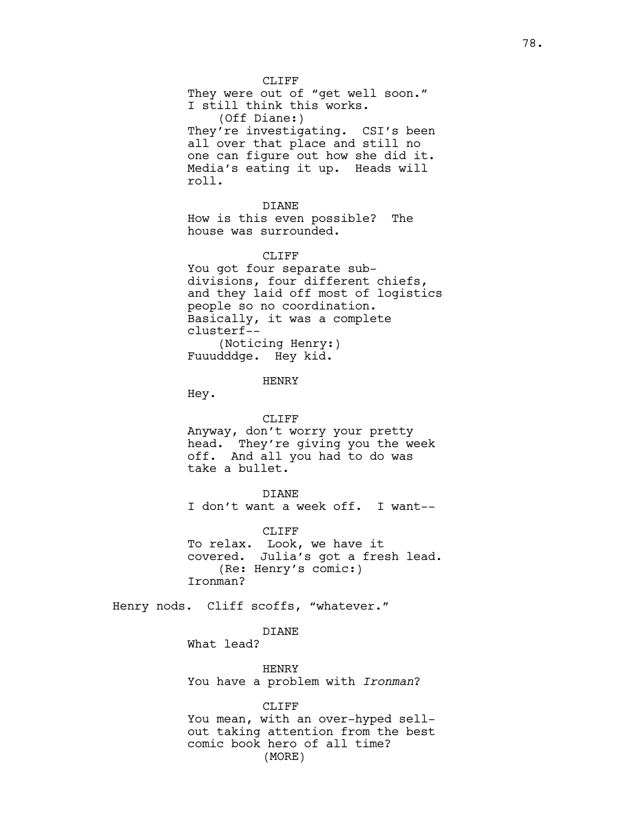CLIFF They were out of "get well soon." I still think this works. (Off Diane:) They're investigating. CSI's been all over that place and still no one can figure out how she did it. Media's eating it up. Heads will roll.

DIANE How is this even possible? The house was surrounded.

#### CLIFF<sub>F</sub>

You got four separate subdivisions, four different chiefs, and they laid off most of logistics people so no coordination. Basically, it was a complete clusterf-- (Noticing Henry:) Fuuudddge. Hey kid.

HENRY

Hey.

#### CLIFF

Anyway, don't worry your pretty head. They're giving you the week off. And all you had to do was take a bullet.

### DIANE

I don't want a week off. I want--

CLIFF

To relax. Look, we have it covered. Julia's got a fresh lead. (Re: Henry's comic:) Ironman?

Henry nods. Cliff scoffs, "whatever."

## DIANE

What lead?

HENRY You have a problem with *Ironman*?

#### CLIFF

You mean, with an over-hyped sellout taking attention from the best comic book hero of all time? (MORE)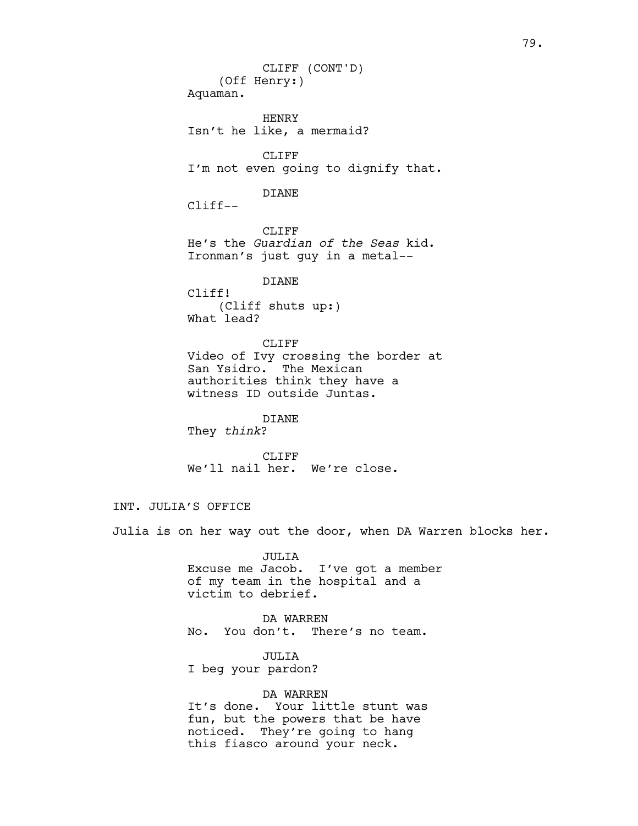(Off Henry:) Aquaman. HENRY Isn't he like, a mermaid? CLIFF I'm not even going to dignify that. DIANE Cliff-- CLIFF He's the *Guardian of the Seas* kid. Ironman's just guy in a metal-- DIANE Cliff! (Cliff shuts up:) What lead? CLIFF Video of Ivy crossing the border at CLIFF (CONT'D)

San Ysidro. The Mexican authorities think they have a witness ID outside Juntas.

DIANE They *think*?

CLIFF We'll nail her. We're close.

## INT. JULIA'S OFFICE

Julia is on her way out the door, when DA Warren blocks her.

JULIA Excuse me Jacob. I've got a member of my team in the hospital and a victim to debrief.

DA WARREN No. You don't. There's no team.

JULIA I beg your pardon?

## DA WARREN

It's done. Your little stunt was fun, but the powers that be have noticed. They're going to hang this fiasco around your neck.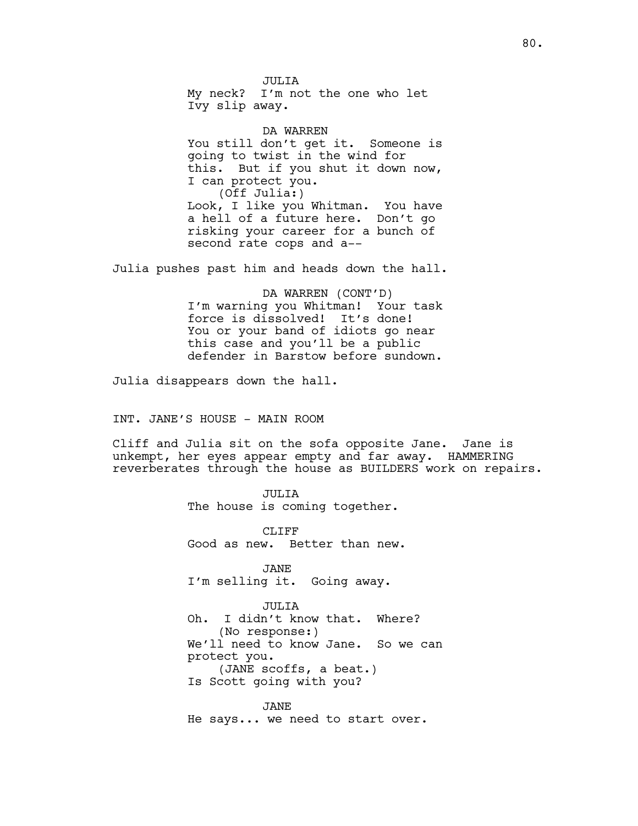JULIA My neck? I'm not the one who let Ivy slip away.

DA WARREN You still don't get it. Someone is going to twist in the wind for this. But if you shut it down now, I can protect you. (Off Julia:) Look, I like you Whitman. You have a hell of a future here. Don't go risking your career for a bunch of second rate cops and a--

Julia pushes past him and heads down the hall.

DA WARREN (CONT'D) I'm warning you Whitman! Your task force is dissolved! It's done! You or your band of idiots go near this case and you'll be a public defender in Barstow before sundown.

Julia disappears down the hall.

INT. JANE'S HOUSE - MAIN ROOM

Cliff and Julia sit on the sofa opposite Jane. Jane is unkempt, her eyes appear empty and far away. HAMMERING reverberates through the house as BUILDERS work on repairs.

JULIA

The house is coming together.

CLIFF Good as new. Better than new.

JANE I'm selling it. Going away.

JULIA Oh. I didn't know that. Where? (No response:) We'll need to know Jane. So we can protect you. (JANE scoffs, a beat.) Is Scott going with you?

JANE He says... we need to start over.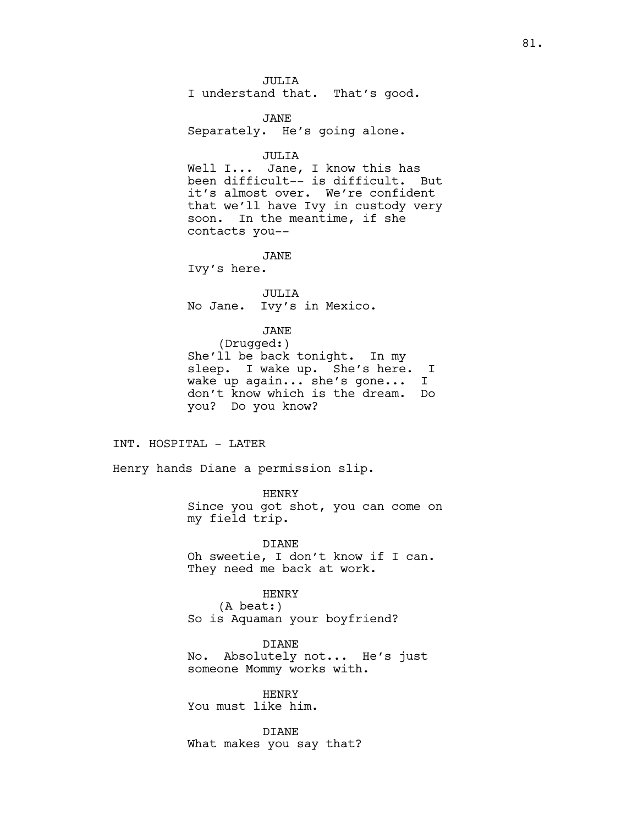JULIA I understand that. That's good.

JANE Separately. He's going alone.

JULIA

Well I... Jane, I know this has been difficult-- is difficult. But it's almost over. We're confident that we'll have Ivy in custody very soon. In the meantime, if she contacts you--

JANE

Ivy's here.

JULIA No Jane. Ivy's in Mexico.

## JANE

(Drugged:) She'll be back tonight. In my sleep. I wake up. She's here. I wake up again... she's gone... I don't know which is the dream. Do you? Do you know?

#### INT. HOSPITAL - LATER

Henry hands Diane a permission slip.

HENRY Since you got shot, you can come on my field trip.

DIANE Oh sweetie, I don't know if I can. They need me back at work.

HENRY (A beat:) So is Aquaman your boyfriend?

DIANE No. Absolutely not... He's just someone Mommy works with.

HENRY You must like him.

DIANE What makes you say that?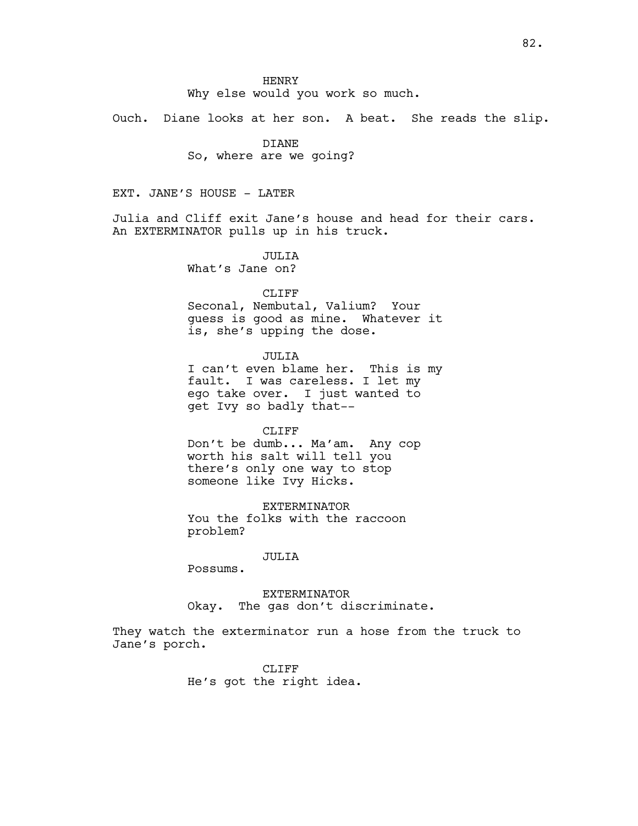Why else would you work so much.

Ouch. Diane looks at her son. A beat. She reads the slip.

## DIANE

So, where are we going?

EXT. JANE'S HOUSE - LATER

Julia and Cliff exit Jane's house and head for their cars. An EXTERMINATOR pulls up in his truck.

> JULIA What's Jane on?

> > CLIFF

Seconal, Nembutal, Valium? Your guess is good as mine. Whatever it is, she's upping the dose.

JULTA

I can't even blame her. This is my fault. I was careless. I let my ego take over. I just wanted to get Ivy so badly that--

#### CLIFF

Don't be dumb... Ma'am. Any cop worth his salt will tell you there's only one way to stop someone like Ivy Hicks.

EXTERMINATOR You the folks with the raccoon problem?

### JULIA

Possums.

EXTERMINATOR Okay. The gas don't discriminate.

They watch the exterminator run a hose from the truck to Jane's porch.

> CLIFF He's got the right idea.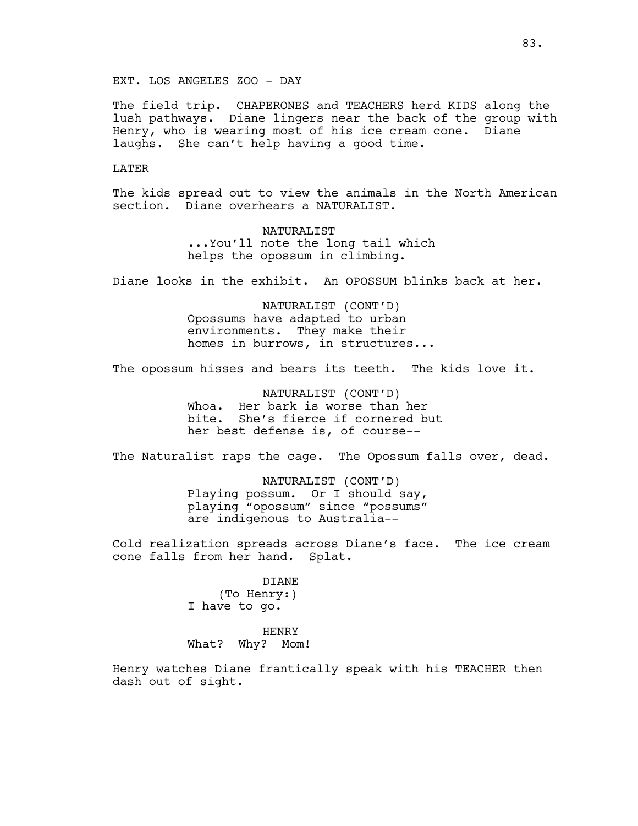EXT. LOS ANGELES ZOO - DAY

The field trip. CHAPERONES and TEACHERS herd KIDS along the lush pathways. Diane lingers near the back of the group with Henry, who is wearing most of his ice cream cone. Diane laughs. She can't help having a good time.

#### LATER

The kids spread out to view the animals in the North American section. Diane overhears a NATURALIST.

> NATURALIST ...You'll note the long tail which helps the opossum in climbing.

Diane looks in the exhibit. An OPOSSUM blinks back at her.

NATURALIST (CONT'D) Opossums have adapted to urban environments. They make their homes in burrows, in structures...

The opossum hisses and bears its teeth. The kids love it.

NATURALIST (CONT'D) Whoa. Her bark is worse than her bite. She's fierce if cornered but her best defense is, of course--

The Naturalist raps the cage. The Opossum falls over, dead.

NATURALIST (CONT'D) Playing possum. Or I should say, playing "opossum" since "possums" are indigenous to Australia--

Cold realization spreads across Diane's face. The ice cream cone falls from her hand. Splat.

> DIANE (To Henry:) I have to go.

HENRY What? Why? Mom!

Henry watches Diane frantically speak with his TEACHER then dash out of sight.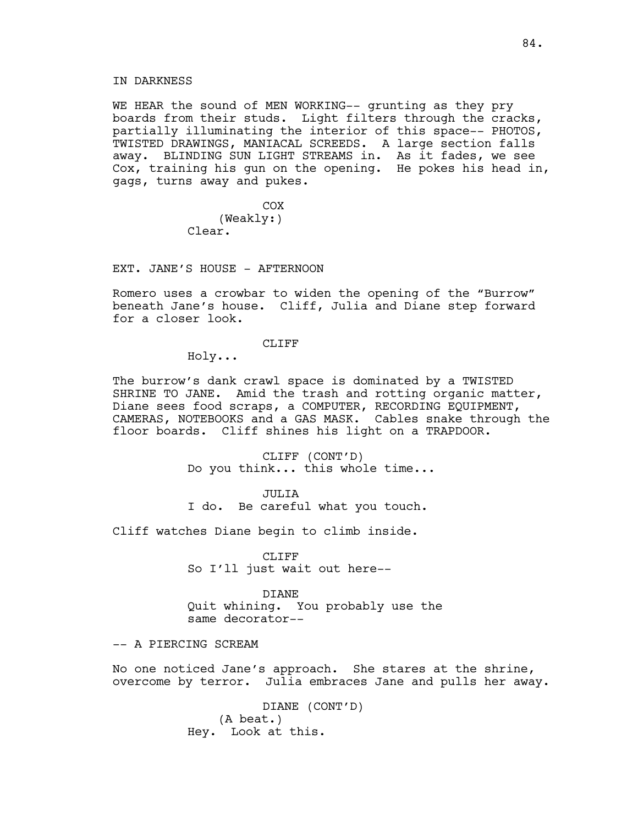WE HEAR the sound of MEN WORKING-- grunting as they pry boards from their studs. Light filters through the cracks, partially illuminating the interior of this space-- PHOTOS, TWISTED DRAWINGS, MANIACAL SCREEDS. A large section falls away. BLINDING SUN LIGHT STREAMS in. As it fades, we see Cox, training his gun on the opening. He pokes his head in, gags, turns away and pukes.

> COX (Weakly:) Clear.

EXT. JANE'S HOUSE - AFTERNOON

Romero uses a crowbar to widen the opening of the "Burrow" beneath Jane's house. Cliff, Julia and Diane step forward for a closer look.

## CLIFF

Holy...

The burrow's dank crawl space is dominated by a TWISTED SHRINE TO JANE. Amid the trash and rotting organic matter, Diane sees food scraps, a COMPUTER, RECORDING EQUIPMENT, CAMERAS, NOTEBOOKS and a GAS MASK. Cables snake through the floor boards. Cliff shines his light on a TRAPDOOR.

> CLIFF (CONT'D) Do you think... this whole time...

> > JULIA

I do. Be careful what you touch.

Cliff watches Diane begin to climb inside.

CLIFF So I'll just wait out here--

DIANE Quit whining. You probably use the same decorator--

-- A PIERCING SCREAM

No one noticed Jane's approach. She stares at the shrine, overcome by terror. Julia embraces Jane and pulls her away.

> DIANE (CONT'D) (A beat.) Hey. Look at this.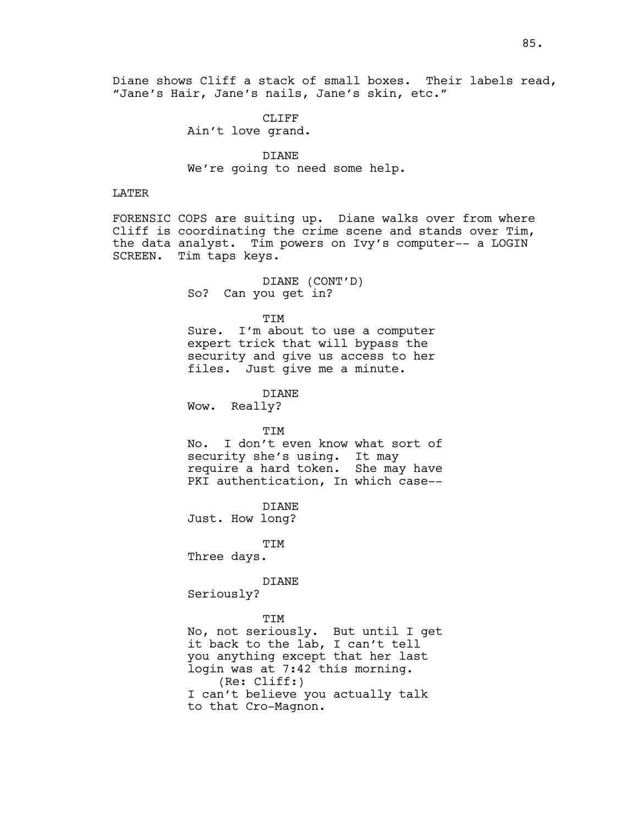Diane shows Cliff a stack of small boxes. Their labels read, "Jane's Hair, Jane's nails, Jane's skin, etc."

> CLIFF Ain't love grand.

DIANE We're going to need some help.

### LATER

FORENSIC COPS are suiting up. Diane walks over from where Cliff is coordinating the crime scene and stands over Tim, the data analyst. Tim powers on Ivy's computer-- a LOGIN SCREEN. Tim taps keys.

> DIANE (CONT'D) So? Can you get in?

> > TIM

Sure. I'm about to use a computer expert trick that will bypass the security and give us access to her files. Just give me a minute.

DIANE

Wow. Really?

TIM

No. I don't even know what sort of security she's using. It may require a hard token. She may have PKI authentication, In which case--

DIANE Just. How long?

TIM Three days.

DIANE

Seriously?

TIM

No, not seriously. But until I get it back to the lab, I can't tell you anything except that her last login was at 7:42 this morning. (Re: Cliff:) I can't believe you actually talk to that Cro-Magnon.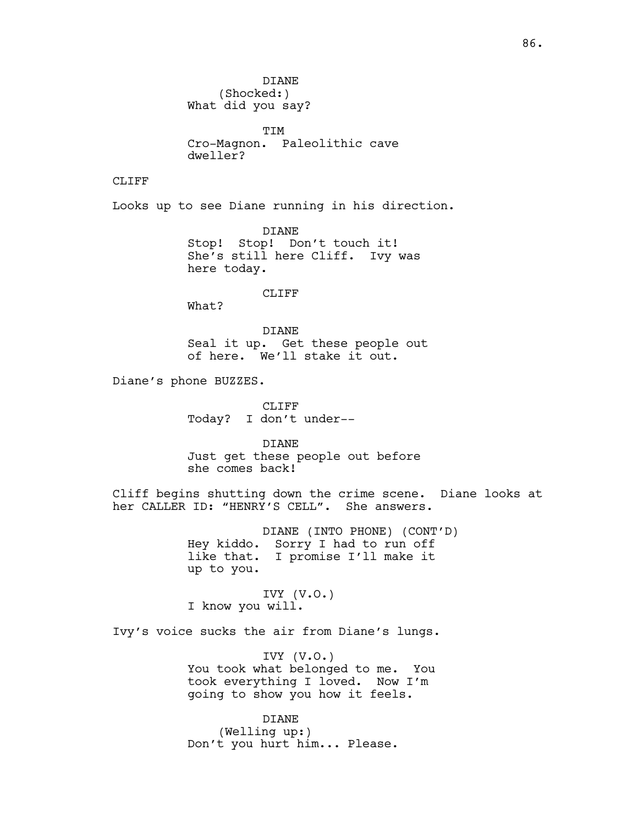TIM Cro-Magnon. Paleolithic cave dweller?

## CLIFF

Looks up to see Diane running in his direction.

DIANE Stop! Stop! Don't touch it! She's still here Cliff. Ivy was here today.

CLIFF

What?

DIANE Seal it up. Get these people out of here. We'll stake it out.

Diane's phone BUZZES.

CLIFF Today? I don't under--

DIANE Just get these people out before she comes back!

Cliff begins shutting down the crime scene. Diane looks at her CALLER ID: "HENRY'S CELL". She answers.

> DIANE (INTO PHONE) (CONT'D) Hey kiddo. Sorry I had to run off like that. I promise I'll make it up to you.

IVY (V.O.) I know you will.

Ivy's voice sucks the air from Diane's lungs.

IVY (V.O.) You took what belonged to me. You took everything I loved. Now I'm going to show you how it feels.

DIANE (Welling up:) Don't you hurt him... Please.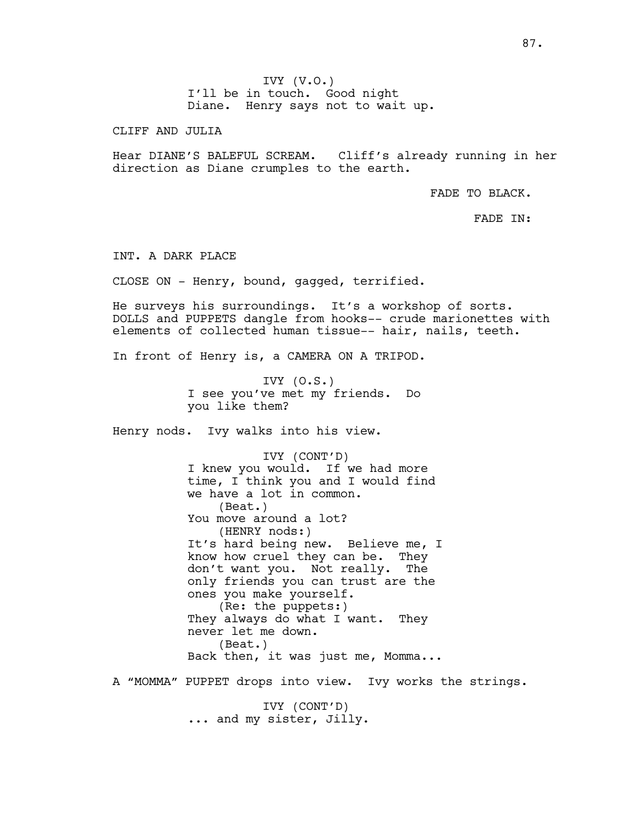CLIFF AND JULIA

Hear DIANE'S BALEFUL SCREAM. Cliff's already running in her direction as Diane crumples to the earth.

FADE TO BLACK.

FADE IN:

INT. A DARK PLACE

CLOSE ON - Henry, bound, gagged, terrified.

He surveys his surroundings. It's a workshop of sorts. DOLLS and PUPPETS dangle from hooks-- crude marionettes with elements of collected human tissue-- hair, nails, teeth.

In front of Henry is, a CAMERA ON A TRIPOD.

IVY  $(0.S.)$ I see you've met my friends. Do you like them?

Henry nods. Ivy walks into his view.

IVY (CONT'D) I knew you would. If we had more time, I think you and I would find we have a lot in common. (Beat.) You move around a lot? (HENRY nods:) It's hard being new. Believe me, I know how cruel they can be. They don't want you. Not really. The only friends you can trust are the ones you make yourself. (Re: the puppets:) They always do what I want. They never let me down. (Beat.) Back then, it was just me, Momma...

A "MOMMA" PUPPET drops into view. Ivy works the strings.

IVY (CONT'D) ... and my sister, Jilly.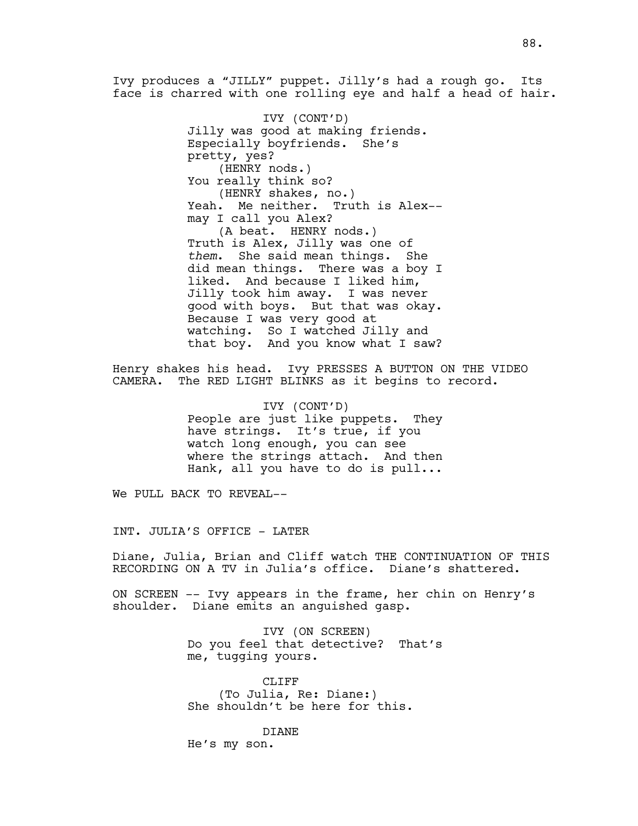Ivy produces a "JILLY" puppet. Jilly's had a rough go. Its face is charred with one rolling eye and half a head of hair.

> IVY (CONT'D) Jilly was good at making friends. Especially boyfriends. She's pretty, yes? (HENRY nods.) You really think so? (HENRY shakes, no.) Yeah. Me neither. Truth is Alex- may I call you Alex? (A beat. HENRY nods.) Truth is Alex, Jilly was one of *them*. She said mean things. She did mean things. There was a boy I liked. And because I liked him, Jilly took him away. I was never good with boys. But that was okay. Because I was very good at watching. So I watched Jilly and that boy. And you know what I saw?

Henry shakes his head. Ivy PRESSES A BUTTON ON THE VIDEO CAMERA. The RED LIGHT BLINKS as it begins to record.

> IVY (CONT'D) People are just like puppets. They have strings. It's true, if you watch long enough, you can see where the strings attach. And then Hank, all you have to do is pull...

We PULL BACK TO REVEAL--

INT. JULIA'S OFFICE - LATER

Diane, Julia, Brian and Cliff watch THE CONTINUATION OF THIS RECORDING ON A TV in Julia's office. Diane's shattered.

ON SCREEN -- Ivy appears in the frame, her chin on Henry's shoulder. Diane emits an anguished gasp.

> IVY (ON SCREEN) Do you feel that detective? That's me, tugging yours.

CLIFF (To Julia, Re: Diane:) She shouldn't be here for this.

DIANE He's my son.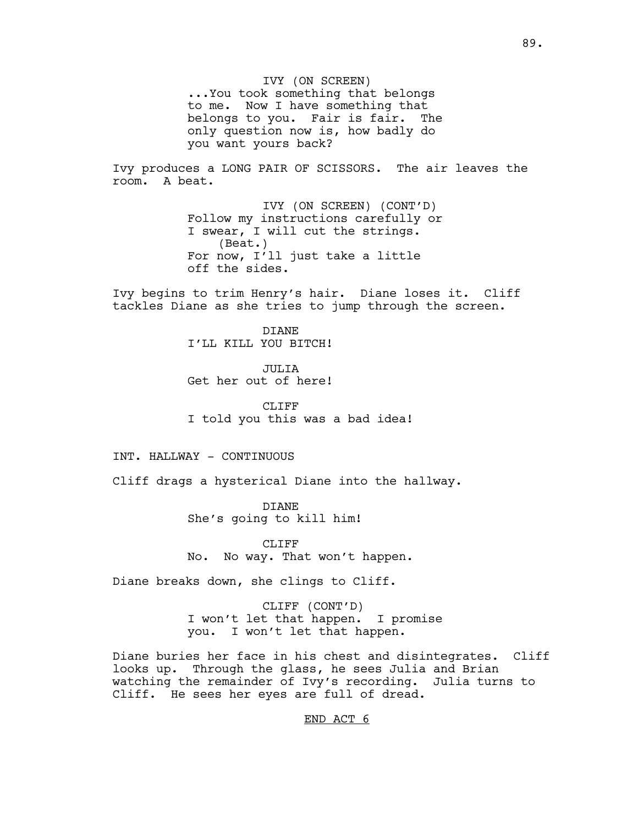IVY (ON SCREEN) ...You took something that belongs to me. Now I have something that belongs to you. Fair is fair. The only question now is, how badly do you want yours back?

Ivy produces a LONG PAIR OF SCISSORS. The air leaves the room. A beat.

> IVY (ON SCREEN) (CONT'D) Follow my instructions carefully or I swear, I will cut the strings. (Beat.) For now, I'll just take a little off the sides.

Ivy begins to trim Henry's hair. Diane loses it. Cliff tackles Diane as she tries to jump through the screen.

> DIANE I'LL KILL YOU BITCH!

> JULIA Get her out of here!

CLIFF<sub></sub> I told you this was a bad idea!

INT. HALLWAY - CONTINUOUS

Cliff drags a hysterical Diane into the hallway.

DIANE She's going to kill him!

CLIFF No. No way. That won't happen.

Diane breaks down, she clings to Cliff.

CLIFF (CONT'D) I won't let that happen. I promise you. I won't let that happen.

Diane buries her face in his chest and disintegrates. Cliff looks up. Through the glass, he sees Julia and Brian watching the remainder of Ivy's recording. Julia turns to Cliff. He sees her eyes are full of dread.

END ACT 6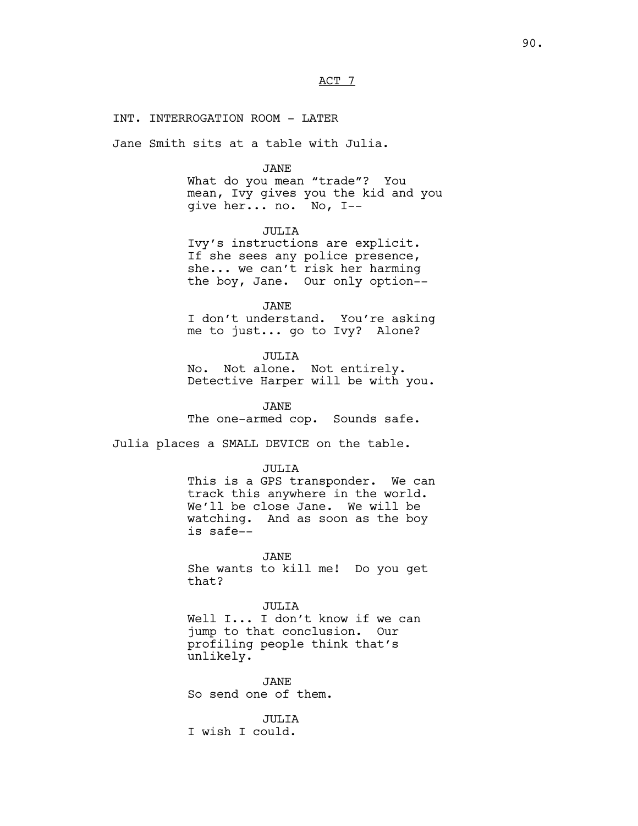ACT 7

#### INT. INTERROGATION ROOM - LATER

Jane Smith sits at a table with Julia.

#### JANE

What do you mean "trade"? You mean, Ivy gives you the kid and you give her... no. No, I--

## JULIA

Ivy's instructions are explicit. If she sees any police presence, she... we can't risk her harming the boy, Jane. Our only option--

JANE

I don't understand. You're asking me to just... go to Ivy? Alone?

JULIA

No. Not alone. Not entirely. Detective Harper will be with you.

JANE The one-armed cop. Sounds safe.

Julia places a SMALL DEVICE on the table.

#### JULIA

This is a GPS transponder. We can track this anywhere in the world. We'll be close Jane. We will be watching. And as soon as the boy is safe--

JANE

She wants to kill me! Do you get that?

JULIA

Well I... I don't know if we can jump to that conclusion. Our profiling people think that's unlikely.

JANE So send one of them.

JULIA I wish I could.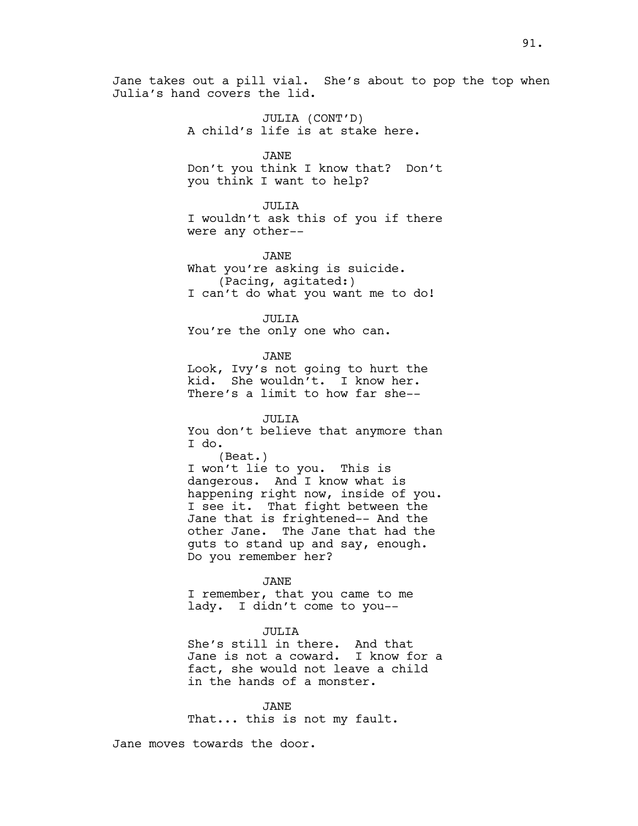JULIA (CONT'D) A child's life is at stake here.

JANE Don't you think I know that? Don't you think I want to help?

JULIA I wouldn't ask this of you if there were any other--

JANE What you're asking is suicide. (Pacing, agitated:) I can't do what you want me to do!

JULIA You're the only one who can.

JANE Look, Ivy's not going to hurt the kid. She wouldn't. I know her. There's a limit to how far she--

JULIA You don't believe that anymore than I do. (Beat.) I won't lie to you. This is dangerous. And I know what is happening right now, inside of you. I see it. That fight between the Jane that is frightened-- And the other Jane. The Jane that had the guts to stand up and say, enough. Do you remember her?

JANE

I remember, that you came to me lady. I didn't come to you--

## JULIA

She's still in there. And that Jane is not a coward. I know for a fact, she would not leave a child in the hands of a monster.

JANE That... this is not my fault.

Jane moves towards the door.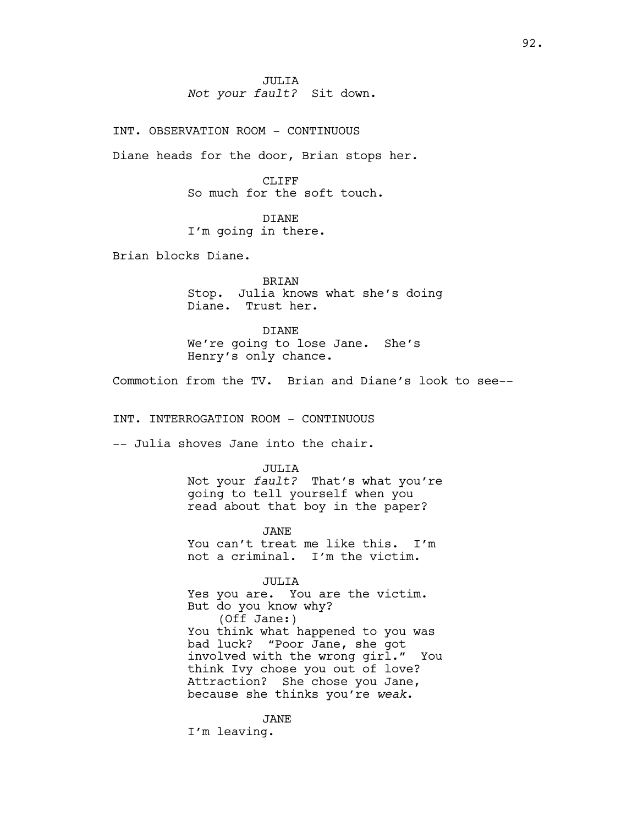JULIA *Not your fault?* Sit down.

INT. OBSERVATION ROOM - CONTINUOUS

Diane heads for the door, Brian stops her.

CLIFF So much for the soft touch.

DIANE I'm going in there.

Brian blocks Diane.

BRIAN Stop. Julia knows what she's doing Diane. Trust her.

DIANE We're going to lose Jane. She's Henry's only chance.

Commotion from the TV. Brian and Diane's look to see--

INT. INTERROGATION ROOM - CONTINUOUS

-- Julia shoves Jane into the chair.

JULIA Not your *fault?* That's what you're going to tell yourself when you read about that boy in the paper?

JANE You can't treat me like this. I'm not a criminal. I'm the victim.

JULIA Yes you are. You are the victim. But do you know why? (Off Jane:) You think what happened to you was bad luck? "Poor Jane, she got involved with the wrong girl." You think Ivy chose you out of love? Attraction? She chose you Jane, because she thinks you're *weak*.

JANE I'm leaving.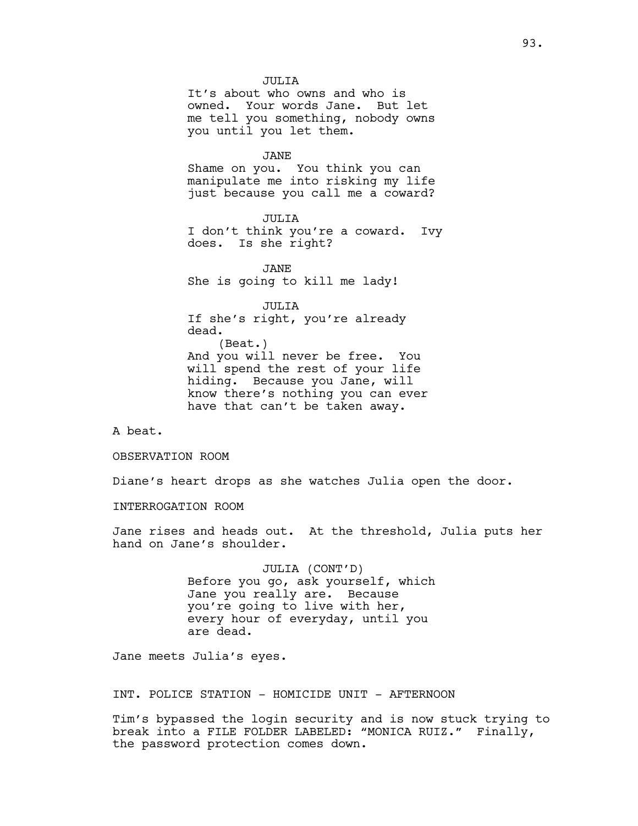JULIA It's about who owns and who is owned. Your words Jane. But let me tell you something, nobody owns you until you let them.

JANE

Shame on you. You think you can manipulate me into risking my life just because you call me a coward?

JULIA I don't think you're a coward. Ivy does. Is she right?

JANE She is going to kill me lady!

JULIA If she's right, you're already dead. (Beat.) And you will never be free. You will spend the rest of your life hiding. Because you Jane, will know there's nothing you can ever have that can't be taken away.

A beat.

OBSERVATION ROOM

Diane's heart drops as she watches Julia open the door.

INTERROGATION ROOM

Jane rises and heads out. At the threshold, Julia puts her hand on Jane's shoulder.

> JULIA (CONT'D) Before you go, ask yourself, which Jane you really are. Because you're going to live with her, every hour of everyday, until you are dead.

Jane meets Julia's eyes.

INT. POLICE STATION - HOMICIDE UNIT - AFTERNOON

Tim's bypassed the login security and is now stuck trying to break into a FILE FOLDER LABELED: "MONICA RUIZ." Finally, the password protection comes down.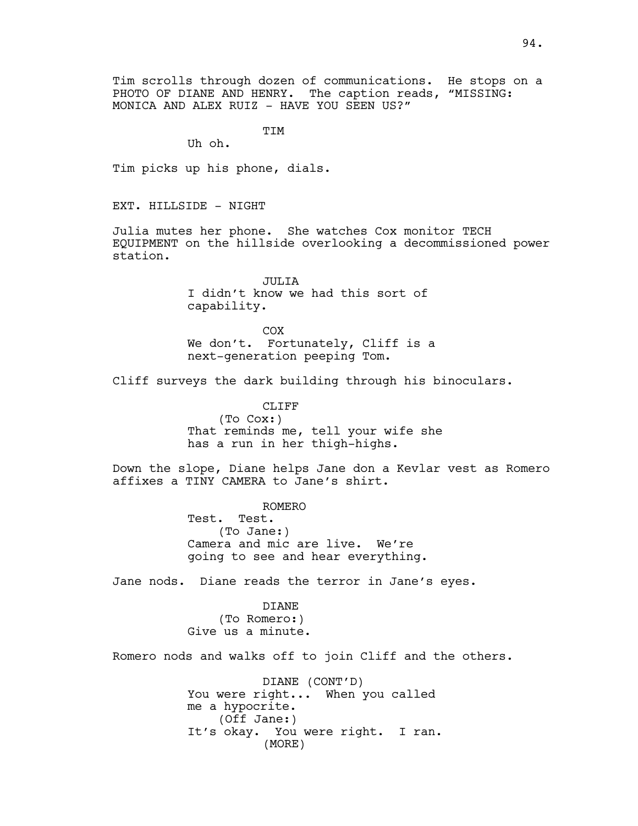Tim scrolls through dozen of communications. He stops on a PHOTO OF DIANE AND HENRY. The caption reads, "MISSING: MONICA AND ALEX RUIZ - HAVE YOU SEEN US?"

TIM

Uh oh.

Tim picks up his phone, dials.

EXT. HILLSIDE - NIGHT

Julia mutes her phone. She watches Cox monitor TECH EQUIPMENT on the hillside overlooking a decommissioned power station.

> **JULIA** I didn't know we had this sort of capability.

COX We don't. Fortunately, Cliff is a next-generation peeping Tom.

Cliff surveys the dark building through his binoculars.

CLIFF (To Cox:) That reminds me, tell your wife she has a run in her thigh-highs.

Down the slope, Diane helps Jane don a Kevlar vest as Romero affixes a TINY CAMERA to Jane's shirt.

> ROMERO Test. Test. (To Jane:) Camera and mic are live. We're going to see and hear everything.

Jane nods. Diane reads the terror in Jane's eyes.

DIANE (To Romero:) Give us a minute.

Romero nods and walks off to join Cliff and the others.

DIANE (CONT'D) You were right... When you called me a hypocrite. (Off Jane:) It's okay. You were right. I ran. (MORE)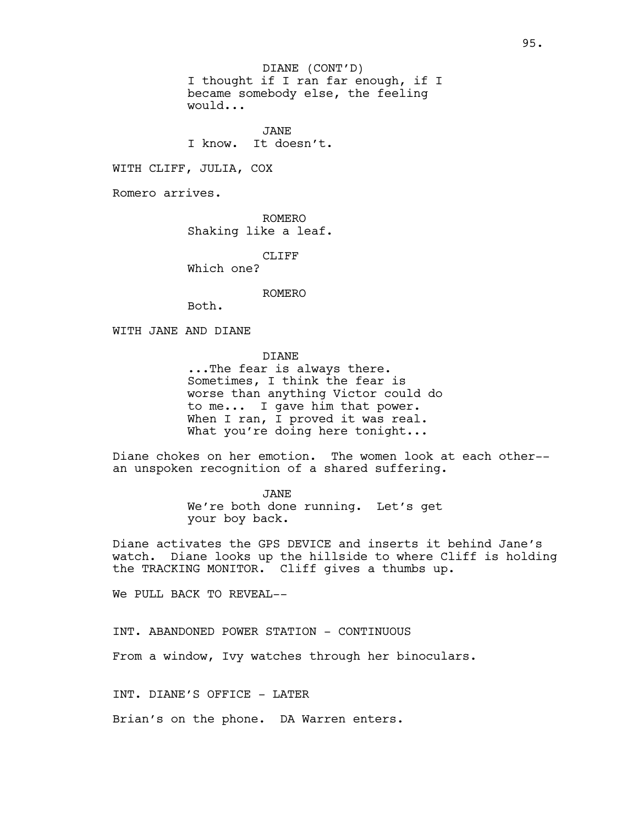I thought if I ran far enough, if I became somebody else, the feeling would... DIANE (CONT'D)

JANE I know. It doesn't.

WITH CLIFF, JULIA, COX

Romero arrives.

ROMERO Shaking like a leaf.

CLIFF

Which one?

ROMERO

Both.

WITH JANE AND DIANE

DIANE

...The fear is always there. Sometimes, I think the fear is worse than anything Victor could do to me... I gave him that power. When I ran, I proved it was real. What you're doing here tonight...

Diane chokes on her emotion. The women look at each other- an unspoken recognition of a shared suffering.

> JANE We're both done running. Let's get your boy back.

Diane activates the GPS DEVICE and inserts it behind Jane's watch. Diane looks up the hillside to where Cliff is holding the TRACKING MONITOR. Cliff gives a thumbs up.

We PULL BACK TO REVEAL--

INT. ABANDONED POWER STATION - CONTINUOUS

From a window, Ivy watches through her binoculars.

INT. DIANE'S OFFICE - LATER

Brian's on the phone. DA Warren enters.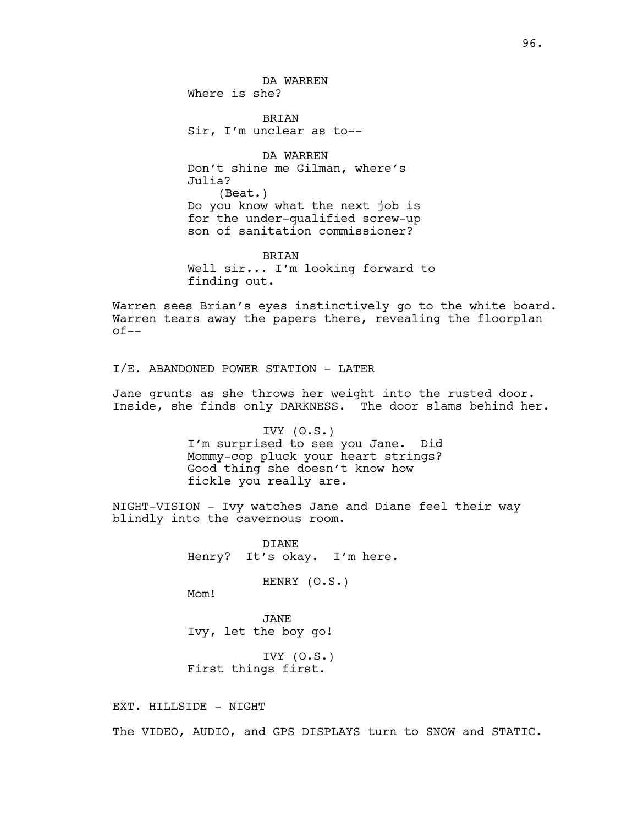BRIAN Sir, I'm unclear as to--

DA WARREN Don't shine me Gilman, where's Julia? (Beat.) Do you know what the next job is for the under-qualified screw-up son of sanitation commissioner?

BRIAN Well sir... I'm looking forward to finding out.

Warren sees Brian's eyes instinctively go to the white board. Warren tears away the papers there, revealing the floorplan of--

I/E. ABANDONED POWER STATION - LATER

Jane grunts as she throws her weight into the rusted door. Inside, she finds only DARKNESS. The door slams behind her.

> IVY  $(0.S.)$ I'm surprised to see you Jane. Did Mommy-cop pluck your heart strings? Good thing she doesn't know how fickle you really are.

NIGHT-VISION - Ivy watches Jane and Diane feel their way blindly into the cavernous room.

> DIANE Henry? It's okay. I'm here.

> > HENRY (O.S.)

Mom!

JANE Ivy, let the boy go!

IVY (O.S.) First things first.

EXT. HILLSIDE - NIGHT

The VIDEO, AUDIO, and GPS DISPLAYS turn to SNOW and STATIC.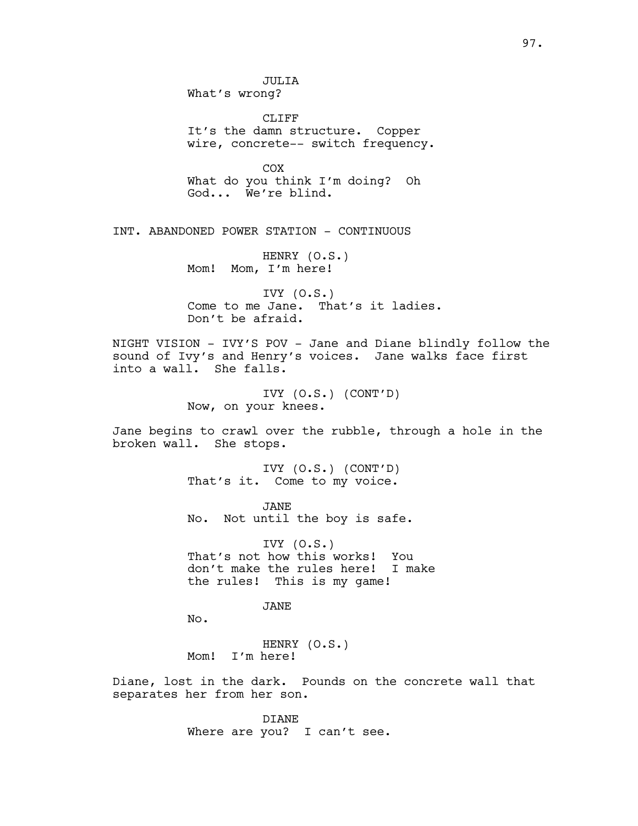JULIA What's wrong? CLIFF It's the damn structure. Copper wire, concrete-- switch frequency. COX What do you think I'm doing? Oh God... We're blind. INT. ABANDONED POWER STATION - CONTINUOUS HENRY (O.S.) Mom! Mom, I'm here! IVY  $(0.S.)$ Come to me Jane. That's it ladies. Don't be afraid. NIGHT VISION - IVY'S POV - Jane and Diane blindly follow the sound of Ivy's and Henry's voices. Jane walks face first into a wall. She falls. IVY (O.S.) (CONT'D) Now, on your knees. Jane begins to crawl over the rubble, through a hole in the broken wall. She stops. IVY (O.S.) (CONT'D) That's it. Come to my voice. JANE No. Not until the boy is safe. IVY (O.S.) That's not how this works! You don't make the rules here! I make the rules! This is my game! JANE

No.

HENRY (O.S.) Mom! I'm here!

Diane, lost in the dark. Pounds on the concrete wall that separates her from her son.

> DIANE Where are you? I can't see.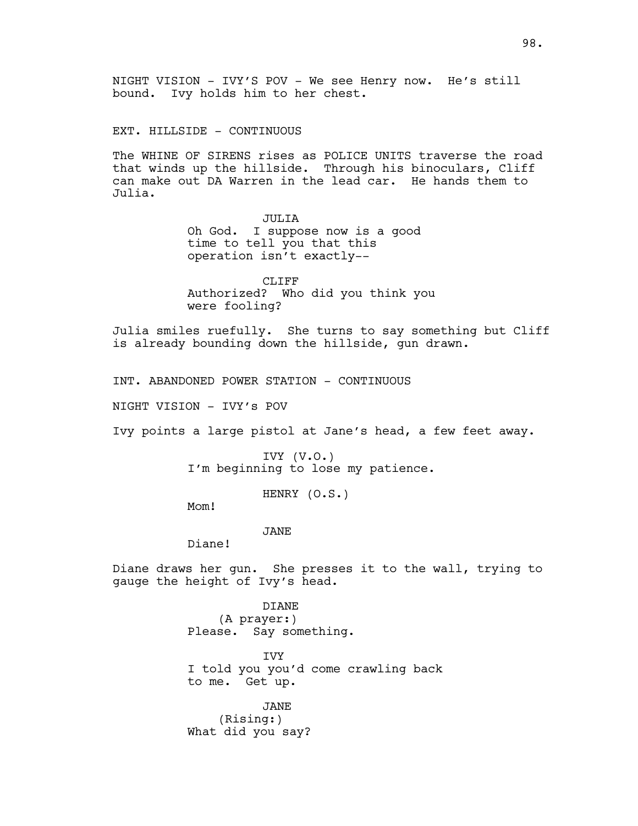EXT. HILLSIDE - CONTINUOUS

The WHINE OF SIRENS rises as POLICE UNITS traverse the road that winds up the hillside. Through his binoculars, Cliff can make out DA Warren in the lead car. He hands them to Julia.

> JULIA Oh God. I suppose now is a good time to tell you that this operation isn't exactly--

CLIFF Authorized? Who did you think you were fooling?

Julia smiles ruefully. She turns to say something but Cliff is already bounding down the hillside, gun drawn.

INT. ABANDONED POWER STATION - CONTINUOUS

NIGHT VISION - IVY's POV

Ivy points a large pistol at Jane's head, a few feet away.

IVY (V.O.) I'm beginning to lose my patience.

HENRY (O.S.)

Mom!

JANE

Diane!

Diane draws her gun. She presses it to the wall, trying to gauge the height of Ivy's head.

> DIANE (A prayer:) Please. Say something.

**TVY** I told you you'd come crawling back to me. Get up.

JANE (Rising:) What did you say?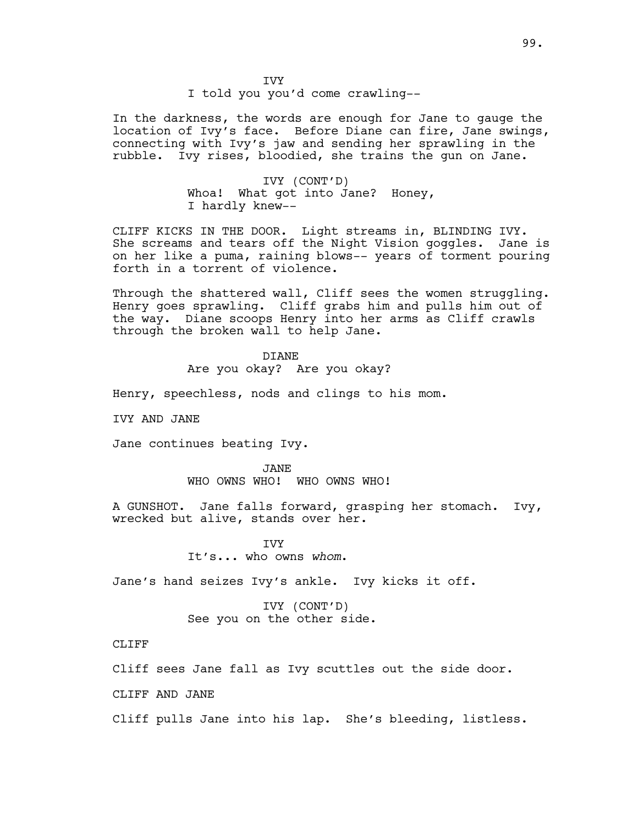**TVY** I told you you'd come crawling--

In the darkness, the words are enough for Jane to gauge the location of Ivy's face. Before Diane can fire, Jane swings, connecting with Ivy's jaw and sending her sprawling in the rubble. Ivy rises, bloodied, she trains the gun on Jane.

> IVY (CONT'D) Whoa! What got into Jane? Honey, I hardly knew--

CLIFF KICKS IN THE DOOR. Light streams in, BLINDING IVY. She screams and tears off the Night Vision goggles. Jane is on her like a puma, raining blows-- years of torment pouring forth in a torrent of violence.

Through the shattered wall, Cliff sees the women struggling. Henry goes sprawling. Cliff grabs him and pulls him out of the way. Diane scoops Henry into her arms as Cliff crawls through the broken wall to help Jane.

DIANE

Are you okay? Are you okay?

Henry, speechless, nods and clings to his mom.

IVY AND JANE

Jane continues beating Ivy.

JANE WHO OWNS WHO! WHO OWNS WHO!

A GUNSHOT. Jane falls forward, grasping her stomach. Ivy, wrecked but alive, stands over her.

> **TVY** It's... who owns *whom*.

Jane's hand seizes Ivy's ankle. Ivy kicks it off.

IVY (CONT'D) See you on the other side.

CLIFF

Cliff sees Jane fall as Ivy scuttles out the side door.

CLIFF AND JANE

Cliff pulls Jane into his lap. She's bleeding, listless.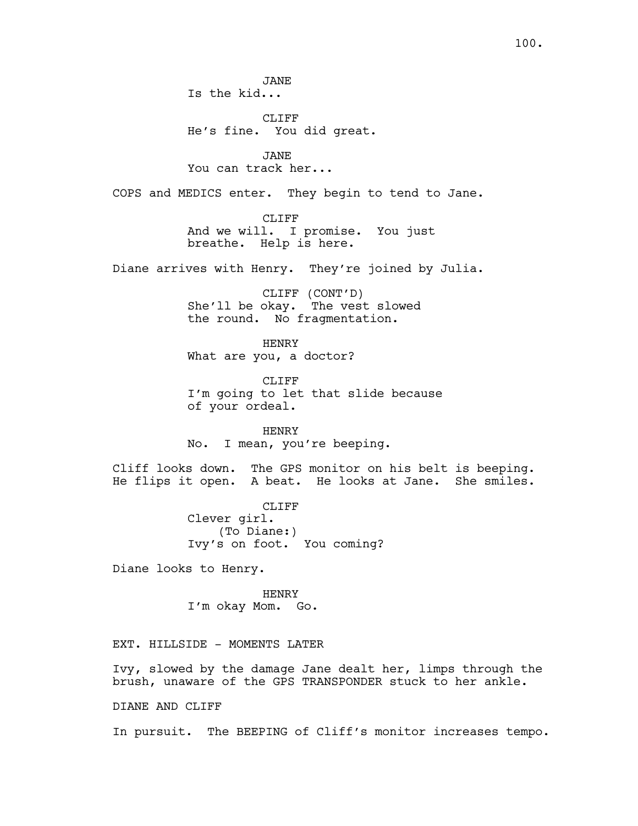CLIFF He's fine. You did great.

JANE You can track her...

COPS and MEDICS enter. They begin to tend to Jane.

CLIFF And we will. I promise. You just breathe. Help is here.

Diane arrives with Henry. They're joined by Julia.

CLIFF (CONT'D) She'll be okay. The vest slowed the round. No fragmentation.

HENRY What are you, a doctor?

CLIFF I'm going to let that slide because of your ordeal.

HENRY No. I mean, you're beeping.

Cliff looks down. The GPS monitor on his belt is beeping. He flips it open. A beat. He looks at Jane. She smiles.

> CLIFF Clever girl. (To Diane:) Ivy's on foot. You coming?

Diane looks to Henry.

HENRY I'm okay Mom. Go.

EXT. HILLSIDE - MOMENTS LATER

Ivy, slowed by the damage Jane dealt her, limps through the brush, unaware of the GPS TRANSPONDER stuck to her ankle.

DIANE AND CLIFF

In pursuit. The BEEPING of Cliff's monitor increases tempo.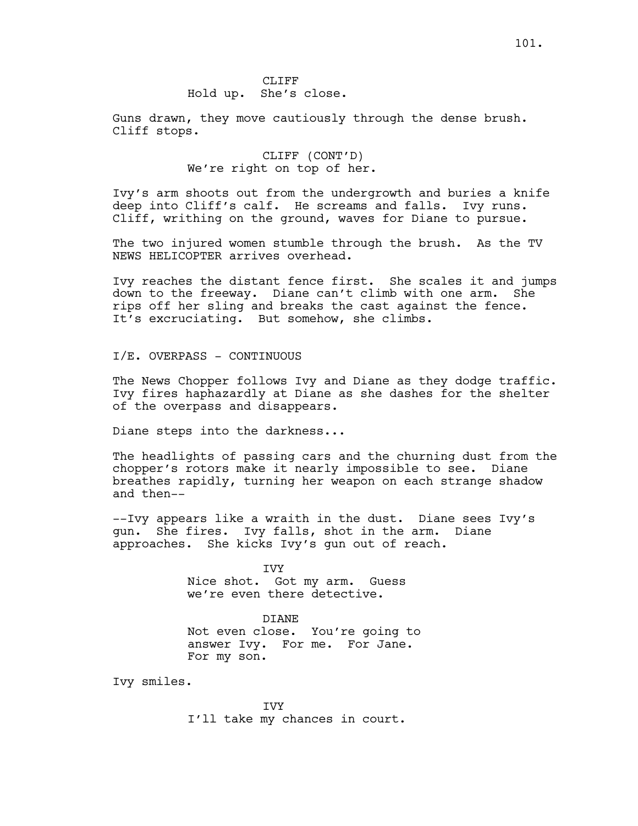## CLIFF Hold up. She's close.

Guns drawn, they move cautiously through the dense brush. Cliff stops.

> CLIFF (CONT'D) We're right on top of her.

Ivy's arm shoots out from the undergrowth and buries a knife deep into Cliff's calf. He screams and falls. Ivy runs. Cliff, writhing on the ground, waves for Diane to pursue.

The two injured women stumble through the brush. As the TV NEWS HELICOPTER arrives overhead.

Ivy reaches the distant fence first. She scales it and jumps down to the freeway. Diane can't climb with one arm. She rips off her sling and breaks the cast against the fence. It's excruciating. But somehow, she climbs.

I/E. OVERPASS - CONTINUOUS

The News Chopper follows Ivy and Diane as they dodge traffic. Ivy fires haphazardly at Diane as she dashes for the shelter of the overpass and disappears.

Diane steps into the darkness...

The headlights of passing cars and the churning dust from the chopper's rotors make it nearly impossible to see. Diane breathes rapidly, turning her weapon on each strange shadow and then--

--Ivy appears like a wraith in the dust. Diane sees Ivy's gun. She fires. Ivy falls, shot in the arm. Diane approaches. She kicks Ivy's gun out of reach.

> IVY Nice shot. Got my arm. Guess we're even there detective.

DIANE Not even close. You're going to answer Ivy. For me. For Jane. For my son.

Ivy smiles.

IVY I'll take my chances in court.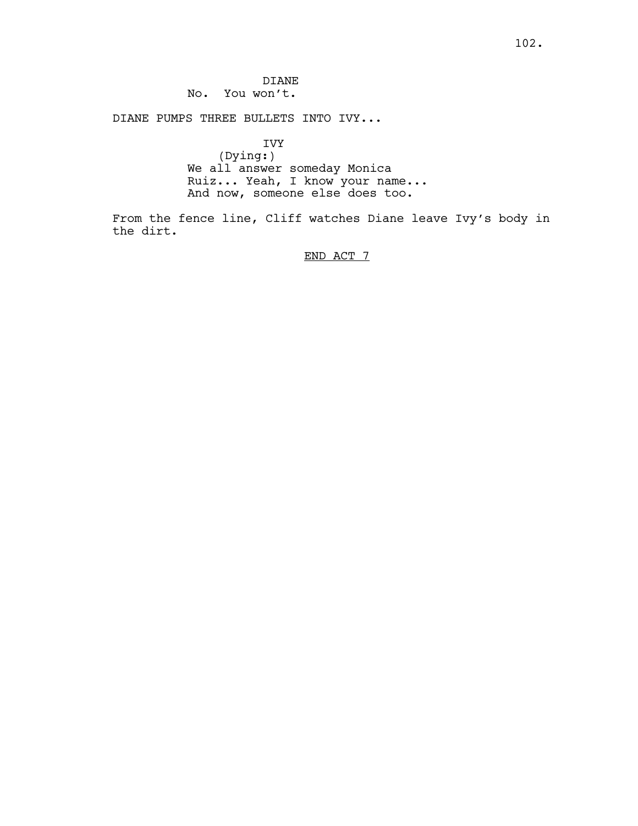DIANE No. You won't.

DIANE PUMPS THREE BULLETS INTO IVY...

IVY (Dying:) We all answer someday Monica Ruiz... Yeah, I know your name... And now, someone else does too.

From the fence line, Cliff watches Diane leave Ivy's body in the dirt.

END ACT 7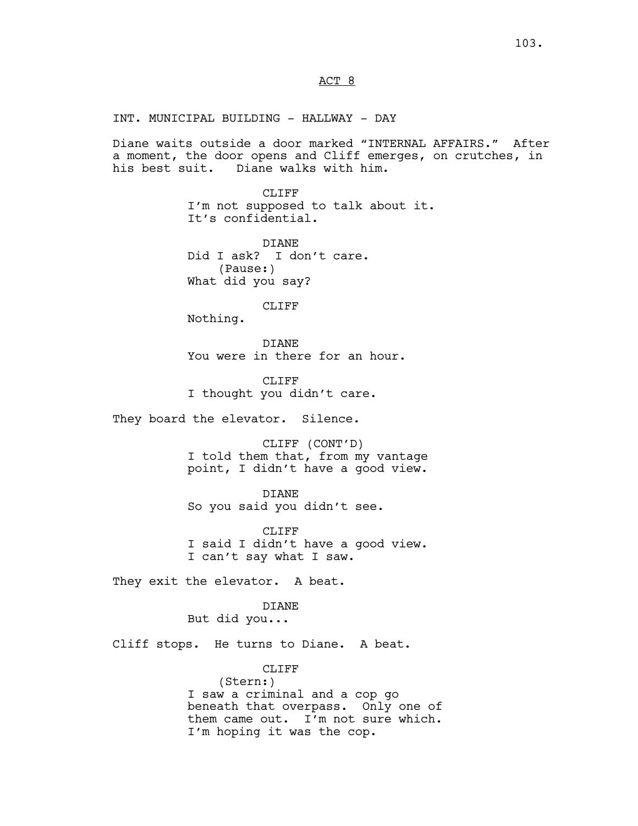ACT 8

INT. MUNICIPAL BUILDING - HALLWAY - DAY

Diane waits outside a door marked "INTERNAL AFFAIRS." After a moment, the door opens and Cliff emerges, on crutches, in his best suit. Diane walks with him.

> CLIFF I'm not supposed to talk about it. It's confidential.

DIANE Did I ask? I don't care. (Pause:) What did you say?

CLIFF

Nothing.

DIANE You were in there for an hour.

CLIFF<sub></sub> I thought you didn't care.

They board the elevator. Silence.

CLIFF (CONT'D) I told them that, from my vantage point, I didn't have a good view.

DIANE So you said you didn't see.

CLIFF I said I didn't have a good view. I can't say what I saw.

They exit the elevator. A beat.

DIANE

But did you...

Cliff stops. He turns to Diane. A beat.

CLIFF (Stern:) I saw a criminal and a cop go beneath that overpass. Only one of them came out. I'm not sure which. I'm hoping it was the cop.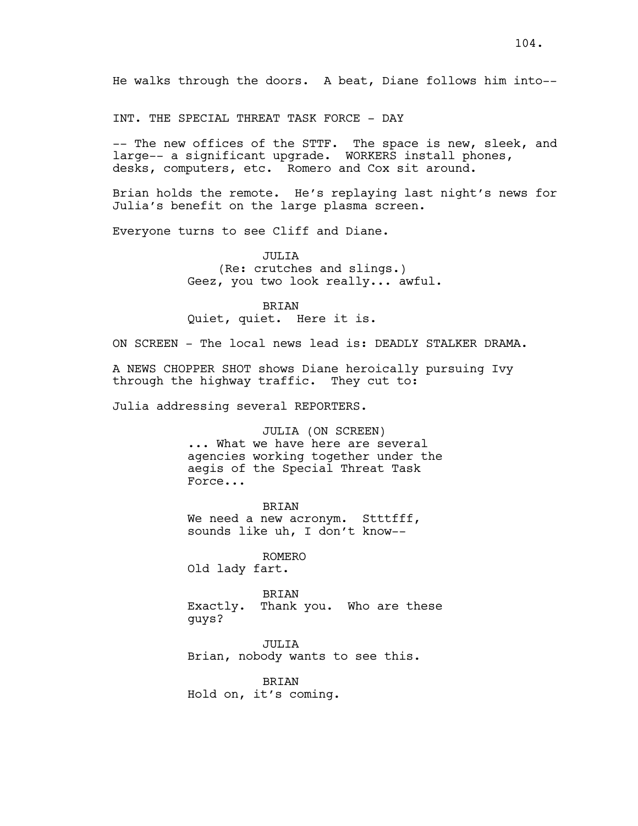He walks through the doors. A beat, Diane follows him into--

INT. THE SPECIAL THREAT TASK FORCE - DAY

-- The new offices of the STTF. The space is new, sleek, and large-- a significant upgrade. WORKERS install phones, desks, computers, etc. Romero and Cox sit around.

Brian holds the remote. He's replaying last night's news for Julia's benefit on the large plasma screen.

Everyone turns to see Cliff and Diane.

JULIA (Re: crutches and slings.) Geez, you two look really... awful.

BRIAN Quiet, quiet. Here it is.

ON SCREEN - The local news lead is: DEADLY STALKER DRAMA.

A NEWS CHOPPER SHOT shows Diane heroically pursuing Ivy through the highway traffic. They cut to:

Julia addressing several REPORTERS.

JULIA (ON SCREEN) ... What we have here are several agencies working together under the aegis of the Special Threat Task Force...

BRIAN We need a new acronym. Stttfff, sounds like uh, I don't know--

ROMERO Old lady fart.

BRIAN Exactly. Thank you. Who are these guys?

JULIA Brian, nobody wants to see this.

BRIAN Hold on, it's coming.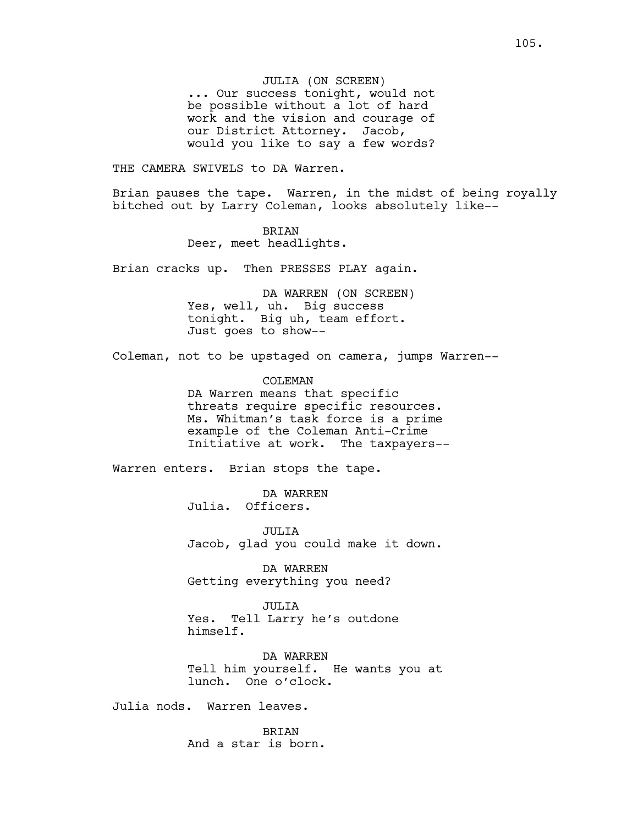JULIA (ON SCREEN) ... Our success tonight, would not be possible without a lot of hard work and the vision and courage of our District Attorney. Jacob, would you like to say a few words?

THE CAMERA SWIVELS to DA Warren.

Brian pauses the tape. Warren, in the midst of being royally bitched out by Larry Coleman, looks absolutely like--

> BRIAN Deer, meet headlights.

Brian cracks up. Then PRESSES PLAY again.

DA WARREN (ON SCREEN) Yes, well, uh. Big success tonight. Big uh, team effort. Just goes to show--

Coleman, not to be upstaged on camera, jumps Warren--

COLEMAN DA Warren means that specific threats require specific resources. Ms. Whitman's task force is a prime example of the Coleman Anti-Crime Initiative at work. The taxpayers--

Warren enters. Brian stops the tape.

DA WARREN Julia. Officers.

JULIA Jacob, glad you could make it down.

DA WARREN Getting everything you need?

JULIA Yes. Tell Larry he's outdone himself.

DA WARREN Tell him yourself. He wants you at lunch. One o'clock.

Julia nods. Warren leaves.

BRIAN And a star is born.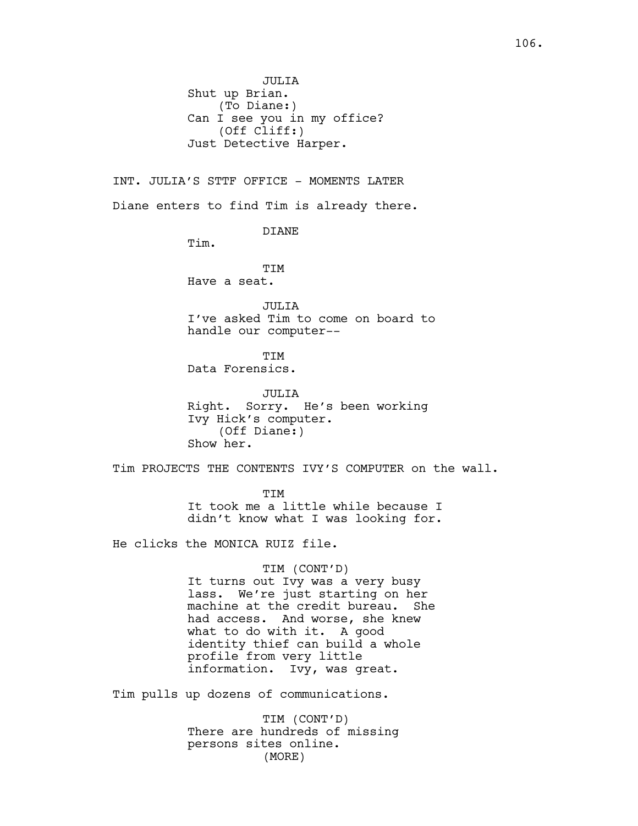INT. JULIA'S STTF OFFICE - MOMENTS LATER Diane enters to find Tim is already there.

DIANE

Tim.

**TTM** Have a seat.

JULIA I've asked Tim to come on board to handle our computer--

**TTM** Data Forensics.

JULIA Right. Sorry. He's been working Ivy Hick's computer. (Off Diane:) Show her.

Tim PROJECTS THE CONTENTS IVY'S COMPUTER on the wall.

**TTM** It took me a little while because I didn't know what I was looking for.

He clicks the MONICA RUIZ file.

#### TIM (CONT'D)

It turns out Ivy was a very busy lass. We're just starting on her machine at the credit bureau. She had access. And worse, she knew what to do with it. A good identity thief can build a whole profile from very little information. Ivy, was great.

Tim pulls up dozens of communications.

TIM (CONT'D) There are hundreds of missing persons sites online. (MORE)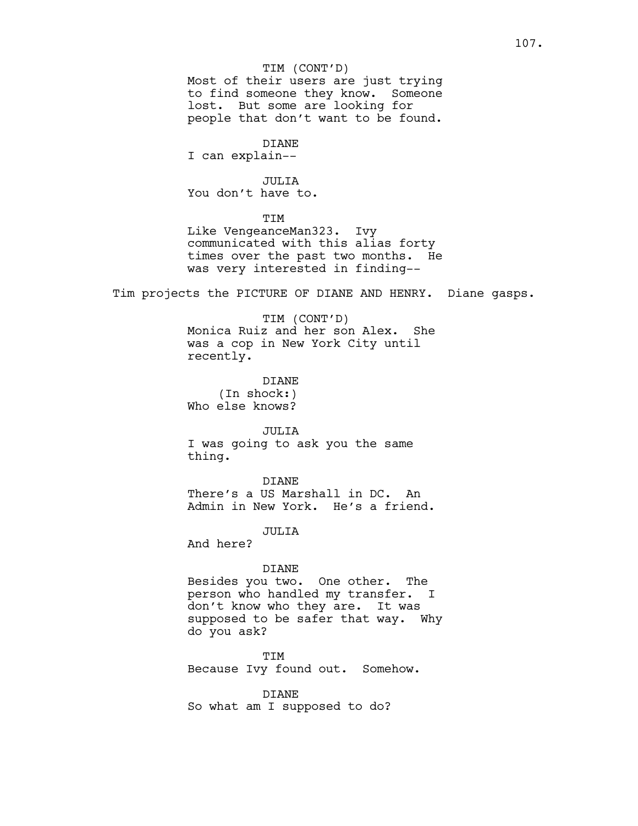#### TIM (CONT'D)

Most of their users are just trying to find someone they know. Someone lost. But some are looking for people that don't want to be found.

## DIANE

I can explain--

### JULIA

You don't have to.

## TIM

Like VengeanceMan323. Ivy communicated with this alias forty times over the past two months. He was very interested in finding--

Tim projects the PICTURE OF DIANE AND HENRY. Diane gasps.

## TIM (CONT'D) Monica Ruiz and her son Alex. She was a cop in New York City until recently.

DIANE (In shock:) Who else knows?

## JULIA I was going to ask you the same thing.

DIANE There's a US Marshall in DC. An Admin in New York. He's a friend.

JULIA

And here?

#### DIANE

Besides you two. One other. The person who handled my transfer. I don't know who they are. It was supposed to be safer that way. Why do you ask?

TIM Because Ivy found out. Somehow.

DIANE So what am I supposed to do?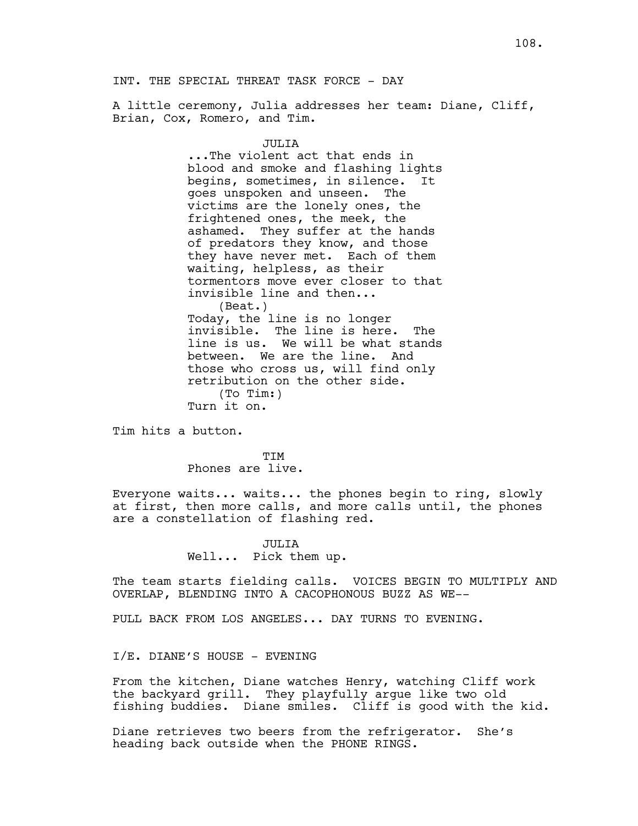A little ceremony, Julia addresses her team: Diane, Cliff, Brian, Cox, Romero, and Tim.

## JULIA

...The violent act that ends in blood and smoke and flashing lights begins, sometimes, in silence. It goes unspoken and unseen. The victims are the lonely ones, the frightened ones, the meek, the ashamed. They suffer at the hands of predators they know, and those they have never met. Each of them waiting, helpless, as their tormentors move ever closer to that invisible line and then... (Beat.) Today, the line is no longer invisible. The line is here. The line is us. We will be what stands between. We are the line. And those who cross us, will find only retribution on the other side. (To Tim:) Turn it on.

Tim hits a button.

**TTM** Phones are live.

Everyone waits... waits... the phones begin to ring, slowly at first, then more calls, and more calls until, the phones are a constellation of flashing red.

> JULIA Well... Pick them up.

The team starts fielding calls. VOICES BEGIN TO MULTIPLY AND OVERLAP, BLENDING INTO A CACOPHONOUS BUZZ AS WE--

PULL BACK FROM LOS ANGELES... DAY TURNS TO EVENING.

I/E. DIANE'S HOUSE - EVENING

From the kitchen, Diane watches Henry, watching Cliff work the backyard grill. They playfully argue like two old fishing buddies. Diane smiles. Cliff is good with the kid.

Diane retrieves two beers from the refrigerator. She's heading back outside when the PHONE RINGS.